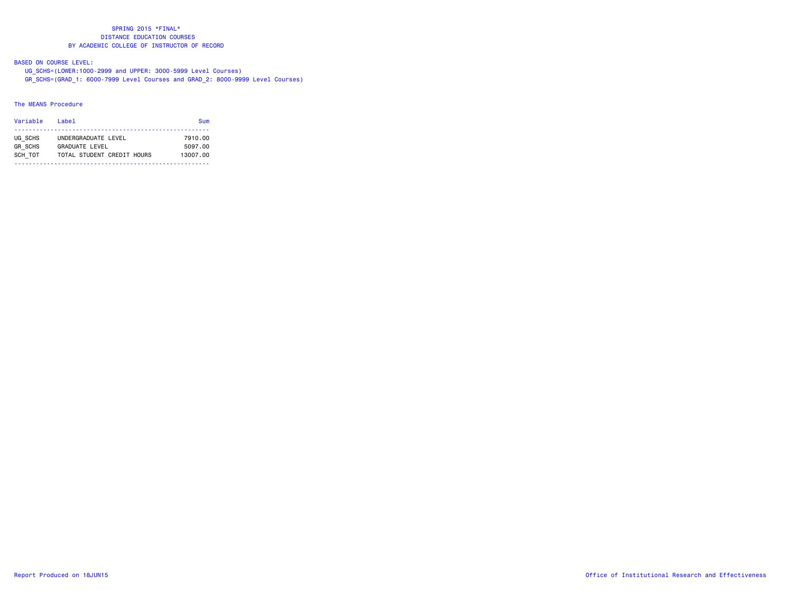BASED ON COURSE LEVEL:

UG\_SCHS=(LOWER:1000-2999 and UPPER: 3000-5999 Level Courses)

GR\_SCHS=(GRAD\_1: 6000-7999 Level Courses and GRAD\_2: 8000-9999 Level Courses)

# The MEANS Procedure

| Variable       | l ahel                     | Sum      |
|----------------|----------------------------|----------|
| UG SCHS        | UNDERGRADUATE LEVEL        | 7910.00  |
| <b>GR SCHS</b> | <b>GRADUATE LEVEL</b>      | 5097.00  |
| SCH TOT        | TOTAL STUDENT CREDIT HOURS | 13007.00 |
|                |                            |          |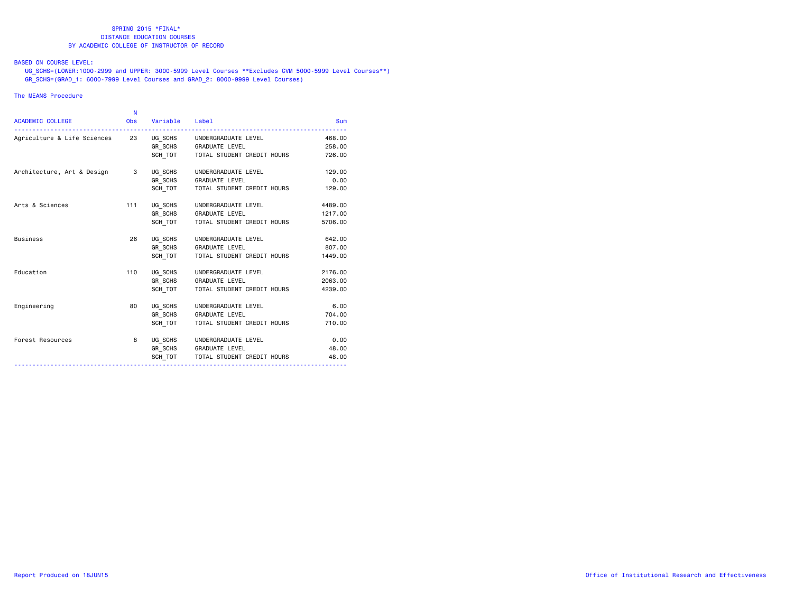# BASED ON COURSE LEVEL:

 UG\_SCHS=(LOWER:1000-2999 and UPPER: 3000-5999 Level Courses \*\*Excludes CVM 5000-5999 Level Courses\*\*) GR\_SCHS=(GRAD\_1: 6000-7999 Level Courses and GRAD\_2: 8000-9999 Level Courses)

# The MEANS Procedure

|                             | N          |          |                            |            |
|-----------------------------|------------|----------|----------------------------|------------|
| <b>ACADEMIC COLLEGE</b>     | <b>Obs</b> | Variable | Label                      | <b>Sum</b> |
| Agriculture & Life Sciences | 23         | UG SCHS  | UNDERGRADUATE LEVEL        | 468,00     |
|                             |            | GR SCHS  | <b>GRADUATE LEVEL</b>      | 258.00     |
|                             |            | SCH TOT  | TOTAL STUDENT CREDIT HOURS | 726.00     |
| Architecture, Art & Design  | 3          | UG SCHS  | UNDERGRADUATE LEVEL        | 129,00     |
|                             |            | GR SCHS  | <b>GRADUATE LEVEL</b>      | 0.00       |
|                             |            | SCH TOT  | TOTAL STUDENT CREDIT HOURS | 129,00     |
| Arts & Sciences             | 111        | UG SCHS  | UNDERGRADUATE LEVEL        | 4489.00    |
|                             |            | GR SCHS  | <b>GRADUATE LEVEL</b>      | 1217.00    |
|                             |            | SCH TOT  | TOTAL STUDENT CREDIT HOURS | 5706.00    |
| <b>Business</b>             | 26         | UG SCHS  | UNDERGRADUATE LEVEL        | 642.00     |
|                             |            | GR SCHS  | <b>GRADUATE LEVEL</b>      | 807.00     |
|                             |            | SCH TOT  | TOTAL STUDENT CREDIT HOURS | 1449.00    |
| Education                   | 110        | UG SCHS  | UNDERGRADUATE LEVEL        | 2176.00    |
|                             |            | GR SCHS  | <b>GRADUATE LEVEL</b>      | 2063.00    |
|                             |            | SCH TOT  | TOTAL STUDENT CREDIT HOURS | 4239.00    |
| Engineering                 | 80         | UG SCHS  | UNDERGRADUATE LEVEL        | 6.00       |
|                             |            | GR SCHS  | <b>GRADUATE LEVEL</b>      | 704.00     |
|                             |            | SCH TOT  | TOTAL STUDENT CREDIT HOURS | 710.00     |
| Forest Resources            | 8          | UG SCHS  | UNDERGRADUATE LEVEL        | 0.00       |
|                             |            | GR SCHS  | <b>GRADUATE LEVEL</b>      | 48.00      |
|                             |            | SCH TOT  | TOTAL STUDENT CREDIT HOURS | 48.00      |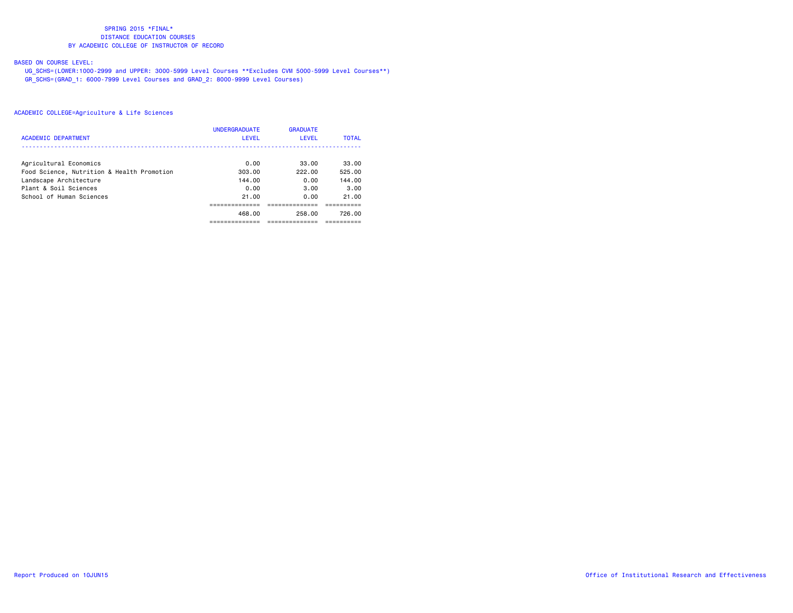# BASED ON COURSE LEVEL:

 UG\_SCHS=(LOWER:1000-2999 and UPPER: 3000-5999 Level Courses \*\*Excludes CVM 5000-5999 Level Courses\*\*) GR\_SCHS=(GRAD\_1: 6000-7999 Level Courses and GRAD\_2: 8000-9999 Level Courses)

|                                            | <b>UNDERGRADUATE</b> | <b>GRADUATE</b> |              |
|--------------------------------------------|----------------------|-----------------|--------------|
| <b>ACADEMIC DEPARTMENT</b>                 | <b>LEVEL</b>         | <b>LEVEL</b>    | <b>TOTAL</b> |
|                                            |                      |                 |              |
| Agricultural Economics                     | 0.00                 | 33.00           | 33.00        |
| Food Science, Nutrition & Health Promotion | 303.00               | 222.00          | 525.00       |
| Landscape Architecture                     | 144.00               | 0.00            | 144.00       |
| Plant & Soil Sciences                      | 0.00                 | 3.00            | 3.00         |
| School of Human Sciences                   | 21.00                | 0.00            | 21.00        |
|                                            |                      |                 |              |
|                                            | 468.00               | 258.00          | 726.00       |
|                                            |                      |                 |              |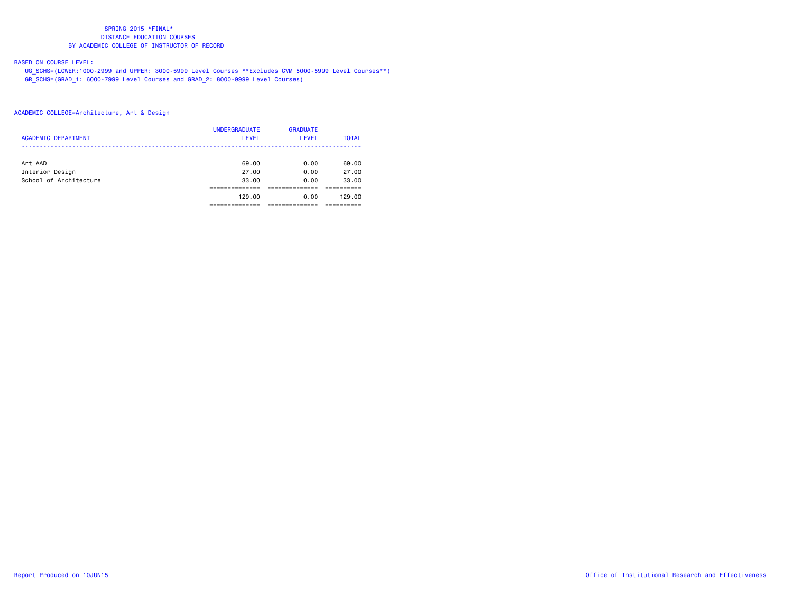# BASED ON COURSE LEVEL:

 UG\_SCHS=(LOWER:1000-2999 and UPPER: 3000-5999 Level Courses \*\*Excludes CVM 5000-5999 Level Courses\*\*) GR\_SCHS=(GRAD\_1: 6000-7999 Level Courses and GRAD\_2: 8000-9999 Level Courses)

| <b>ACADEMIC DEPARTMENT</b> | <b>UNDERGRADUATE</b><br><b>LEVEL</b> | <b>GRADUATE</b><br>LEVEL | <b>TOTAL</b> |
|----------------------------|--------------------------------------|--------------------------|--------------|
|                            |                                      |                          |              |
| Art AAD                    | 69.00                                | 0.00                     | 69.00        |
| Interior Design            | 27.00                                | 0.00                     | 27.00        |
| School of Architecture     | 33.00                                | 0.00                     | 33.00        |
|                            |                                      |                          |              |
|                            | 129.00                               | 0.00                     | 129.00       |
|                            |                                      |                          |              |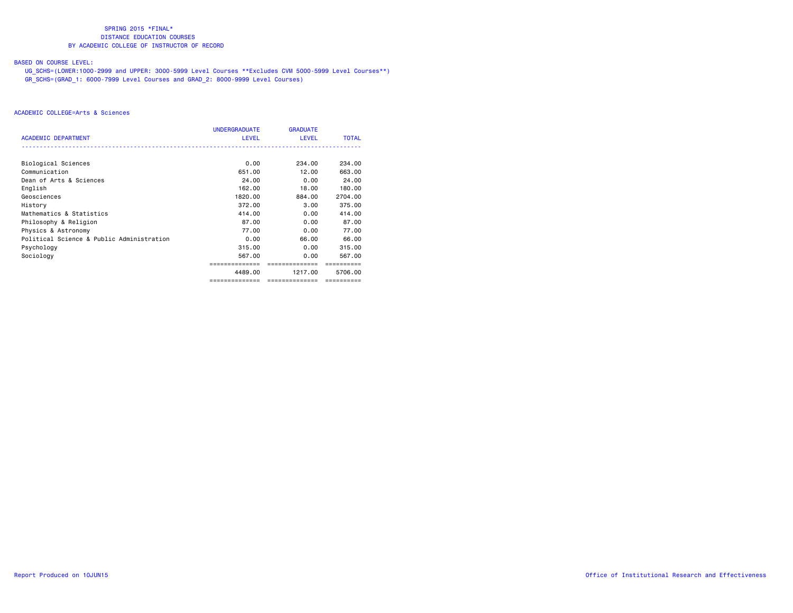# BASED ON COURSE LEVEL:

 UG\_SCHS=(LOWER:1000-2999 and UPPER: 3000-5999 Level Courses \*\*Excludes CVM 5000-5999 Level Courses\*\*) GR\_SCHS=(GRAD\_1: 6000-7999 Level Courses and GRAD\_2: 8000-9999 Level Courses)

|                                           | <b>UNDERGRADUATE</b> | <b>GRADUATE</b> |              |
|-------------------------------------------|----------------------|-----------------|--------------|
| <b>ACADEMIC DEPARTMENT</b>                | <b>LEVEL</b>         | <b>LEVEL</b>    | <b>TOTAL</b> |
|                                           |                      |                 |              |
| Biological Sciences                       | 0.00                 | 234.00          | 234.00       |
| Communication                             | 651,00               | 12.00           | 663,00       |
| Dean of Arts & Sciences                   | 24.00                | 0.00            | 24.00        |
| English                                   | 162,00               | 18,00           | 180.00       |
| Geosciences                               | 1820.00              | 884.00          | 2704.00      |
| History                                   | 372.00               | 3,00            | 375.00       |
| Mathematics & Statistics                  | 414.00               | 0.00            | 414.00       |
| Philosophy & Religion                     | 87.00                | 0.00            | 87.00        |
| Physics & Astronomy                       | 77.00                | 0.00            | 77.00        |
| Political Science & Public Administration | 0.00                 | 66.00           | 66.00        |
| Psychology                                | 315.00               | 0.00            | 315,00       |
| Sociology                                 | 567.00               | 0.00            | 567.00       |
|                                           |                      | ============    |              |
|                                           | 4489.00              | 1217.00         | 5706.00      |
|                                           | ==============       | ==============  | ==========   |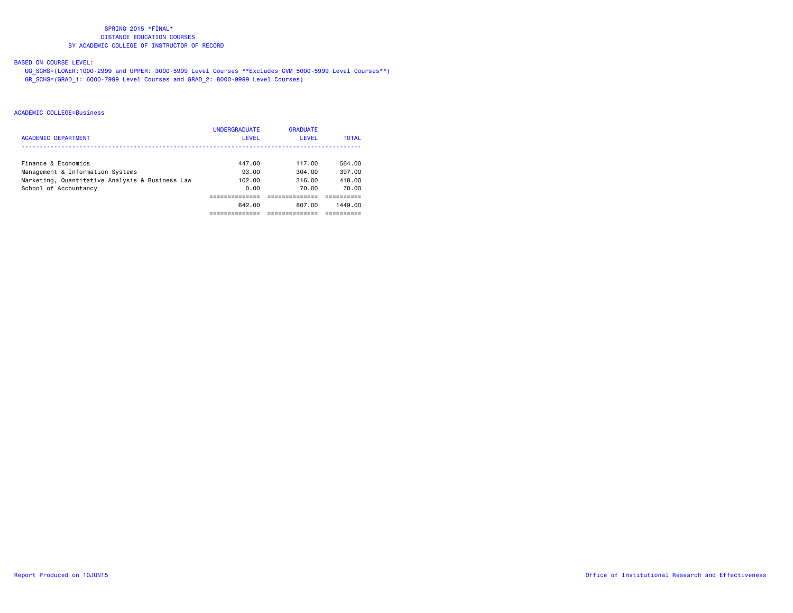# BASED ON COURSE LEVEL:

 UG\_SCHS=(LOWER:1000-2999 and UPPER: 3000-5999 Level Courses \*\*Excludes CVM 5000-5999 Level Courses\*\*) GR\_SCHS=(GRAD\_1: 6000-7999 Level Courses and GRAD\_2: 8000-9999 Level Courses)

|                                                 | <b>UNDERGRADUATE</b> | <b>GRADUATE</b> |              |
|-------------------------------------------------|----------------------|-----------------|--------------|
| ACADEMIC DEPARTMENT                             | LEVEL                | LEVEL           | <b>TOTAL</b> |
| Finance & Economics                             | 447.00               | 117.00          | 564.00       |
| Management & Information Systems                | 93.00                | 304.00          | 397.00       |
| Marketing, Quantitative Analysis & Business Law | 102.00               | 316.00          | 418.00       |
| School of Accountancy                           | 0.00                 | 70.00           | 70.00        |
|                                                 |                      |                 |              |
|                                                 | 642.00               | 807.00          | 1449.00      |
|                                                 |                      |                 |              |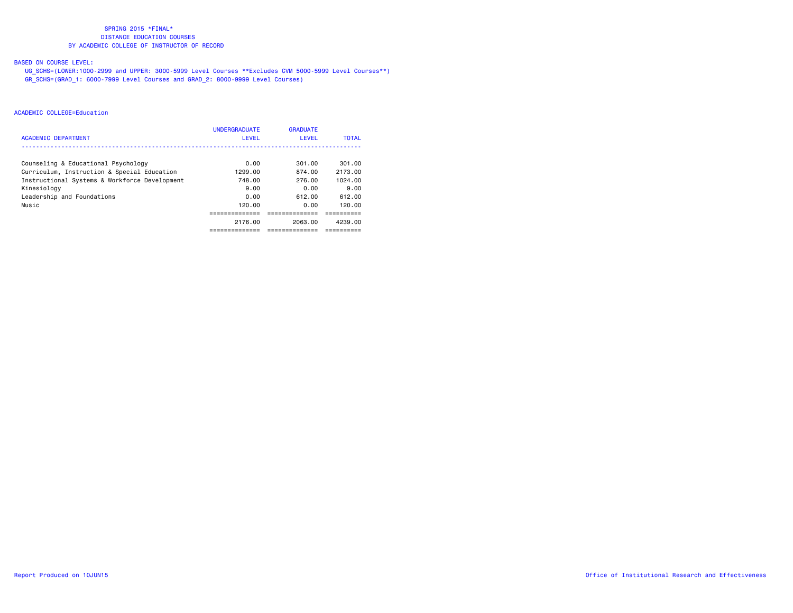# BASED ON COURSE LEVEL:

 UG\_SCHS=(LOWER:1000-2999 and UPPER: 3000-5999 Level Courses \*\*Excludes CVM 5000-5999 Level Courses\*\*) GR\_SCHS=(GRAD\_1: 6000-7999 Level Courses and GRAD\_2: 8000-9999 Level Courses)

| <b>ACADEMIC DEPARTMENT</b>                    | <b>UNDERGRADUATE</b><br><b>LEVEL</b> | <b>GRADUATE</b><br>LEVEL | <b>TOTAL</b> |
|-----------------------------------------------|--------------------------------------|--------------------------|--------------|
|                                               |                                      |                          |              |
| Counseling & Educational Psychology           | 0.00                                 | 301.00                   | 301.00       |
| Curriculum, Instruction & Special Education   | 1299.00                              | 874.00                   | 2173.00      |
| Instructional Systems & Workforce Development | 748.00                               | 276.00                   | 1024.00      |
| Kinesiology                                   | 9.00                                 | 0.00                     | 9.00         |
| Leadership and Foundations                    | 0.00                                 | 612.00                   | 612.00       |
| Music                                         | 120.00                               | 0.00                     | 120.00       |
|                                               |                                      |                          |              |
|                                               | 2176.00                              | 2063.00                  | 4239.00      |
|                                               | ----------                           | ----------               | ------       |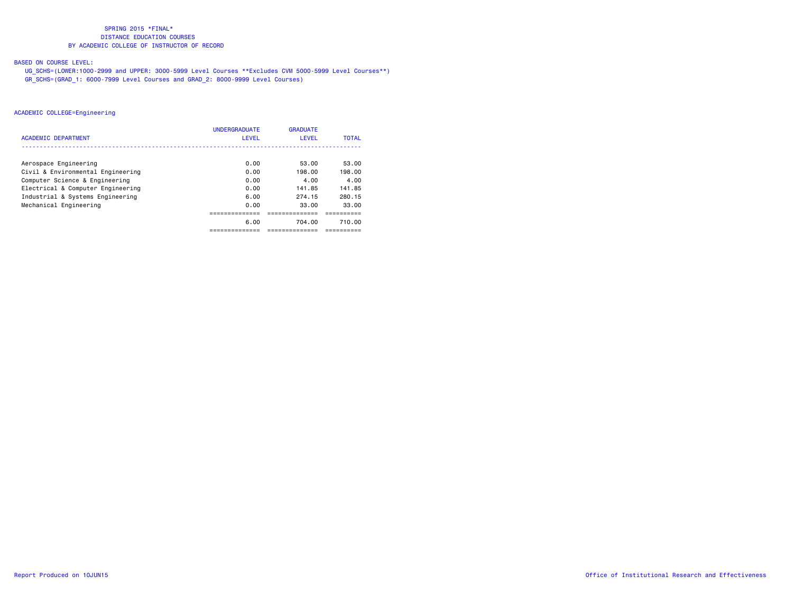# BASED ON COURSE LEVEL:

 UG\_SCHS=(LOWER:1000-2999 and UPPER: 3000-5999 Level Courses \*\*Excludes CVM 5000-5999 Level Courses\*\*) GR\_SCHS=(GRAD\_1: 6000-7999 Level Courses and GRAD\_2: 8000-9999 Level Courses)

|                                   | <b>UNDERGRADUATE</b> | <b>GRADUATE</b> |              |
|-----------------------------------|----------------------|-----------------|--------------|
| <b>ACADEMIC DEPARTMENT</b>        | LEVEL                | <b>LEVEL</b>    | <b>TOTAL</b> |
|                                   |                      |                 |              |
| Aerospace Engineering             | 0.00                 | 53.00           | 53.00        |
| Civil & Environmental Engineering | 0.00                 | 198.00          | 198.00       |
| Computer Science & Engineering    | 0.00                 | 4.00            | 4.00         |
| Electrical & Computer Engineering | 0.00                 | 141.85          | 141.85       |
| Industrial & Systems Engineering  | 6.00                 | 274.15          | 280.15       |
| Mechanical Engineering            | 0.00                 | 33.00           | 33.00        |
|                                   |                      |                 |              |
|                                   | 6.00                 | 704.00          | 710.00       |
|                                   |                      |                 |              |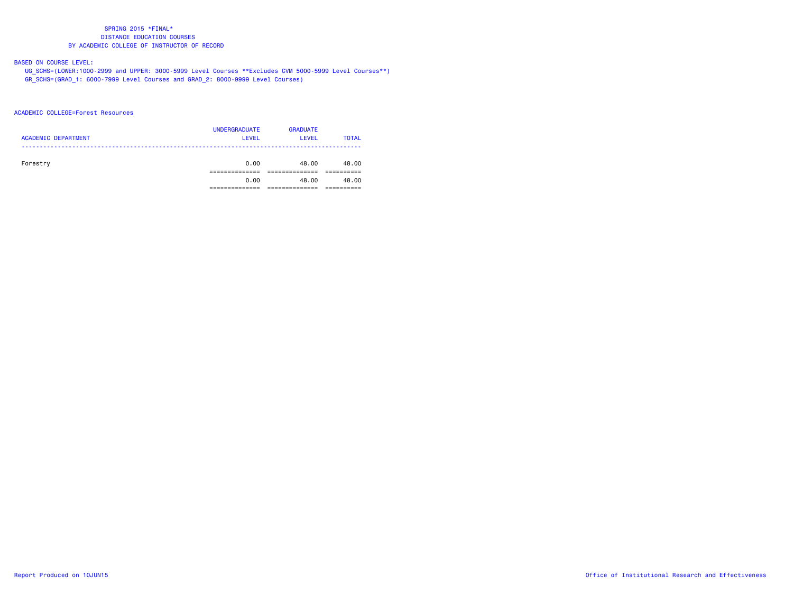# BASED ON COURSE LEVEL:

 UG\_SCHS=(LOWER:1000-2999 and UPPER: 3000-5999 Level Courses \*\*Excludes CVM 5000-5999 Level Courses\*\*) GR\_SCHS=(GRAD\_1: 6000-7999 Level Courses and GRAD\_2: 8000-9999 Level Courses)

#### ACADEMIC COLLEGE=Forest Resources

| <b>ACADEMIC DEPARTMENT</b> | <b>UNDERGRADUATE</b><br><b>LEVEL</b> | <b>GRADUATE</b><br><b>LEVEL</b> | <b>TOTAL</b> |
|----------------------------|--------------------------------------|---------------------------------|--------------|
| Forestry                   | 0.00                                 | 48.00                           | 48.00        |
|                            | 0.00                                 | 48.00                           | 48.00        |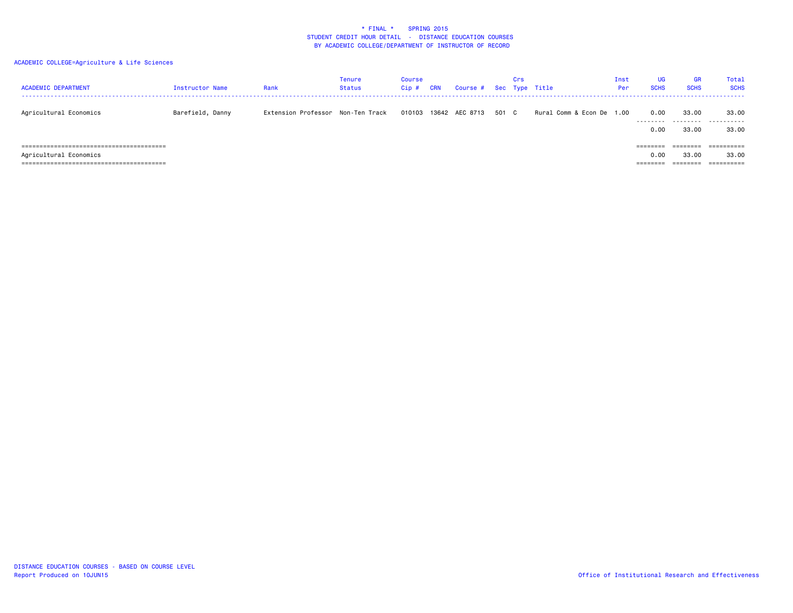| <b>ACADEMIC DEPARTMENT</b> | Instructor Name  | Rank                              | Tenure<br>Status | Course<br>$Cip$ # | <b>CRN</b> | Course # Sec Type Title |       | Crs |                           | Inst<br>Per | <b>UG</b><br><b>SCHS</b> | GR<br><b>SCHS</b>    | Total<br><b>SCHS</b> |
|----------------------------|------------------|-----------------------------------|------------------|-------------------|------------|-------------------------|-------|-----|---------------------------|-------------|--------------------------|----------------------|----------------------|
| Agricultural Economics     | Barefield, Danny | Extension Professor Non-Ten Track |                  | 010103            |            | 13642 AEC 8713          | 501 C |     | Rural Comm & Econ De 1.00 |             | 0.00<br>---------        | 33,00                | 33.00<br>            |
|                            |                  |                                   |                  |                   |            |                         |       |     |                           |             | 0.00                     | 33.00                | 33.00                |
|                            |                  |                                   |                  |                   |            |                         |       |     |                           |             | $=$ = = = = = = =        |                      |                      |
| Agricultural Economics     |                  |                                   |                  |                   |            |                         |       |     |                           |             | 0.00                     | 33.00                | 33.00                |
|                            |                  |                                   |                  |                   |            |                         |       |     |                           |             | --------                 | --------<br>-------- | -----------          |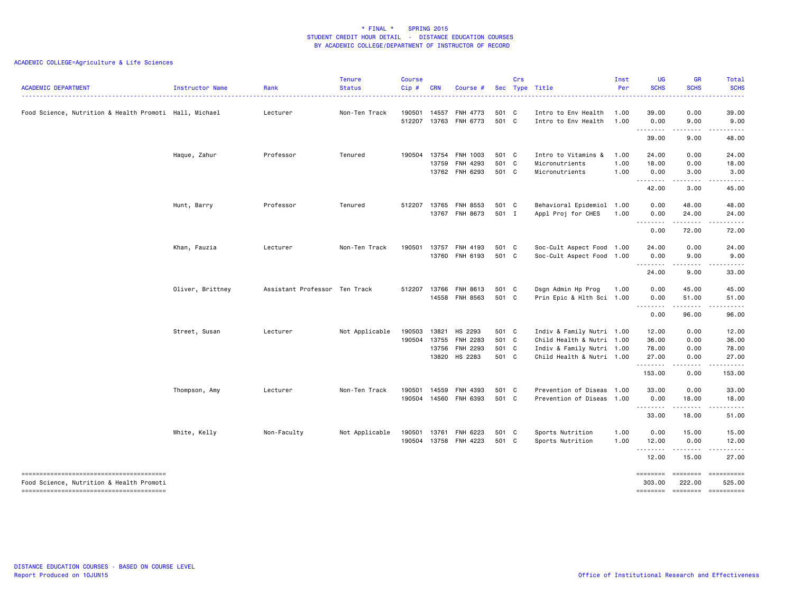| <b>ACADEMIC DEPARTMENT</b>                             | Instructor Name  | Rank                          | <b>Tenure</b><br><b>Status</b> | <b>Course</b><br>Cip# | <b>CRN</b> | Course #                         |                | Crs | Sec Type Title                                         | Inst<br>Per  | UG<br><b>SCHS</b> | <b>GR</b><br><b>SCHS</b> | Total<br><b>SCHS</b> |
|--------------------------------------------------------|------------------|-------------------------------|--------------------------------|-----------------------|------------|----------------------------------|----------------|-----|--------------------------------------------------------|--------------|-------------------|--------------------------|----------------------|
| Food Science, Nutrition & Health Promoti Hall, Michael |                  | Lecturer                      | Non-Ten Track                  | 190501<br>512207      | 14557      | FNH 4773<br>13763 FNH 6773       | 501 C<br>501 C |     | Intro to Env Health<br>Intro to Env Health             | 1.00<br>1.00 | 39.00<br>0.00     | 0.00<br>9.00             | 39.00<br>9.00        |
|                                                        |                  |                               |                                |                       |            |                                  |                |     |                                                        |              | .<br>39.00        | .<br>9.00                | .<br>48.00           |
|                                                        | Haque, Zahur     | Professor                     | Tenured                        | 190504                | 13759      | 13754 FNH 1003<br>FNH 4293       | 501 C<br>501 C |     | Intro to Vitamins &<br>Micronutrients                  | 1.00<br>1.00 | 24.00<br>18.00    | 0.00<br>0.00             | 24.00<br>18.00       |
|                                                        |                  |                               |                                |                       |            | 13762 FNH 6293                   | 501 C          |     | Micronutrients                                         | 1.00         | 0.00<br>.         | 3.00<br>.                | 3.00<br>.            |
|                                                        |                  |                               |                                |                       |            |                                  |                |     |                                                        |              | 42.00             | 3.00                     | 45.00                |
|                                                        | Hunt, Barry      | Professor                     | Tenured                        | 512207                |            | 13765 FNH 8553<br>13767 FNH 8673 | 501 C<br>501 I |     | Behavioral Epidemiol 1.00<br>Appl Proj for CHES        | 1.00         | 0.00<br>0.00      | 48.00                    | 48.00<br>24.00       |
|                                                        |                  |                               |                                |                       |            |                                  |                |     |                                                        |              | .                 | 24.00<br>$- - - - - - -$ | .                    |
|                                                        |                  |                               |                                |                       |            |                                  |                |     |                                                        |              | 0.00              | 72.00                    | 72.00                |
|                                                        | Khan, Fauzia     | Lecturer                      | Non-Ten Track                  | 190501                |            | 13757 FNH 4193<br>13760 FNH 6193 | 501 C<br>501 C |     | Soc-Cult Aspect Food 1.00<br>Soc-Cult Aspect Food 1.00 |              | 24.00<br>0.00     | 0.00<br>9.00             | 24.00<br>9.00        |
|                                                        |                  |                               |                                |                       |            |                                  |                |     |                                                        |              | .<br>24.00        | .<br>9.00                | <u>.</u><br>33.00    |
|                                                        | Oliver, Brittney | Assistant Professor Ten Track |                                | 512207                |            | 13766 FNH 8613<br>14558 FNH 8563 | 501 C<br>501 C |     | Dsgn Admin Hp Prog<br>Prin Epic & Hlth Sci 1.00        | 1.00         | 0.00<br>0.00      | 45.00<br>51.00           | 45.00<br>51.00       |
|                                                        |                  |                               |                                |                       |            |                                  |                |     |                                                        |              | .<br>0.00         | $- - - - -$<br>96.00     | .<br>96.00           |
|                                                        | Street, Susan    | Lecturer                      | Not Applicable                 | 190503                | 13821      | HS 2293                          | 501 C          |     | Indiv & Family Nutri 1.00                              |              | 12.00             | 0.00                     | 12.00                |
|                                                        |                  |                               |                                | 190504                |            | 13755 FNH 2283                   | 501 C          |     | Child Health & Nutri 1.00                              |              | 36.00             | 0.00                     | 36.00                |
|                                                        |                  |                               |                                |                       |            | 13756 FNH 2293                   | 501 C          |     | Indiv & Family Nutri 1.00                              |              | 78.00             | 0.00                     | 78.00                |
|                                                        |                  |                               |                                |                       |            | 13820 HS 2283                    | 501 C          |     | Child Health & Nutri 1.00                              |              | 27.00<br>.        | 0.00<br>.                | 27.00<br>.           |
|                                                        |                  |                               |                                |                       |            |                                  |                |     |                                                        |              | 153.00            | 0.00                     | 153.00               |
|                                                        | Thompson, Amy    | Lecturer                      | Non-Ten Track                  | 190501                | 14559      | FNH 4393                         | 501 C          |     | Prevention of Diseas 1.00                              |              | 33.00             | 0.00                     | 33.00                |
|                                                        |                  |                               |                                | 190504                |            | 14560 FNH 6393                   | 501 C          |     | Prevention of Diseas 1.00                              |              | 0.00<br>.         | 18.00                    | 18.00                |
|                                                        |                  |                               |                                |                       |            |                                  |                |     |                                                        |              | 33.00             | 18.00                    | 51.00                |
|                                                        | White, Kelly     | Non-Faculty                   | Not Applicable                 | 190501                | 13761      | FNH 6223                         | 501 C          |     | Sports Nutrition                                       | 1.00         | 0.00              | 15.00                    | 15.00                |
|                                                        |                  |                               |                                | 190504                |            | 13758 FNH 4223                   | 501 C          |     | Sports Nutrition                                       | 1.00         | 12.00<br><u>.</u> | 0.00<br>.                | 12.00<br>.           |
|                                                        |                  |                               |                                |                       |            |                                  |                |     |                                                        |              | 12.00             | 15.00                    | 27.00                |
|                                                        |                  |                               |                                |                       |            |                                  |                |     |                                                        |              | ========          | <b>EEEEEEE</b>           | ==========           |
| Food Science, Nutrition & Health Promoti               |                  |                               |                                |                       |            |                                  |                |     |                                                        |              | 303.00            | 222.00                   | 525.00               |
|                                                        |                  |                               |                                |                       |            |                                  |                |     |                                                        |              | ========          |                          | --------- ---------  |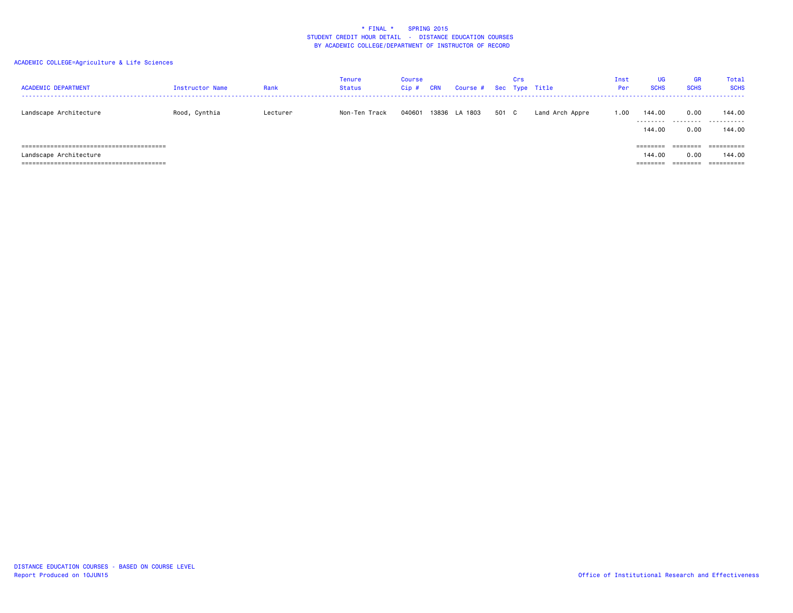| <b>ACADEMIC DEPARTMENT</b> | Instructor Name | Rank     | Tenure<br>Status | Course<br>$Cip$ # | CRN | Course # Sec Type Title |       | Crs |                 | Inst<br>Per | <b>UG</b><br><b>SCHS</b> | <b>GR</b><br><b>SCHS</b> | Total<br><b>SCHS</b> |
|----------------------------|-----------------|----------|------------------|-------------------|-----|-------------------------|-------|-----|-----------------|-------------|--------------------------|--------------------------|----------------------|
| Landscape Architecture     | Rood, Cynthia   | Lecturer | Non-Ten Track    | 040601            |     | 13836 LA 1803           | 501 C |     | Land Arch Appre | 1.00        | 144.00                   | 0.00<br>                 | 144.00<br>.          |
|                            |                 |          |                  |                   |     |                         |       |     |                 |             | 144.00                   | 0.00                     | 144.00               |
|                            |                 |          |                  |                   |     |                         |       |     |                 |             | =======                  |                          | ==========           |
| Landscape Architecture     |                 |          |                  |                   |     |                         |       |     |                 |             | 144.00                   | 0.00                     | 144.00               |
|                            |                 |          |                  |                   |     |                         |       |     |                 |             | ========                 | ========                 | ==========           |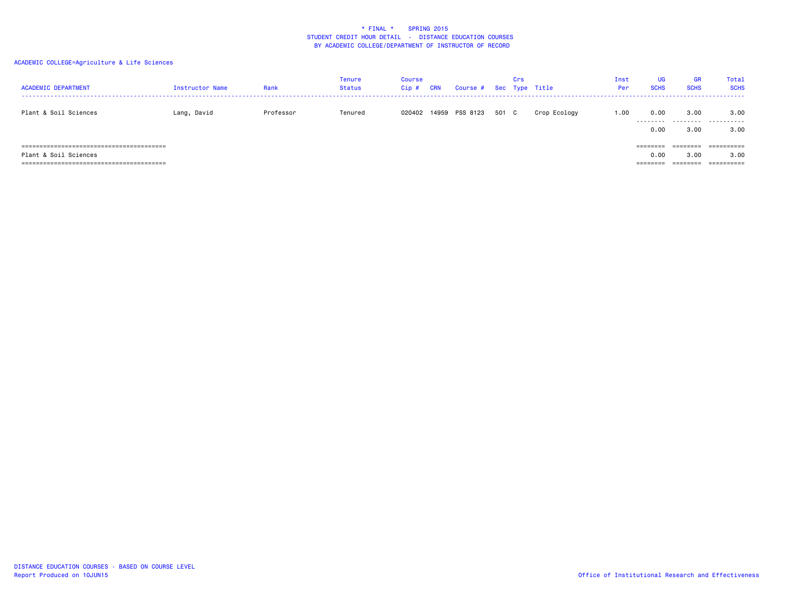| <b>ACADEMIC DEPARTMENT</b> | Instructor Name | Rank      | Tenure<br><b>Status</b> | Course<br>$Cip$ # | <b>CRN</b> | Course # Sec Type Title |       | Crs |              | Inst<br>Per | <b>UG</b><br><b>SCHS</b> | <b>GR</b><br><b>SCHS</b> | Total<br><b>SCHS</b> |
|----------------------------|-----------------|-----------|-------------------------|-------------------|------------|-------------------------|-------|-----|--------------|-------------|--------------------------|--------------------------|----------------------|
| Plant & Soil Sciences      | Lang, David     | Professor | Tenured                 | 020402            |            | 14959 PSS 8123          | 501 C |     | Crop Ecology | 00.1        | 0.00                     | 3.00                     | 3.00<br>             |
|                            |                 |           |                         |                   |            |                         |       |     |              |             | 0.00                     | 3.00                     | 3.00                 |
|                            |                 |           |                         |                   |            |                         |       |     |              |             | ========                 | ========                 | ==========           |
| Plant & Soil Sciences      |                 |           |                         |                   |            |                         |       |     |              |             | 0.00                     | 3.00                     | 3.00                 |
|                            |                 |           |                         |                   |            |                         |       |     |              |             | ========                 | ========                 | ==========           |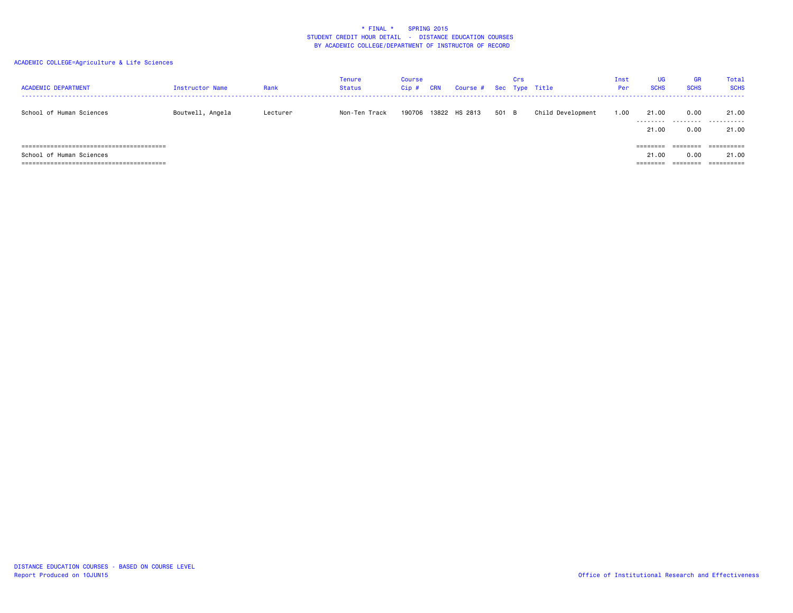| <b>ACADEMIC DEPARTMENT</b> | Instructor Name  | Rank     | <b>Tenure</b><br>Status | Course<br>$Cip$ # | CRN | Course # Sec Type Title |       | Crs |                   | Inst<br>Per | <b>UG</b><br><b>SCHS</b> | <b>GR</b><br><b>SCHS</b> | Total<br><b>SCHS</b> |
|----------------------------|------------------|----------|-------------------------|-------------------|-----|-------------------------|-------|-----|-------------------|-------------|--------------------------|--------------------------|----------------------|
| School of Human Sciences   | Boutwell, Angela | Lecturer | Non-Ten Track           | 190706            |     | 13822 HS 2813           | 501 B |     | Child Development | 1.00        | 21.00                    | 0.00                     | 21.00<br>            |
|                            |                  |          |                         |                   |     |                         |       |     |                   |             | 21.00                    | 0.00                     | 21.00                |
|                            |                  |          |                         |                   |     |                         |       |     |                   |             | ========                 |                          | ==========           |
| School of Human Sciences   |                  |          |                         |                   |     |                         |       |     |                   |             | 21.00                    | 0.00                     | 21.00                |
|                            |                  |          |                         |                   |     |                         |       |     |                   |             | ========                 | ========                 | ==========           |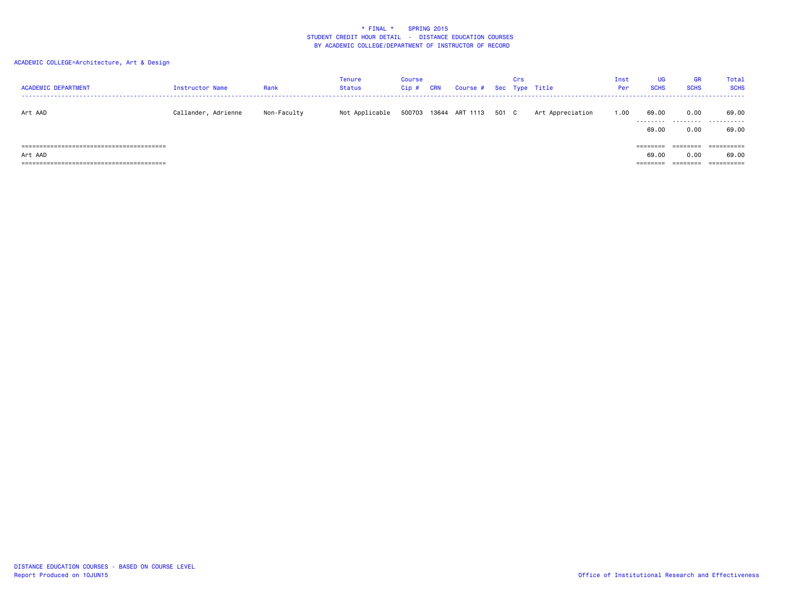| <b>ACADEMIC DEPARTMENT</b> | Instructor Name     | Rank        | <b>Tenure</b><br>Status | Course<br>$Cip$ # | CRN | Course # Sec Type Title |       | Crs |                  | Inst<br>Per | UG<br><b>SCHS</b>                | GR<br><b>SCHS</b>            | Total<br><b>SCHS</b>              |
|----------------------------|---------------------|-------------|-------------------------|-------------------|-----|-------------------------|-------|-----|------------------|-------------|----------------------------------|------------------------------|-----------------------------------|
| Art AAD                    | Callander, Adrienne | Non-Faculty | Not Applicable          |                   |     | 500703 13644 ART 1113   | 501 C |     | Art Appreciation | 1.00        | 69.00<br>---------<br>69.00      | 0.00<br>0.00                 | 69.00<br><br>69.00                |
| Art AAD                    |                     |             |                         |                   |     |                         |       |     |                  |             | $=$ =======<br>69.00<br>-------- | ========<br>0.00<br>======== | ==========<br>69.00<br>========== |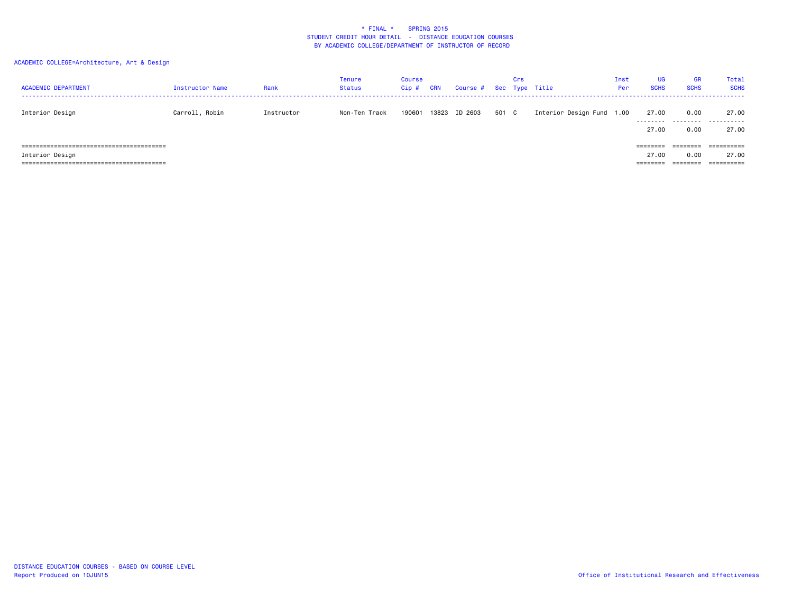| <b>ACADEMIC DEPARTMENT</b>          | Instructor Name | Rank       | <b>Tenure</b><br><b>Status</b> | <b>Course</b><br>Cip# | <b>CRN</b> | Course # Sec Type Title |       | Crs |                           | Inst<br>Per | <b>UG</b><br><b>SCHS</b> | <b>GR</b><br><b>SCHS</b> | Total<br><b>SCHS</b> |
|-------------------------------------|-----------------|------------|--------------------------------|-----------------------|------------|-------------------------|-------|-----|---------------------------|-------------|--------------------------|--------------------------|----------------------|
| Interior Design                     | Carroll, Robin  | Instructor | Non-Ten Track                  | 190601                |            | 13823 ID 2603           | 501 C |     | Interior Design Fund 1.00 |             | 27.00<br>.               | 0.00<br>.                | 27.00<br>.           |
|                                     |                 |            |                                |                       |            |                         |       |     |                           |             | 27.00                    | 0.00                     | 27.00                |
| ==========================<br>===== |                 |            |                                |                       |            |                         |       |     |                           |             | $=$ = = = = = = =        | ========                 | ==========           |
| Interior Design                     |                 |            |                                |                       |            |                         |       |     |                           |             | 27.00                    | 0.00                     | 27.00                |
|                                     |                 |            |                                |                       |            |                         |       |     |                           |             | --------                 | ========                 | -----------          |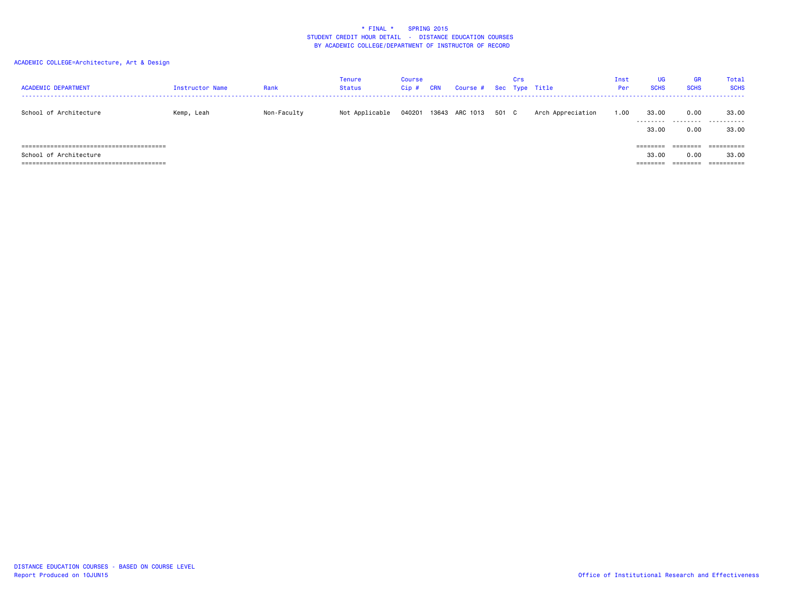| <b>ACADEMIC DEPARTMENT</b> | Instructor Name | Rank        | Tenure<br>Status | Course<br>$Cip$ # | <b>CRN</b> | Course # Sec Type Title |       | Crs |                   | Inst<br>Per | <b>UG</b><br><b>SCHS</b>                                                                     | <b>GR</b><br><b>SCHS</b> | Total<br><b>SCHS</b> |
|----------------------------|-----------------|-------------|------------------|-------------------|------------|-------------------------|-------|-----|-------------------|-------------|----------------------------------------------------------------------------------------------|--------------------------|----------------------|
| School of Architecture     | Kemp, Leah      | Non-Faculty | Not Applicable   | 040201            |            | 13643 ARC 1013          | 501 C |     | Arch Appreciation | 1.00        | 33.00<br>.<br>33.00                                                                          | 0.00<br>0.00             | 33.00<br><br>33.00   |
| School of Architecture     |                 |             |                  |                   |            |                         |       |     |                   |             | $\qquad \qquad \equiv \equiv \equiv \equiv \equiv \equiv \equiv \equiv$<br>33,00<br>======== | 0.00<br>========         | 33.00                |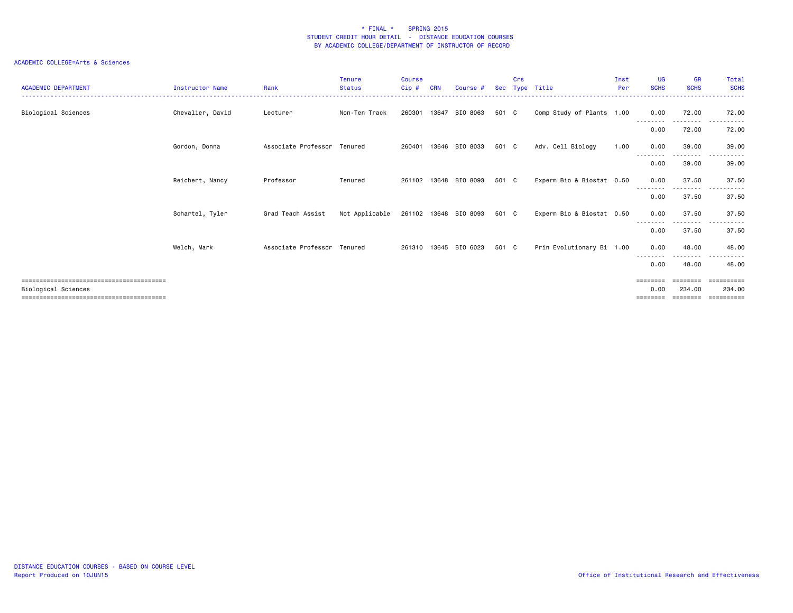| <b>ACADEMIC DEPARTMENT</b>                                   | <b>Instructor Name</b> | Rank                        | <b>Tenure</b><br><b>Status</b> | <b>Course</b><br>Cip# | <b>CRN</b> | Course #              | Sec   | Crs | Type Title                | Inst<br>Per | <b>UG</b><br><b>SCHS</b> | <b>GR</b><br><b>SCHS</b> | Total<br><b>SCHS</b>  |
|--------------------------------------------------------------|------------------------|-----------------------------|--------------------------------|-----------------------|------------|-----------------------|-------|-----|---------------------------|-------------|--------------------------|--------------------------|-----------------------|
| Biological Sciences                                          | Chevalier, David       | Lecturer                    | Non-Ten Track                  | 260301                | 13647      | BIO 8063              | 501 C |     | Comp Study of Plants 1.00 |             | 0.00                     | 72.00                    | 72.00                 |
|                                                              |                        |                             |                                |                       |            |                       |       |     |                           |             | 0.00                     | 72.00                    | 72.00                 |
|                                                              | Gordon, Donna          | Associate Professor Tenured |                                | 260401                |            | 13646 BIO 8033        | 501 C |     | Adv. Cell Biology         | 1.00        | 0.00                     | 39,00<br>. <b>.</b> .    | 39.00                 |
|                                                              |                        |                             |                                |                       |            |                       |       |     |                           |             | 0.00                     | 39,00                    | 39.00                 |
|                                                              | Reichert, Nancy        | Professor                   | Tenured                        | 261102                |            | 13648 BIO 8093        | 501 C |     | Experm Bio & Biostat 0.50 |             | 0.00                     | 37.50                    | 37.50                 |
|                                                              |                        |                             |                                |                       |            |                       |       |     |                           |             | 0.00                     | 37.50                    | 37.50                 |
|                                                              | Schartel, Tyler        | Grad Teach Assist           | Not Applicable                 |                       |            | 261102 13648 BIO 8093 | 501 C |     | Experm Bio & Biostat 0.50 |             | 0.00                     | 37.50<br>. <b>.</b>      | 37.50                 |
|                                                              |                        |                             |                                |                       |            |                       |       |     |                           |             | 0.00                     | 37.50                    | 37.50                 |
|                                                              | Welch, Mark            | Associate Professor Tenured |                                |                       |            | 261310 13645 BIO 6023 | 501 C |     | Prin Evolutionary Bi 1.00 |             | 0.00<br>--------         | 48.00<br>.               | 48.00<br>. <u>.</u> . |
|                                                              |                        |                             |                                |                       |            |                       |       |     |                           |             | 0.00                     | 48.00                    | 48.00                 |
|                                                              |                        |                             |                                |                       |            |                       |       |     |                           |             | ========                 | ========                 | ==========            |
| Biological Sciences<br>===================================== |                        |                             |                                |                       |            |                       |       |     |                           |             | 0.00<br>========         | 234.00<br>========       | 234.00                |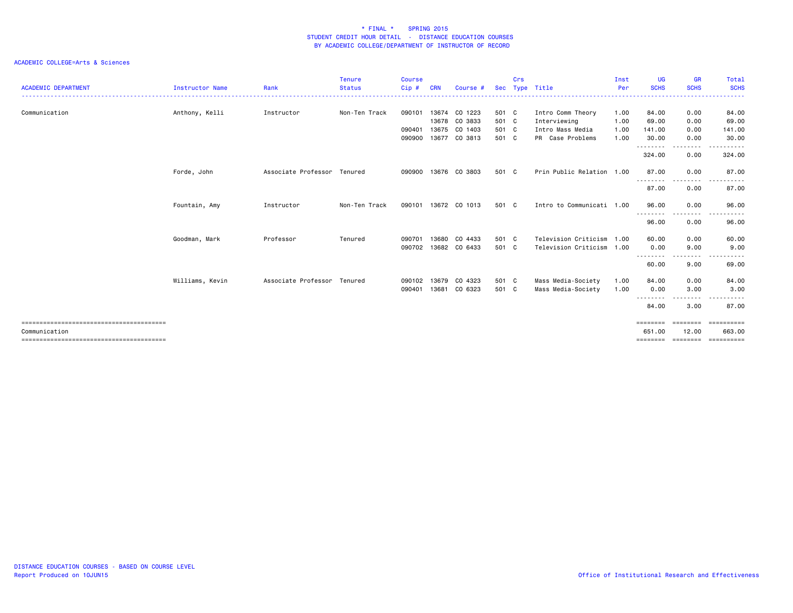| <b>ACADEMIC DEPARTMENT</b> | <b>Instructor Name</b> | Rank                        | <b>Tenure</b><br><b>Status</b> | <b>Course</b><br>Cip# | CRN   | Course #      | <b>Sec</b> | Crs | Type Title                | Inst<br>Per | UG<br><b>SCHS</b>  | <b>GR</b><br><b>SCHS</b> | Total<br><b>SCHS</b>   |
|----------------------------|------------------------|-----------------------------|--------------------------------|-----------------------|-------|---------------|------------|-----|---------------------------|-------------|--------------------|--------------------------|------------------------|
|                            |                        |                             |                                |                       |       |               |            |     |                           |             |                    |                          |                        |
| Communication              | Anthony, Kelli         | Instructor                  | Non-Ten Track                  | 090101                | 13674 | CO 1223       | 501 C      |     | Intro Comm Theory         | 1.00        | 84.00              | 0.00                     | 84.00                  |
|                            |                        |                             |                                |                       | 13678 | CO 3833       | 501 C      |     | Interviewing              | 1.00        | 69.00              | 0.00                     | 69.00                  |
|                            |                        |                             |                                | 090401                | 13675 | CO 1403       | 501 C      |     | Intro Mass Media          | 1.00        | 141.00             | 0.00                     | 141.00                 |
|                            |                        |                             |                                | 090900                | 13677 | CO 3813       | 501 C      |     | PR Case Problems          | 1.00        | 30,00              | 0.00                     | 30.00                  |
|                            |                        |                             |                                |                       |       |               |            |     |                           |             | .<br>324.00        | .<br>0.00                | . <b>.</b> .<br>324.00 |
|                            | Forde, John            | Associate Professor Tenured |                                | 090900                |       | 13676 CO 3803 | 501 C      |     | Prin Public Relation 1.00 |             | 87.00              | 0.00                     | 87.00                  |
|                            |                        |                             |                                |                       |       |               |            |     |                           |             | .<br>87.00         | --------<br>0.00         | 87.00                  |
|                            | Fountain, Amy          | Instructor                  | Non-Ten Track                  | 090101                |       | 13672 CO 1013 | 501 C      |     | Intro to Communicati 1.00 |             | 96.00              | 0.00                     | 96.00                  |
|                            |                        |                             |                                |                       |       |               |            |     |                           |             | .<br>96.00         | -----<br>0.00            | .<br>96.00             |
|                            | Goodman, Mark          | Professor                   | Tenured                        | 090701                | 13680 | CO 4433       | 501 C      |     | Television Criticism      | 1.00        | 60.00              | 0.00                     | 60.00                  |
|                            |                        |                             |                                | 090702                |       | 13682 CO 6433 | 501 C      |     | Television Criticism      | 1.00        | 0.00               | 9.00                     | 9.00                   |
|                            |                        |                             |                                |                       |       |               |            |     |                           |             | 60.00              | 9.00                     | 69.00                  |
|                            | Williams, Kevin        | Associate Professor         | Tenured                        | 090102                | 13679 | CO 4323       | 501 C      |     | Mass Media-Society        | 1.00        | 84.00              | 0.00                     | 84.00                  |
|                            |                        |                             |                                | 090401                | 13681 | CO 6323       | 501 C      |     | Mass Media-Society        | 1.00        | 0.00<br>.          | 3.00<br>.                | 3.00                   |
|                            |                        |                             |                                |                       |       |               |            |     |                           |             | 84.00              | 3.00                     | 87.00                  |
|                            |                        |                             |                                |                       |       |               |            |     |                           |             | ========           | <b>ESSESSE</b>           | ==========             |
| Communication              |                        |                             |                                |                       |       |               |            |     |                           |             | 651,00<br>======== | 12.00<br><b>EEEEEEE</b>  | 663,00<br>==========   |
|                            |                        |                             |                                |                       |       |               |            |     |                           |             |                    |                          |                        |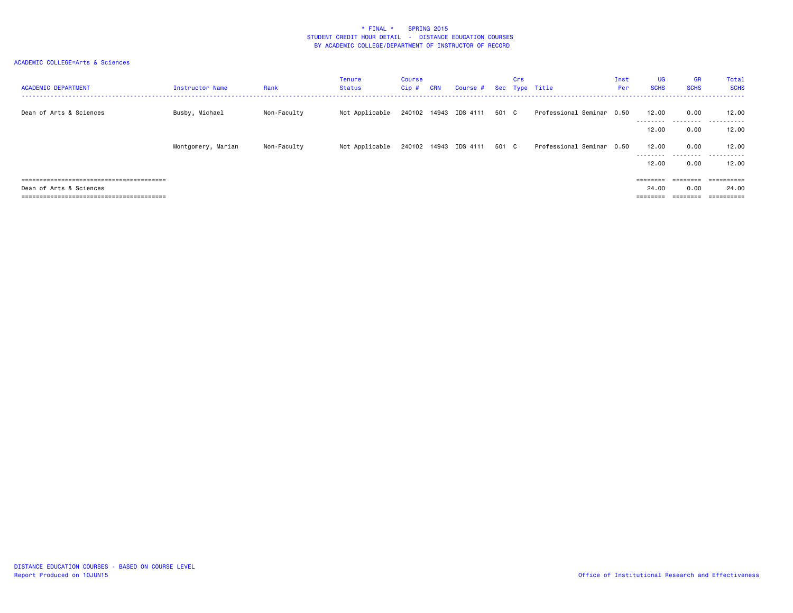| <b>ACADEMIC DEPARTMENT</b> | Instructor Name    | Rank        | <b>Tenure</b><br><b>Status</b> | Course<br>$Cip$ # | <b>CRN</b> | Course # Sec Type Title     |       | Crs |                           | Inst<br>Per | <b>UG</b><br><b>SCHS</b> | <b>GR</b><br><b>SCHS</b> | Total<br><b>SCHS</b> |
|----------------------------|--------------------|-------------|--------------------------------|-------------------|------------|-----------------------------|-------|-----|---------------------------|-------------|--------------------------|--------------------------|----------------------|
| Dean of Arts & Sciences    | Busby, Michael     | Non-Faculty | Not Applicable                 |                   |            | 240102 14943 IDS 4111 501 C |       |     | Professional Seminar 0.50 |             | 12.00                    | 0.00                     | 12.00                |
|                            |                    |             |                                |                   |            |                             |       |     |                           |             | ---------<br>12.00       | ---------<br>0.00        | .<br>12.00           |
|                            | Montgomery, Marian | Non-Faculty | Not Applicable                 |                   |            | 240102 14943 IDS 4111       | 501 C |     | Professional Seminar 0.50 |             | 12.00                    | 0.00                     | 12.00                |
|                            |                    |             |                                |                   |            |                             |       |     |                           |             | ---------<br>12.00       | 0.00                     | <br>12.00            |
|                            |                    |             |                                |                   |            |                             |       |     |                           |             | ========                 | ========                 | ==========           |
| Dean of Arts & Sciences    |                    |             |                                |                   |            |                             |       |     |                           |             | 24.00                    | 0.00                     | 24.00                |
|                            |                    |             |                                |                   |            |                             |       |     |                           |             |                          |                          | ==========           |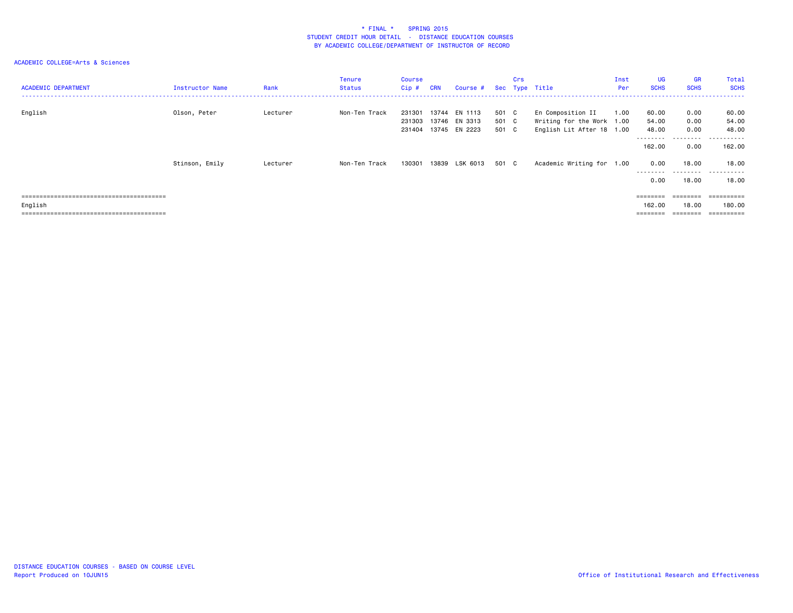| <b>ACADEMIC DEPARTMENT</b> | Instructor Name | Rank     | <b>Tenure</b><br><b>Status</b> | Course<br>Cip#             | <b>CRN</b> | Course #                                  |                         | Crs | Sec Type Title                                                              | Inst<br>Per | UG<br><b>SCHS</b>       | <b>GR</b><br><b>SCHS</b>   | Total<br><b>SCHS</b>         |
|----------------------------|-----------------|----------|--------------------------------|----------------------------|------------|-------------------------------------------|-------------------------|-----|-----------------------------------------------------------------------------|-------------|-------------------------|----------------------------|------------------------------|
| English                    | Olson, Peter    | Lecturer | Non-Ten Track                  | 231301<br>231303<br>231404 | 13744      | EN 1113<br>13746 EN 3313<br>13745 EN 2223 | 501 C<br>501 C<br>501 C |     | En Composition II<br>Writing for the Work 1.00<br>English Lit After 18 1.00 | 1.00        | 60.00<br>54.00<br>48.00 | 0.00<br>0.00<br>0.00       | 60.00<br>54.00<br>48.00      |
|                            |                 |          |                                |                            |            |                                           |                         |     |                                                                             |             | --------<br>162.00      | .<br>0.00                  | .<br>.<br>162,00             |
|                            | Stinson, Emily  | Lecturer | Non-Ten Track                  | 130301                     |            | 13839 LSK 6013                            | 501 C                   |     | Academic Writing for 1.00                                                   |             | 0.00<br>---------       | 18.00<br>- - - - - - - - - | 18.00<br>- - - - - -<br>$ -$ |
|                            |                 |          |                                |                            |            |                                           |                         |     |                                                                             |             | 0.00                    | 18.00                      | 18,00                        |
|                            |                 |          |                                |                            |            |                                           |                         |     |                                                                             |             | ========                | $=$ = = = = = = =          | ==========                   |
| English                    |                 |          |                                |                            |            |                                           |                         |     |                                                                             |             | 162.00                  | 18.00                      | 180.00                       |
|                            |                 |          |                                |                            |            |                                           |                         |     |                                                                             |             | ========                | $=$ = = = = = = =          | ==========                   |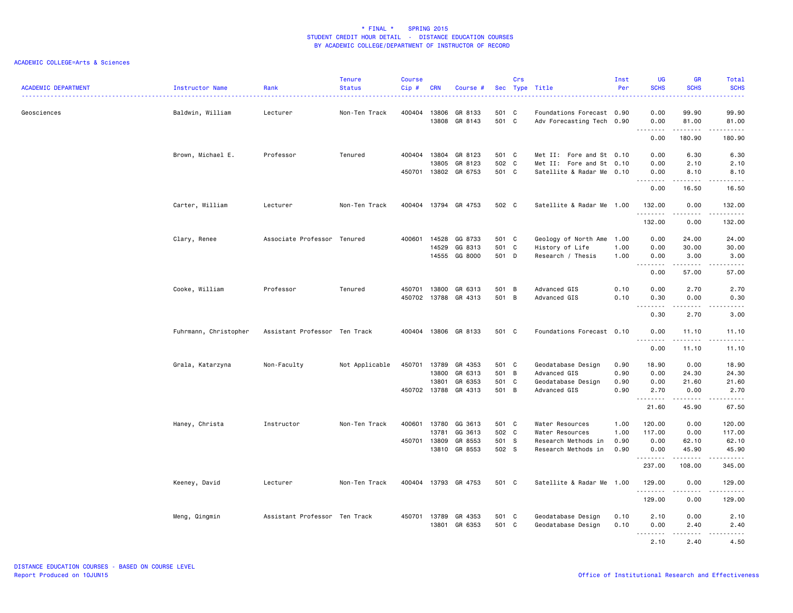|                            |                       |                               | <b>Tenure</b>  | <b>Course</b> |              |                      |       | Crs      |                           | Inst | <b>UG</b>             | <b>GR</b>                 | Total                                                                                                                                                        |
|----------------------------|-----------------------|-------------------------------|----------------|---------------|--------------|----------------------|-------|----------|---------------------------|------|-----------------------|---------------------------|--------------------------------------------------------------------------------------------------------------------------------------------------------------|
| <b>ACADEMIC DEPARTMENT</b> | Instructor Name       | Rank                          | <b>Status</b>  | Cip#          | <b>CRN</b>   | Course #             | Sec   |          | Type Title                | Per  | <b>SCHS</b>           | <b>SCHS</b>               | <b>SCHS</b><br>$\frac{1}{2}$ . $\frac{1}{2}$ . $\frac{1}{2}$                                                                                                 |
| Geosciences                | Baldwin, William      | Lecturer                      | Non-Ten Track  | 400404        | 13806        | GR 8133              | 501 C |          | Foundations Forecast 0.90 |      | 0.00                  | 99.90                     | 99.90                                                                                                                                                        |
|                            |                       |                               |                |               | 13808        | GR 8143              | 501 C |          | Adv Forecasting Tech 0.90 |      | 0.00                  | 81.00                     | 81.00                                                                                                                                                        |
|                            |                       |                               |                |               |              |                      |       |          |                           |      | .<br>0.00             | $- - - - - - -$<br>180.90 | .<br>180.90                                                                                                                                                  |
|                            | Brown, Michael E.     | Professor                     | Tenured        | 400404        | 13804        | GR 8123              | 501 C |          | Met II: Fore and St 0.10  |      | 0.00                  | 6.30                      | 6.30                                                                                                                                                         |
|                            |                       |                               |                |               | 13805        | GR 8123              | 502   | <b>C</b> | Met II: Fore and St 0.10  |      | 0.00                  | 2.10                      | 2.10                                                                                                                                                         |
|                            |                       |                               |                |               |              | 450701 13802 GR 6753 | 501 C |          | Satellite & Radar Me 0.10 |      | 0.00<br><u>.</u>      | 8.10<br>.                 | 8.10<br>.                                                                                                                                                    |
|                            |                       |                               |                |               |              |                      |       |          |                           |      | 0.00                  | 16.50                     | 16.50                                                                                                                                                        |
|                            | Carter, William       | Lecturer                      | Non-Ten Track  | 400404        |              | 13794 GR 4753        | 502 C |          | Satellite & Radar Me 1.00 |      | 132.00<br>.           | 0.00                      | 132.00<br>.                                                                                                                                                  |
|                            |                       |                               |                |               |              |                      |       |          |                           |      | 132.00                | 0.00                      | 132.00                                                                                                                                                       |
|                            | Clary, Renee          | Associate Professor Tenured   |                | 400601        | 14528        | GG 8733              | 501 C |          | Geology of North Ame 1.00 |      | 0.00                  | 24.00                     | 24.00                                                                                                                                                        |
|                            |                       |                               |                |               | 14529        | GG 8313              | 501 C |          | History of Life           | 1.00 | 0.00                  | 30.00                     | 30.00                                                                                                                                                        |
|                            |                       |                               |                |               | 14555        | GG 8000              | 501 D |          | Research / Thesis         | 1.00 | 0.00<br>$\sim$ $\sim$ | 3.00<br>.                 | 3.00<br>.                                                                                                                                                    |
|                            |                       |                               |                |               |              |                      |       |          |                           |      | 0.00                  | 57.00                     | 57.00                                                                                                                                                        |
|                            | Cooke, William        | Professor                     | Tenured        | 450701        | 13800        | GR 6313              | 501 B |          | Advanced GIS              | 0.10 | 0.00                  | 2.70                      | 2.70                                                                                                                                                         |
|                            |                       |                               |                |               |              | 450702 13788 GR 4313 | 501 B |          | Advanced GIS              | 0.10 | 0.30<br>.             | 0.00<br>.                 | 0.30<br>$\frac{1}{2} \left( \frac{1}{2} \right) \left( \frac{1}{2} \right) \left( \frac{1}{2} \right) \left( \frac{1}{2} \right) \left( \frac{1}{2} \right)$ |
|                            |                       |                               |                |               |              |                      |       |          |                           |      | $\sim$<br>0.30        | 2.70                      | 3.00                                                                                                                                                         |
|                            | Fuhrmann, Christopher | Assistant Professor Ten Track |                | 400404        |              | 13806 GR 8133        | 501 C |          | Foundations Forecast 0.10 |      | 0.00<br>$\sim$ $\sim$ | 11.10<br>-----            | 11.10<br>$\frac{1}{2}$                                                                                                                                       |
|                            |                       |                               |                |               |              |                      |       |          |                           |      | 0.00                  | 11.10                     | 11.10                                                                                                                                                        |
|                            | Grala, Katarzyna      | Non-Faculty                   | Not Applicable | 450701        | 13789        | GR 4353              | 501 C |          | Geodatabase Design        | 0.90 | 18.90                 | 0.00                      | 18.90                                                                                                                                                        |
|                            |                       |                               |                |               | 13800        | GR 6313              | 501 B |          | Advanced GIS              | 0.90 | 0.00                  | 24.30                     | 24.30                                                                                                                                                        |
|                            |                       |                               |                |               | 13801        | GR 6353              | 501   | C        | Geodatabase Design        | 0.90 | 0.00                  | 21.60                     | 21.60                                                                                                                                                        |
|                            |                       |                               |                | 450702        | 13788        | GR 4313              | 501 B |          | Advanced GIS              | 0.90 | 2.70<br>.             | 0.00<br>$- - - - -$       | 2.70<br>.                                                                                                                                                    |
|                            |                       |                               |                |               |              |                      |       |          |                           |      | 21.60                 | 45.90                     | 67.50                                                                                                                                                        |
|                            | Haney, Christa        | Instructor                    | Non-Ten Track  |               |              | 400601 13780 GG 3613 | 501 C |          | Water Resources           | 1.00 | 120.00                | 0.00                      | 120.00                                                                                                                                                       |
|                            |                       |                               |                |               | 13781        | GG 3613              | 502 C |          | Water Resources           | 1.00 | 117.00                | 0.00                      | 117.00                                                                                                                                                       |
|                            |                       |                               |                |               | 450701 13809 | GR 8553              | 501 S |          | Research Methods in       | 0.90 | 0.00                  | 62.10                     | 62.10                                                                                                                                                        |
|                            |                       |                               |                |               | 13810        | GR 8553              | 502 S |          | Research Methods in       | 0.90 | 0.00<br>.             | 45.90<br>.                | 45.90<br>.                                                                                                                                                   |
|                            |                       |                               |                |               |              |                      |       |          |                           |      | 237.00                | 108.00                    | 345.00                                                                                                                                                       |
|                            | Keeney, David         | Lecturer                      | Non-Ten Track  | 400404        |              | 13793 GR 4753        | 501 C |          | Satellite & Radar Me 1.00 |      | 129.00<br>.           | 0.00<br>.                 | 129.00<br><u>.</u>                                                                                                                                           |
|                            |                       |                               |                |               |              |                      |       |          |                           |      | 129.00                | 0.00                      | 129.00                                                                                                                                                       |
|                            | Meng, Qingmin         | Assistant Professor Ten Track |                |               | 450701 13789 | GR 4353              | 501 C |          | Geodatabase Design        | 0.10 | 2.10                  | 0.00                      | 2.10                                                                                                                                                         |
|                            |                       |                               |                |               |              | 13801 GR 6353        | 501 C |          | Geodatabase Design        | 0.10 | 0.00                  | 2.40                      | 2.40                                                                                                                                                         |
|                            |                       |                               |                |               |              |                      |       |          |                           |      | $- - - - -$<br>2.10   | .<br>2.40                 | .<br>4.50                                                                                                                                                    |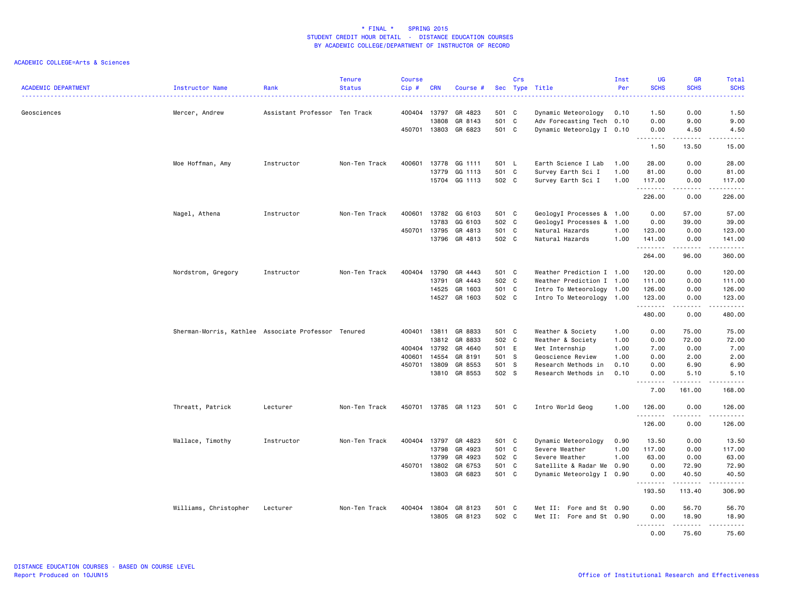| <b>ACADEMIC DEPARTMENT</b> | Instructor Name                                     | Rank                          | <b>Tenure</b><br><b>Status</b> | Course<br>Cip# | <b>CRN</b>     | Course #                 |                | Crs | Sec Type Title                                   | Inst<br>Per  | <b>UG</b><br><b>SCHS</b> | <b>GR</b><br><b>SCHS</b>                                                                                                                                     | Total<br><b>SCHS</b>      |
|----------------------------|-----------------------------------------------------|-------------------------------|--------------------------------|----------------|----------------|--------------------------|----------------|-----|--------------------------------------------------|--------------|--------------------------|--------------------------------------------------------------------------------------------------------------------------------------------------------------|---------------------------|
| Geosciences                | Mercer, Andrew                                      | Assistant Professor Ten Track |                                | 400404         | 13797<br>13808 | GR 4823<br>GR 8143       | 501 C<br>501 C |     | Dynamic Meteorology<br>Adv Forecasting Tech 0.10 | 0.10         | 1.50<br>0.00             | 0.00<br>9.00                                                                                                                                                 | 1.50<br>9.00              |
|                            |                                                     |                               |                                | 450701         | 13803          | GR 6823                  | 501 C          |     | Dynamic Meteorolgy I 0.10                        |              | 0.00                     | 4.50                                                                                                                                                         | 4.50                      |
|                            |                                                     |                               |                                |                |                |                          |                |     |                                                  |              | .<br>1.50                | المستمدة<br>13.50                                                                                                                                            | .<br>15.00                |
|                            | Moe Hoffman, Amy                                    | Instructor                    | Non-Ten Track                  | 400601         | 13778          | GG 1111                  | 501 L          |     | Earth Science I Lab                              | 1.00         | 28.00                    | 0.00                                                                                                                                                         | 28.00                     |
|                            |                                                     |                               |                                |                | 13779          | GG 1113<br>15704 GG 1113 | 501 C<br>502 C |     | Survey Earth Sci I<br>Survey Earth Sci I         | 1.00<br>1.00 | 81.00<br>117.00          | 0.00<br>0.00                                                                                                                                                 | 81.00<br>117.00           |
|                            |                                                     |                               |                                |                |                |                          |                |     |                                                  |              | .<br>226.00              | .<br>0.00                                                                                                                                                    | $- - - - - - -$<br>226.00 |
|                            | Nagel, Athena                                       | Instructor                    | Non-Ten Track                  | 400601         |                | 13782 GG 6103            | 501 C          |     | GeologyI Processes & 1.00                        |              | 0.00                     | 57.00                                                                                                                                                        | 57.00                     |
|                            |                                                     |                               |                                |                | 13783          | GG 6103                  | 502 C          |     | GeologyI Processes & 1.00                        |              | 0.00                     | 39.00                                                                                                                                                        | 39.00                     |
|                            |                                                     |                               |                                | 450701 13795   |                | GR 4813                  | 501 C          |     | Natural Hazards                                  | 1.00         | 123.00                   | 0.00                                                                                                                                                         | 123.00                    |
|                            |                                                     |                               |                                |                | 13796          | GR 4813                  | 502 C          |     | Natural Hazards                                  | 1.00         | 141.00<br>.              | 0.00<br>$- - - - -$                                                                                                                                          | 141.00<br>$- - - - - - -$ |
|                            |                                                     |                               |                                |                |                |                          |                |     |                                                  |              | 264.00                   | 96.00                                                                                                                                                        | 360.00                    |
|                            | Nordstrom, Gregory                                  | Instructor                    | Non-Ten Track                  | 400404         | 13790          | GR 4443                  | 501 C          |     | Weather Prediction I 1.00                        |              | 120.00                   | 0.00                                                                                                                                                         | 120.00                    |
|                            |                                                     |                               |                                |                | 13791          | GR 4443                  | 502 C          |     | Weather Prediction I 1.00                        |              | 111.00                   | 0.00                                                                                                                                                         | 111.00                    |
|                            |                                                     |                               |                                |                | 14525          | GR 1603                  | 501            | C   | Intro To Meteorology 1.00                        |              | 126.00                   | 0.00                                                                                                                                                         | 126.00                    |
|                            |                                                     |                               |                                |                | 14527          | GR 1603                  | 502 C          |     | Intro To Meteorology 1.00                        |              | 123.00                   | 0.00                                                                                                                                                         | 123.00<br>.               |
|                            |                                                     |                               |                                |                |                |                          |                |     |                                                  |              | .<br>480.00              | .<br>0.00                                                                                                                                                    | 480.00                    |
|                            | Sherman-Morris, Kathlee Associate Professor Tenured |                               |                                | 400401 13811   |                | GR 8833                  | 501 C          |     | Weather & Society                                | 1.00         | 0.00                     | 75.00                                                                                                                                                        | 75.00                     |
|                            |                                                     |                               |                                |                | 13812          | GR 8833                  | 502 C          |     | Weather & Society                                | 1.00         | 0.00                     | 72.00                                                                                                                                                        | 72.00                     |
|                            |                                                     |                               |                                | 400404         | 13792          | GR 4640                  | 501 E          |     | Met Internship                                   | 1.00         | 7.00                     | 0.00                                                                                                                                                         | 7.00                      |
|                            |                                                     |                               |                                | 400601         | 14554          | GR 8191                  | 501 S          |     | Geoscience Review                                | 1.00         | 0.00                     | 2.00                                                                                                                                                         | 2.00                      |
|                            |                                                     |                               |                                | 450701         | 13809          | GR 8553                  | 501 S          |     | Research Methods in                              | 0.10         | 0.00                     | 6.90                                                                                                                                                         | 6.90                      |
|                            |                                                     |                               |                                |                |                | 13810 GR 8553            | 502 S          |     | Research Methods in                              | 0.10         | 0.00<br>.                | 5.10<br>$\frac{1}{2} \left( \frac{1}{2} \right) \left( \frac{1}{2} \right) \left( \frac{1}{2} \right) \left( \frac{1}{2} \right) \left( \frac{1}{2} \right)$ | 5.10<br>.                 |
|                            |                                                     |                               |                                |                |                |                          |                |     |                                                  |              | 7.00                     | 161.00                                                                                                                                                       | 168.00                    |
|                            | Threatt, Patrick                                    | Lecturer                      | Non-Ten Track                  | 450701         |                | 13785 GR 1123            | 501 C          |     | Intro World Geog                                 | 1.00         | 126.00<br>.              | 0.00                                                                                                                                                         | 126.00<br>.               |
|                            |                                                     |                               |                                |                |                |                          |                |     |                                                  |              | 126.00                   | 0.00                                                                                                                                                         | 126.00                    |
|                            | Wallace, Timothy                                    | Instructor                    | Non-Ten Track                  | 400404 13797   |                | GR 4823                  | 501 C          |     | Dynamic Meteorology                              | 0.90         | 13.50                    | 0.00                                                                                                                                                         | 13.50                     |
|                            |                                                     |                               |                                |                | 13798          | GR 4923                  | 501 C          |     | Severe Weather                                   | 1.00         | 117,00                   | 0.00                                                                                                                                                         | 117.00                    |
|                            |                                                     |                               |                                |                | 13799          | GR 4923                  | 502 C          |     | Severe Weather                                   | 1.00         | 63.00                    | 0.00                                                                                                                                                         | 63.00                     |
|                            |                                                     |                               |                                | 450701 13802   |                | GR 6753                  | 501 C          |     | Satellite & Radar Me                             | 0.90         | 0.00                     | 72.90                                                                                                                                                        | 72.90                     |
|                            |                                                     |                               |                                |                | 13803          | GR 6823                  | 501 C          |     | Dynamic Meteorolgy I 0.90                        |              | 0.00<br><u>.</u>         | 40.50<br>.                                                                                                                                                   | 40.50<br>.                |
|                            |                                                     |                               |                                |                |                |                          |                |     |                                                  |              | 193.50                   | 113.40                                                                                                                                                       | 306.90                    |
|                            | Williams, Christopher                               | Lecturer                      | Non-Ten Track                  | 400404         | 13804          | GR 8123                  | 501 C          |     | Met II: Fore and St 0.90                         |              | 0.00                     | 56.70                                                                                                                                                        | 56.70                     |
|                            |                                                     |                               |                                |                |                | 13805 GR 8123            | 502 C          |     | Met II: Fore and St 0.90                         |              | 0.00                     | 18.90                                                                                                                                                        | 18.90                     |
|                            |                                                     |                               |                                |                |                |                          |                |     |                                                  |              | <u>.</u><br>0.00         | .<br>75.60                                                                                                                                                   | .<br>75.60                |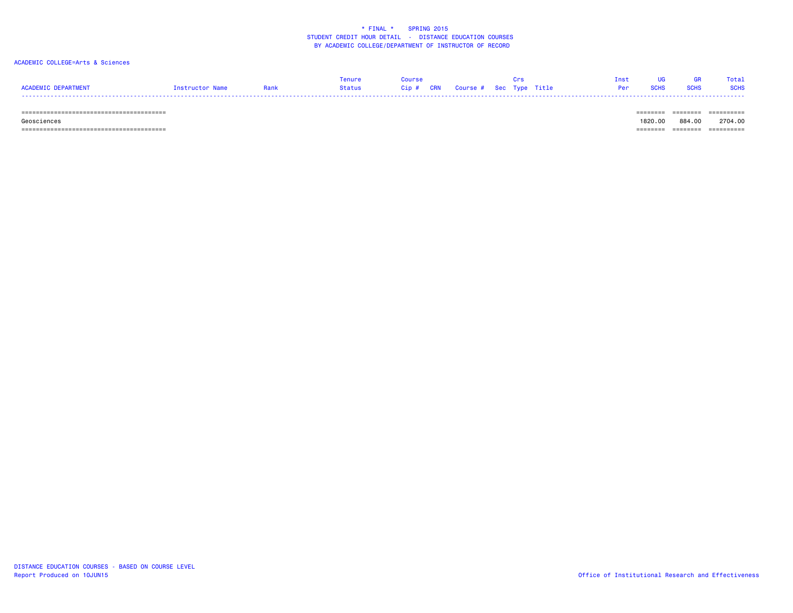#### ACADEMIC COLLEGE=Arts & Sciences

|                            |                 | enure  | Course                            |  |     |             | Total       |
|----------------------------|-----------------|--------|-----------------------------------|--|-----|-------------|-------------|
| <b>ACADEMIC DEPARTMENT</b> | Instructor Name | Status | Cip # CRN Course # Sec Type Title |  | Per | <b>SCHS</b> | <b>SCHS</b> |
|                            |                 |        |                                   |  |     |             |             |

#### ======================================== ======== ======== ==========

======================================== ======== ======== ==========

 Geosciences 1820.00 884.00 2704.00-------- ------- ----------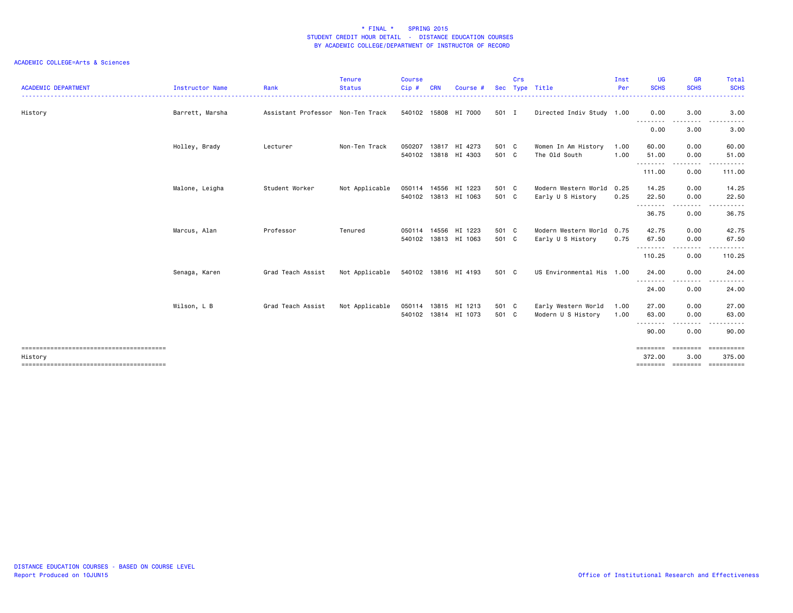| <b>ACADEMIC DEPARTMENT</b> | <b>Instructor Name</b> | Rank                              | <b>Tenure</b><br><b>Status</b> | <b>Course</b><br>Cip # | <b>CRN</b> | Course #             | <b>Sec</b> | Crs | Type Title                | Inst<br>Per | UG<br><b>SCHS</b>  | <b>GR</b><br><b>SCHS</b>                                                                                                                                     | Total<br><b>SCHS</b> |
|----------------------------|------------------------|-----------------------------------|--------------------------------|------------------------|------------|----------------------|------------|-----|---------------------------|-------------|--------------------|--------------------------------------------------------------------------------------------------------------------------------------------------------------|----------------------|
| History                    | Barrett, Marsha        | Assistant Professor Non-Ten Track |                                |                        |            | 540102 15808 HI 7000 | 501 I      |     | Directed Indiv Study 1.00 |             | 0.00               | 3.00                                                                                                                                                         | 3.00                 |
|                            |                        |                                   |                                |                        |            |                      |            |     |                           |             | .<br>0.00          | .<br>3.00                                                                                                                                                    | .<br>3.00            |
|                            | Holley, Brady          | Lecturer                          | Non-Ten Track                  | 050207                 |            | 13817 HI 4273        | 501 C      |     | Women In Am History       | 1.00        | 60.00              | 0.00                                                                                                                                                         | 60.00                |
|                            |                        |                                   |                                | 540102                 |            | 13818 HI 4303        | 501 C      |     | The Old South             | 1.00        | 51.00<br>.         | 0.00<br>---------                                                                                                                                            | 51.00                |
|                            |                        |                                   |                                |                        |            |                      |            |     |                           |             | 111.00             | 0.00                                                                                                                                                         | 111.00               |
|                            | Malone, Leigha         | Student Worker                    | Not Applicable                 | 050114                 |            | 14556 HI 1223        | 501 C      |     | Modern Western World      | 0.25        | 14.25              | 0.00                                                                                                                                                         | 14.25                |
|                            |                        |                                   |                                |                        |            | 540102 13813 HI 1063 | 501 C      |     | Early U S History         | 0.25        | 22.50              | 0.00                                                                                                                                                         | 22.50                |
|                            |                        |                                   |                                |                        |            |                      |            |     |                           |             | .<br>36.75         | .<br>0.00                                                                                                                                                    | 36.75                |
|                            | Marcus, Alan           | Professor                         | Tenured                        |                        |            | 050114 14556 HI 1223 | 501 C      |     | Modern Western World      | 0.75        | 42.75              | 0.00                                                                                                                                                         | 42.75                |
|                            |                        |                                   |                                |                        |            | 540102 13813 HI 1063 | 501 C      |     | Early U S History         | 0.75        | 67.50              | 0.00                                                                                                                                                         | 67.50                |
|                            |                        |                                   |                                |                        |            |                      |            |     |                           |             | .<br>110.25        | $\frac{1}{2} \left( \frac{1}{2} \right) \left( \frac{1}{2} \right) \left( \frac{1}{2} \right) \left( \frac{1}{2} \right) \left( \frac{1}{2} \right)$<br>0.00 | 110.25               |
|                            | Senaga, Karen          | Grad Teach Assist                 | Not Applicable                 |                        |            | 540102 13816 HI 4193 | 501 C      |     | US Environmental His 1.00 |             | 24.00              | 0.00                                                                                                                                                         | 24.00                |
|                            |                        |                                   |                                |                        |            |                      |            |     |                           |             | .<br>24.00         | -----<br>0.00                                                                                                                                                | 24.00                |
|                            | Wilson, L B            | Grad Teach Assist                 | Not Applicable                 | 050114                 |            | 13815 HI 1213        | 501 C      |     | Early Western World       | 1.00        | 27.00              | 0.00                                                                                                                                                         | 27.00                |
|                            |                        |                                   |                                |                        |            | 540102 13814 HI 1073 | 501 C      |     | Modern U S History        | 1.00        | 63.00              | 0.00                                                                                                                                                         | 63.00                |
|                            |                        |                                   |                                |                        |            |                      |            |     |                           |             | .<br>90.00         | .<br>0.00                                                                                                                                                    | 90.00                |
|                            |                        |                                   |                                |                        |            |                      |            |     |                           |             | ========           | ========                                                                                                                                                     |                      |
| History                    |                        |                                   |                                |                        |            |                      |            |     |                           |             | 372.00<br>======== | 3,00<br>========                                                                                                                                             | 375.00<br>========== |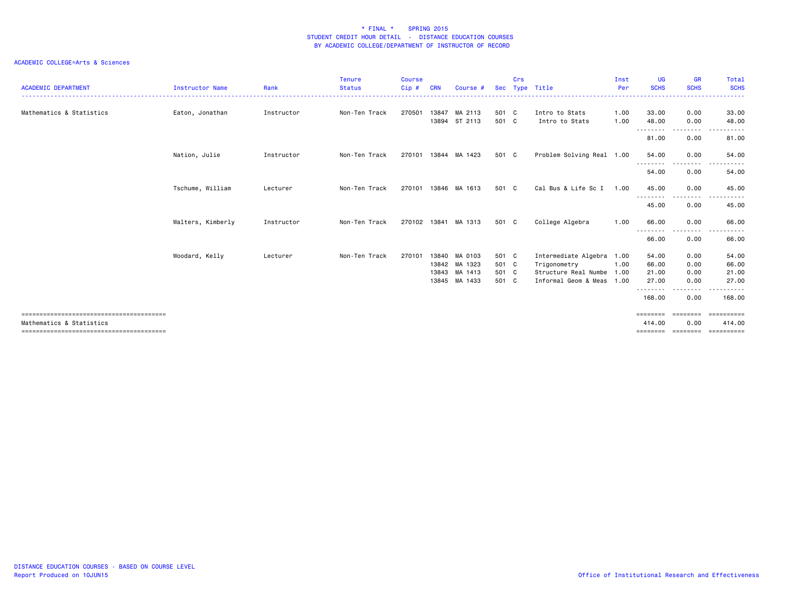| <b>ACADEMIC DEPARTMENT</b> | <b>Instructor Name</b> | Rank       | <b>Tenure</b><br><b>Status</b> | <b>Course</b><br>Cip# | <b>CRN</b> | Course #      |       | Crs | Sec Type Title            | Inst<br>Per | <b>UG</b><br><b>SCHS</b> | <b>GR</b><br><b>SCHS</b> | Total<br><b>SCHS</b> |
|----------------------------|------------------------|------------|--------------------------------|-----------------------|------------|---------------|-------|-----|---------------------------|-------------|--------------------------|--------------------------|----------------------|
| Mathematics & Statistics   | Eaton, Jonathan        | Instructor | Non-Ten Track                  | 270501                | 13847      | MA 2113       | 501 C |     | Intro to Stats            | 1.00        | 33.00                    | 0.00                     | 33.00                |
|                            |                        |            |                                |                       | 13894      | ST 2113       | 501 C |     | Intro to Stats            | 1.00        | 48.00                    | 0.00                     | 48.00<br>$- - -$     |
|                            |                        |            |                                |                       |            |               |       |     |                           |             | ---------<br>81.00       | ---------<br>0.00        | .<br>81.00           |
|                            | Nation, Julie          | Instructor | Non-Ten Track                  | 270101                |            | 13844 MA 1423 | 501 C |     | Problem Solving Real 1.00 |             | 54.00                    | 0.00                     | 54.00                |
|                            |                        |            |                                |                       |            |               |       |     |                           |             | --------<br>54.00        | $\cdots$<br>0.00         | 54.00                |
|                            | Tschume, William       | Lecturer   | Non-Ten Track                  | 270101                | 13846      | MA 1613       | 501 C |     | Cal Bus & Life Sc I       | 1.00        | 45.00                    | 0.00                     | 45.00                |
|                            |                        |            |                                |                       |            |               |       |     |                           |             | ---------<br>45.00       | 0.00                     | 45.00                |
|                            | Walters, Kimberly      | Instructor | Non-Ten Track                  | 270102                | 13841      | MA 1313       | 501 C |     | College Algebra           | 1.00        | 66.00                    | 0.00                     | 66.00                |
|                            |                        |            |                                |                       |            |               |       |     |                           |             | 66.00                    | ----<br>0.00             | 66.00                |
|                            | Woodard, Kelly         | Lecturer   | Non-Ten Track                  | 270101                | 13840      | MA 0103       | 501 C |     | Intermediate Algebra 1.00 |             | 54.00                    | 0.00                     | 54.00                |
|                            |                        |            |                                |                       | 13842      | MA 1323       | 501 C |     | Trigonometry              | 1.00        | 66.00                    | 0.00                     | 66.00                |
|                            |                        |            |                                |                       | 13843      | MA 1413       | 501 C |     | Structure Real Numbe 1.00 |             | 21.00                    | 0.00                     | 21.00                |
|                            |                        |            |                                |                       | 13845      | MA 1433       | 501 C |     | Informal Geom & Meas 1.00 |             | 27.00<br>---------       | 0.00<br>.                | 27.00<br>.           |
|                            |                        |            |                                |                       |            |               |       |     |                           |             | 168.00                   | 0.00                     | 168.00               |
|                            |                        |            |                                |                       |            |               |       |     |                           |             |                          | =================        | ==========           |
| Mathematics & Statistics   |                        |            |                                |                       |            |               |       |     |                           |             | 414.00<br>========       | 0.00<br>========         | 414.00<br>========== |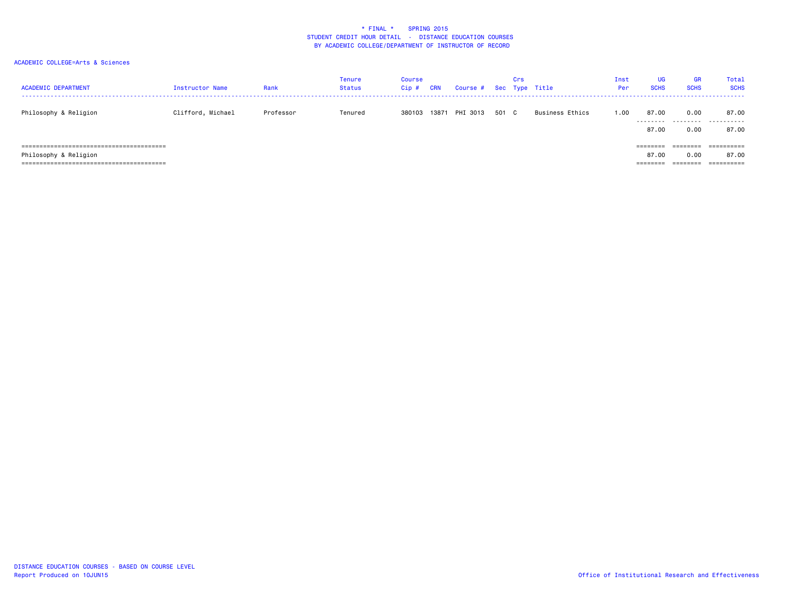| <b>ACADEMIC DEPARTMENT</b> | Instructor Name   | Rank      | <b>Tenure</b><br><b>Status</b> | Course<br>Cip# | <b>CRN</b> | Course # Sec Type Title |       | Crs |                 | Inst<br>Per | UG<br><b>SCHS</b> | <b>GR</b><br><b>SCHS</b> | Total<br><b>SCHS</b> |
|----------------------------|-------------------|-----------|--------------------------------|----------------|------------|-------------------------|-------|-----|-----------------|-------------|-------------------|--------------------------|----------------------|
| Philosophy & Religion      | Clifford, Michael | Professor | Tenured                        | 380103         | 13871      | PHI 3013                | 501 C |     | Business Ethics | 00 ، ا      | 87.00<br>.        | 0.00<br>.                | 87.00<br>.           |
|                            |                   |           |                                |                |            |                         |       |     |                 |             | 87.00             | 0.00                     | 87.00                |
|                            |                   |           |                                |                |            |                         |       |     |                 |             | ---------         |                          | ==========           |
| Philosophy & Religion      |                   |           |                                |                |            |                         |       |     |                 |             | 87.00             | 0.00                     | 87.00                |
|                            |                   |           |                                |                |            |                         |       |     |                 |             | ========          | ========                 | ==========           |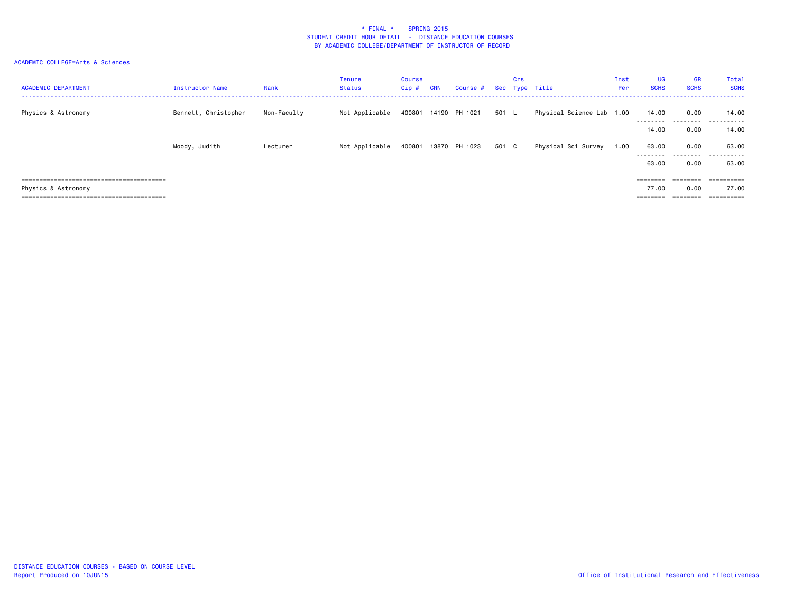| <b>ACADEMIC DEPARTMENT</b> | Instructor Name      | Rank        | <b>Tenure</b><br>Status | Course<br>$Cip$ # | <b>CRN</b> | Course # Sec Type Title |       | Crs |                           | Inst<br>Per | <b>UG</b><br><b>SCHS</b> | <b>GR</b><br><b>SCHS</b> | Total<br><b>SCHS</b>     |
|----------------------------|----------------------|-------------|-------------------------|-------------------|------------|-------------------------|-------|-----|---------------------------|-------------|--------------------------|--------------------------|--------------------------|
| Physics & Astronomy        | Bennett, Christopher | Non-Faculty | Not Applicable          |                   |            | 400801 14190 PH 1021    | 501 L |     | Physical Science Lab 1.00 |             | 14.00                    | 0.00                     | 14.00                    |
|                            |                      |             |                         |                   |            |                         |       |     |                           |             | ---------<br>14.00       | .<br>0.00                | .<br>---<br>14.00        |
|                            | Moody, Judith        | Lecturer    | Not Applicable          | 400801            |            | 13870 PH 1023           | 501 C |     | Physical Sci Survey       | 1.00        | 63.00<br>---------       | 0.00<br>.                | 63.00<br>-------<br>---- |
|                            |                      |             |                         |                   |            |                         |       |     |                           |             | 63.00                    | 0.00                     | 63.00                    |
|                            |                      |             |                         |                   |            |                         |       |     |                           |             | $=$ = = = = = = =        | ========                 | ==========               |
| Physics & Astronomy        |                      |             |                         |                   |            |                         |       |     |                           |             | 77.00                    | 0.00                     | 77.00                    |
|                            |                      |             |                         |                   |            |                         |       |     |                           |             | =======                  |                          | $=$ = = = = = = = = =    |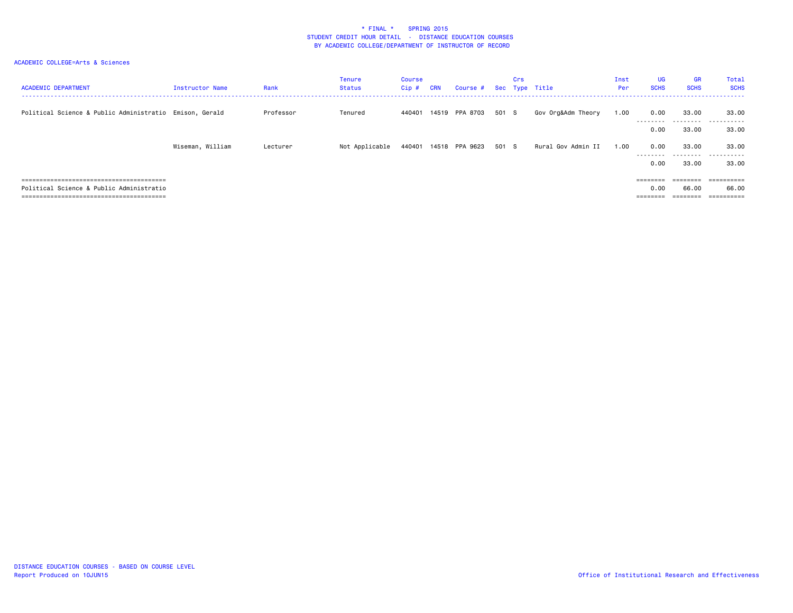| <b>ACADEMIC DEPARTMENT</b>                              | Instructor Name  | Rank      | <b>Tenure</b><br><b>Status</b> | Course<br>$Cip$ # | <b>CRN</b> | Course #              |       | Crs | Sec Type Title     | Inst<br>Per | <b>UG</b><br><b>SCHS</b>  | <b>GR</b><br><b>SCHS</b>    | Total<br><b>SCHS</b> |
|---------------------------------------------------------|------------------|-----------|--------------------------------|-------------------|------------|-----------------------|-------|-----|--------------------|-------------|---------------------------|-----------------------------|----------------------|
| Political Science & Public Administratio Emison, Gerald |                  | Professor | Tenured                        | 440401            |            | 14519 PPA 8703        | 501 S |     | Gov Org&Adm Theory | 1.00        | 0.00<br>---------<br>0.00 | 33.00<br>---------<br>33.00 | 33.00<br>.<br>33.00  |
|                                                         | Wiseman, William | Lecturer  | Not Applicable                 |                   |            | 440401 14518 PPA 9623 | 501 S |     | Rural Gov Admin II | 1.00        | 0.00<br>---------<br>0.00 | 33.00<br>---------<br>33.00 | 33.00<br>.<br>33.00  |
| Political Science & Public Administratio                |                  |           |                                |                   |            |                       |       |     |                    |             | 0.00<br>========          | ---------<br>66.00          | =========<br>66.00   |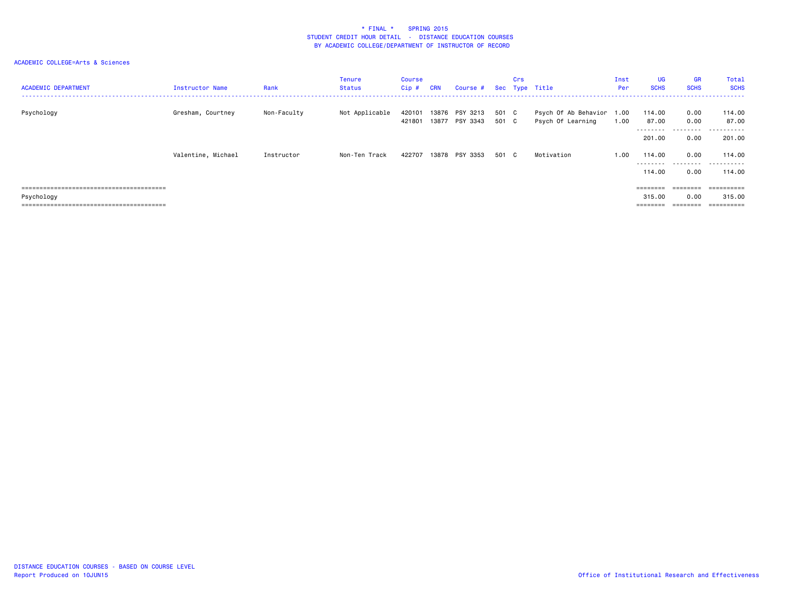| <b>ACADEMIC DEPARTMENT</b> | Instructor Name    | Rank        | <b>Tenure</b><br><b>Status</b> | Course<br>Cip#   | <b>CRN</b> | Course #                   |                | Crs | Sec Type Title                            | Inst<br>Per  | <b>UG</b><br><b>SCHS</b>     | <b>GR</b><br><b>SCHS</b> | Total<br><b>SCHS</b>               |
|----------------------------|--------------------|-------------|--------------------------------|------------------|------------|----------------------------|----------------|-----|-------------------------------------------|--------------|------------------------------|--------------------------|------------------------------------|
| Psychology                 | Gresham, Courtney  | Non-Faculty | Not Applicable                 | 420101<br>421801 | 13876      | PSY 3213<br>13877 PSY 3343 | 501 C<br>501 C |     | Psych Of Ab Behavior<br>Psych Of Learning | 1.00<br>1.00 | 114.00<br>87.00<br>--------- | 0.00<br>0.00<br>.        | 114.00<br>87.00<br>-------<br>$ -$ |
|                            |                    |             |                                |                  |            |                            |                |     |                                           |              | 201.00                       | 0.00                     | 201.00                             |
|                            | Valentine, Michael | Instructor  | Non-Ten Track                  | 422707           | 13878      | PSY 3353                   | 501 C          |     | Motivation                                | 1.00         | 114,00<br>---------          | 0.00                     | 114.00                             |
|                            |                    |             |                                |                  |            |                            |                |     |                                           |              | 114,00                       | 0.00                     | 114,00                             |
|                            |                    |             |                                |                  |            |                            |                |     |                                           |              |                              |                          | ==========                         |
| Psychology                 |                    |             |                                |                  |            |                            |                |     |                                           |              | 315.00                       | 0.00                     | 315,00                             |
|                            |                    |             |                                |                  |            |                            |                |     |                                           |              |                              |                          | ==========                         |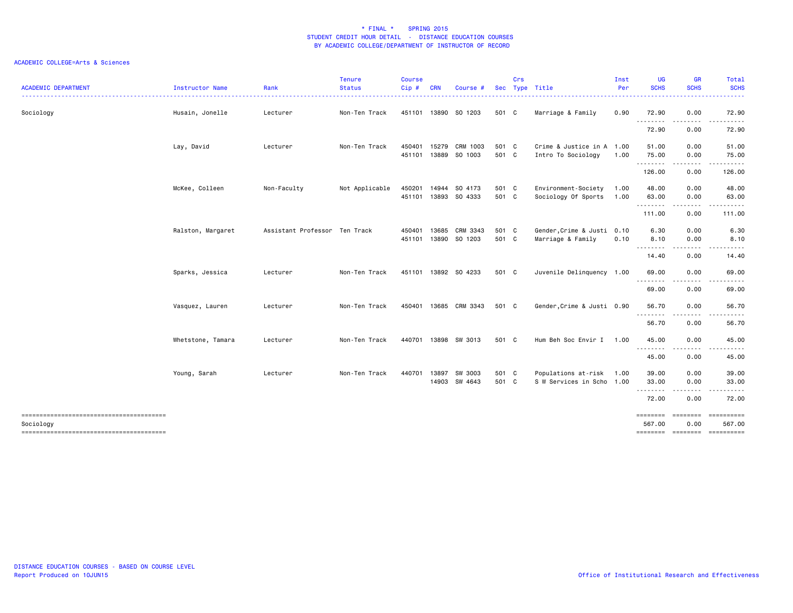| <b>ACADEMIC DEPARTMENT</b> | <b>Instructor Name</b> | Rank                          | <b>Tenure</b><br><b>Status</b> | <b>Course</b><br>Cip# | <b>CRN</b>     | Course #                 |                | Crs | Sec Type Title                                        | Inst<br>Per  | <b>UG</b><br><b>SCHS</b>       | <b>GR</b><br><b>SCHS</b>                                                                                                          | Total<br><b>SCHS</b>                                                                                                                                          |
|----------------------------|------------------------|-------------------------------|--------------------------------|-----------------------|----------------|--------------------------|----------------|-----|-------------------------------------------------------|--------------|--------------------------------|-----------------------------------------------------------------------------------------------------------------------------------|---------------------------------------------------------------------------------------------------------------------------------------------------------------|
| Sociology                  | Husain, Jonelle        | Lecturer                      | Non-Ten Track                  | 451101                |                | 13890 SO 1203            | 501 C          |     | Marriage & Family                                     | 0.90         | 72.90                          | 0.00                                                                                                                              | 72.90                                                                                                                                                         |
|                            |                        |                               |                                |                       |                |                          |                |     |                                                       |              | .<br>72.90                     | $\frac{1}{2} \left( \frac{1}{2} \right) \left( \frac{1}{2} \right) \left( \frac{1}{2} \right) \left( \frac{1}{2} \right)$<br>0.00 | 72.90                                                                                                                                                         |
|                            | Lay, David             | Lecturer                      | Non-Ten Track                  | 450401<br>451101      | 15279<br>13889 | CRM 1003<br>SO 1003      | 501 C<br>501 C |     | Crime & Justice in A 1.00<br>Intro To Sociology       | 1.00         | 51.00<br>75.00                 | 0.00<br>0.00                                                                                                                      | 51.00<br>75.00                                                                                                                                                |
|                            |                        |                               |                                |                       |                |                          |                |     |                                                       |              | .<br>126.00                    | .<br>0.00                                                                                                                         | 126.00                                                                                                                                                        |
|                            | McKee, Colleen         | Non-Faculty                   | Not Applicable                 | 450201<br>451101      | 14944          | SO 4173<br>13893 SO 4333 | 501 C<br>501 C |     | Environment-Society<br>Sociology Of Sports            | 1.00<br>1.00 | 48.00<br>63.00                 | 0.00<br>0.00                                                                                                                      | 48.00<br>63.00                                                                                                                                                |
|                            |                        |                               |                                |                       |                |                          |                |     |                                                       |              | .<br>111.00                    | .<br>0.00                                                                                                                         | .<br>111.00                                                                                                                                                   |
|                            | Ralston, Margaret      | Assistant Professor Ten Track |                                | 450401<br>451101      | 13685<br>13890 | CRM 3343<br>SO 1203      | 501 C<br>501 C |     | Gender, Crime & Justi 0.10<br>Marriage & Family       | 0.10         | 6.30<br>8.10                   | 0.00<br>0.00                                                                                                                      | 6.30<br>8.10                                                                                                                                                  |
|                            |                        |                               |                                |                       |                |                          |                |     |                                                       |              | .<br>14.40                     | .<br>0.00                                                                                                                         | 14.40                                                                                                                                                         |
|                            | Sparks, Jessica        | Lecturer                      | Non-Ten Track                  | 451101                |                | 13892 SO 4233            | 501 C          |     | Juvenile Delinquency 1.00                             |              | 69.00                          | 0.00                                                                                                                              | 69.00                                                                                                                                                         |
|                            |                        |                               |                                |                       |                |                          |                |     |                                                       |              | .<br>69.00                     | .<br>0.00                                                                                                                         | 69.00                                                                                                                                                         |
|                            | Vasquez, Lauren        | Lecturer                      | Non-Ten Track                  | 450401                |                | 13685 CRM 3343           | 501 C          |     | Gender, Crime & Justi 0.90                            |              | 56.70<br>.                     | 0.00<br>.                                                                                                                         | 56.70<br>$\frac{1}{2} \left( \frac{1}{2} \right) \left( \frac{1}{2} \right) \left( \frac{1}{2} \right) \left( \frac{1}{2} \right) \left( \frac{1}{2} \right)$ |
|                            |                        |                               |                                |                       |                |                          |                |     |                                                       |              | 56.70                          | 0.00                                                                                                                              | 56.70                                                                                                                                                         |
|                            | Whetstone, Tamara      | Lecturer                      | Non-Ten Track                  | 440701                |                | 13898 SW 3013            | 501 C          |     | Hum Beh Soc Envir I                                   | 1.00         | 45.00<br>.                     | 0.00<br>$\frac{1}{2} \frac{1}{2} \frac{1}{2} \frac{1}{2} \frac{1}{2} \frac{1}{2} \frac{1}{2} \frac{1}{2} \frac{1}{2}$             | 45.00                                                                                                                                                         |
|                            |                        |                               |                                |                       |                |                          |                |     |                                                       |              | 45.00                          | 0.00                                                                                                                              | 45.00                                                                                                                                                         |
|                            | Young, Sarah           | Lecturer                      | Non-Ten Track                  | 440701                | 13897          | SW 3003<br>14903 SW 4643 | 501 C<br>501 C |     | Populations at-risk 1.00<br>S W Services in Scho 1.00 |              | 39.00<br>33.00<br>.            | 0.00<br>0.00<br>.                                                                                                                 | 39.00<br>33.00<br>. <b>.</b> .                                                                                                                                |
|                            |                        |                               |                                |                       |                |                          |                |     |                                                       |              | 72.00                          | 0.00                                                                                                                              | 72.00                                                                                                                                                         |
| Sociology                  |                        |                               |                                |                       |                |                          |                |     |                                                       |              | ========<br>567.00<br>======== | <b>COOPERDE</b><br>0.00<br><b>ESSESSES</b>                                                                                        | 567.00<br>==========                                                                                                                                          |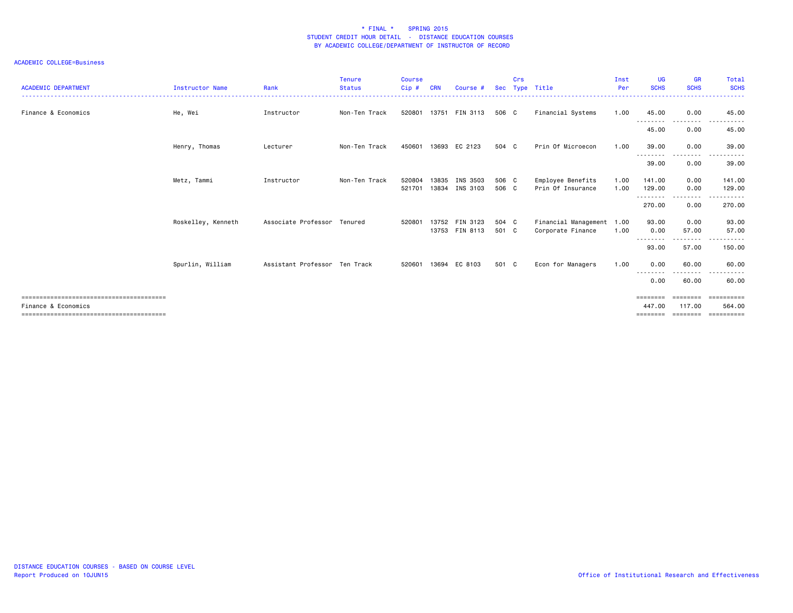| <b>ACADEMIC DEPARTMENT</b> | <b>Instructor Name</b> | Rank                          | <b>Tenure</b><br><b>Status</b> | <b>Course</b><br>$C$ ip $#$ | <b>CRN</b>     | Course #             | <b>Sec</b>     | Crs | Type Title                                     | Inst<br>Per  | <b>UG</b><br><b>SCHS</b>         | <b>GR</b><br><b>SCHS</b>      | Total<br><b>SCHS</b>                     |
|----------------------------|------------------------|-------------------------------|--------------------------------|-----------------------------|----------------|----------------------|----------------|-----|------------------------------------------------|--------------|----------------------------------|-------------------------------|------------------------------------------|
| Finance & Economics        | He, Wei                | Instructor                    | Non-Ten Track                  | 520801                      | 13751          | FIN 3113             | 506 C          |     | Financial Systems                              | 1.00         | 45.00                            | 0.00                          | 45.00                                    |
|                            |                        |                               |                                |                             |                |                      |                |     |                                                |              | ---------<br>45.00               | .<br>0.00                     | 45.00                                    |
|                            | Henry, Thomas          | Lecturer                      | Non-Ten Track                  | 450601                      | 13693          | EC 2123              | 504 C          |     | Prin Of Microecon                              | 1.00         | 39.00<br>---------               | 0.00<br>.                     | 39.00<br>.<br>$ -$                       |
|                            |                        |                               |                                |                             |                |                      |                |     |                                                |              | 39.00                            | 0.00                          | 39.00                                    |
|                            | Metz, Tammi            | Instructor                    | Non-Ten Track                  | 520804<br>521701            | 13835<br>13834 | INS 3503<br>INS 3103 | 506 C<br>506 C |     | Employee Benefits<br>Prin Of Insurance         | 1.00<br>1.00 | 141.00<br>129.00                 | 0.00<br>0.00                  | 141.00<br>129.00                         |
|                            |                        |                               |                                |                             |                |                      |                |     |                                                |              | --------<br>270.00               | --------<br>0.00              | .<br>270.00                              |
|                            | Roskelley, Kenneth     | Associate Professor Tenured   |                                | 520801                      | 13752<br>13753 | FIN 3123<br>FIN 8113 | 504 C<br>501 C |     | Financial Management 1.00<br>Corporate Finance | 1.00         | 93.00<br>0.00                    | 0.00<br>57.00                 | 93.00<br>57.00                           |
|                            |                        |                               |                                |                             |                |                      |                |     |                                                |              | <u> - - - - - - - -</u><br>93.00 | .<br>57.00                    | 150.00                                   |
|                            | Spurlin, William       | Assistant Professor Ten Track |                                | 520601                      | 13694          | EC 8103              | 501 C          |     | Econ for Managers                              | 1.00         | 0.00<br>--------                 | 60.00<br>.                    | 60.00<br>$  -$<br>.                      |
|                            |                        |                               |                                |                             |                |                      |                |     |                                                |              | 0.00                             | 60.00                         | 60.00                                    |
| Finance & Economics        |                        |                               |                                |                             |                |                      |                |     |                                                |              | ========<br>447.00<br>========   | eeeeeee<br>117.00<br>======== | <b>Concococo</b><br>564,00<br>========== |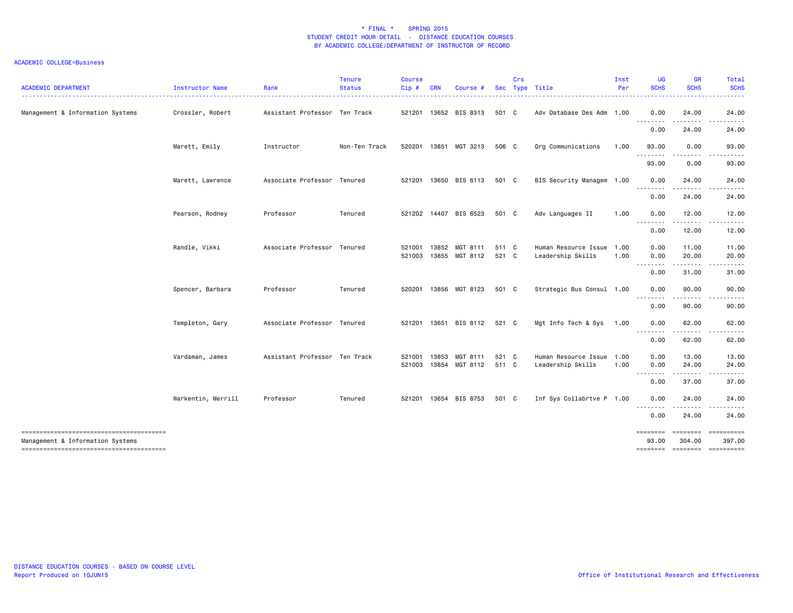| <b>ACADEMIC DEPARTMENT</b>       | Instructor Name    | Rank                          | <b>Tenure</b><br><b>Status</b> | <b>Course</b><br>Cip# | <b>CRN</b> | Course #                   |                | Crs | Sec Type Title                                 | Inst<br>Per | <b>UG</b><br><b>SCHS</b> | <b>GR</b><br><b>SCHS</b>                         | <b>Total</b><br><b>SCHS</b>                                                                                                                                   |
|----------------------------------|--------------------|-------------------------------|--------------------------------|-----------------------|------------|----------------------------|----------------|-----|------------------------------------------------|-------------|--------------------------|--------------------------------------------------|---------------------------------------------------------------------------------------------------------------------------------------------------------------|
| Management & Information Systems | Crossler, Robert   | Assistant Professor Ten Track |                                |                       |            | 521201 13652 BIS 8313      | 501 C          |     | Adv Database Des Adm 1.00                      |             | 0.00<br>.                | 24.00<br>$\frac{1}{2}$                           | 24.00<br>$\frac{1}{2} \left( \frac{1}{2} \right) \left( \frac{1}{2} \right) \left( \frac{1}{2} \right) \left( \frac{1}{2} \right) \left( \frac{1}{2} \right)$ |
|                                  |                    |                               |                                |                       |            |                            |                |     |                                                |             | 0.00                     | 24.00                                            | 24.00                                                                                                                                                         |
|                                  | Marett, Emily      | Instructor                    | Non-Ten Track                  | 520201                |            | 13851 MGT 3213             | 506 C          |     | Org Communications                             | 1.00        | 93.00<br>.               | 0.00<br>.                                        | 93.00                                                                                                                                                         |
|                                  |                    |                               |                                |                       |            |                            |                |     |                                                |             | 93.00                    | 0.00                                             | 93.00                                                                                                                                                         |
|                                  | Marett, Lawrence   | Associate Professor Tenured   |                                | 521201                |            | 13650 BIS 6113             | 501 C          |     | BIS Security Managem 1.00                      |             | 0.00                     | 24.00<br>$\cdots$                                | 24.00<br>.                                                                                                                                                    |
|                                  |                    |                               |                                |                       |            |                            |                |     |                                                |             | - - - - - - - -<br>0.00  | 24.00                                            | 24.00                                                                                                                                                         |
|                                  | Pearson, Rodney    | Professor                     | Tenured                        |                       |            | 521202 14407 BIS 6523      | 501 C          |     | Adv Languages II                               | 1.00        | 0.00<br><u>.</u>         | 12.00                                            | 12.00                                                                                                                                                         |
|                                  |                    |                               |                                |                       |            |                            |                |     |                                                |             | 0.00                     | 12.00                                            | 12.00                                                                                                                                                         |
|                                  | Randle, Vikki      | Associate Professor Tenured   |                                | 521001<br>521003      | 13852      | MGT 8111<br>13855 MGT 8112 | 511 C<br>521 C |     | Human Resource Issue 1.00<br>Leadership Skills | 1.00        | 0.00<br>0.00             | 11.00<br>20.00                                   | 11.00<br>20.00                                                                                                                                                |
|                                  |                    |                               |                                |                       |            |                            |                |     |                                                |             | .<br>0.00                | .<br>31.00                                       | . <b>.</b> .<br>31.00                                                                                                                                         |
|                                  | Spencer, Barbara   | Professor                     | Tenured                        | 520201                |            | 13856 MGT 8123             | 501 C          |     | Strategic Bus Consul 1.00                      |             | 0.00                     | 90.00                                            | 90.00                                                                                                                                                         |
|                                  |                    |                               |                                |                       |            |                            |                |     |                                                |             | .<br>0.00                | . <b>.</b><br>90.00                              | 90.00                                                                                                                                                         |
|                                  | Templeton, Gary    | Associate Professor Tenured   |                                |                       |            | 521201 13651 BIS 8112      | 521 C          |     | Mgt Info Tech & Sys                            | 1.00        | 0.00                     | 62.00                                            | 62.00                                                                                                                                                         |
|                                  |                    |                               |                                |                       |            |                            |                |     |                                                |             | .<br>0.00                | .<br>62.00                                       | .<br>62.00                                                                                                                                                    |
|                                  | Vardaman, James    | Assistant Professor Ten Track |                                | 521001                | 13853      | MGT 8111                   | 521 C          |     | Human Resource Issue 1.00                      |             | 0.00                     | 13.00                                            | 13.00                                                                                                                                                         |
|                                  |                    |                               |                                | 521003                | 13854      | MGT 8112                   | 511 C          |     | Leadership Skills                              | 1.00        | 0.00<br>--------         | 24.00                                            | 24.00                                                                                                                                                         |
|                                  |                    |                               |                                |                       |            |                            |                |     |                                                |             | 0.00                     | 37.00                                            | 37.00                                                                                                                                                         |
|                                  | Warkentin, Merrill | Professor                     | Tenured                        |                       |            | 521201 13654 BIS 8753      | 501 C          |     | Inf Sys Collabrtve P 1.00                      |             | 0.00<br><u>.</u>         | 24.00<br>.                                       | 24.00                                                                                                                                                         |
|                                  |                    |                               |                                |                       |            |                            |                |     |                                                |             | 0.00                     | 24.00                                            | 24.00                                                                                                                                                         |
| Management & Information Systems |                    |                               |                                |                       |            |                            |                |     |                                                |             | ========<br>93.00        | ========<br>304.00<br>-------- ------- --------- | 397.00                                                                                                                                                        |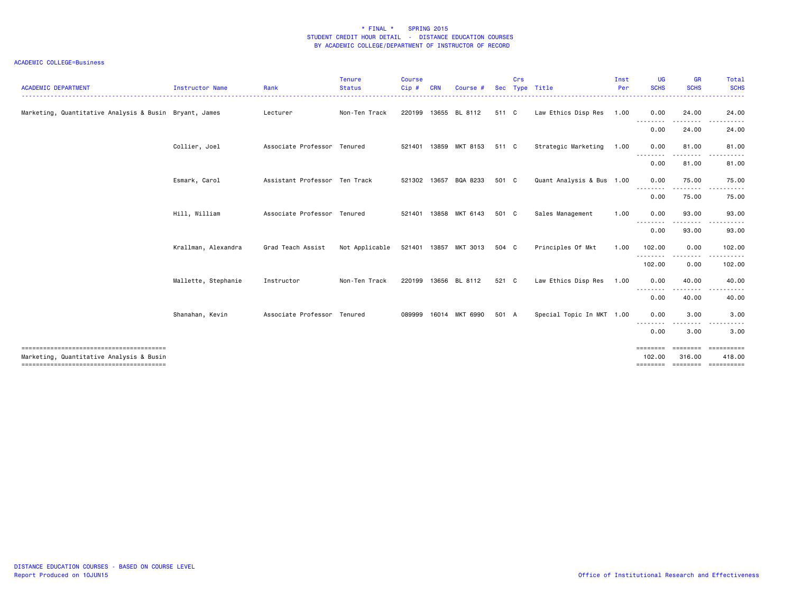| <b>ACADEMIC DEPARTMENT</b>                             | Instructor Name     | Rank                          | <b>Tenure</b><br><b>Status</b> | <b>Course</b><br>Cip# | <b>CRN</b> | Course                |       | Crs | Sec Type Title            | Inst<br>Per | <b>UG</b><br><b>SCHS</b>       | <b>GR</b><br><b>SCHS</b> | Total<br><b>SCHS</b>                         |
|--------------------------------------------------------|---------------------|-------------------------------|--------------------------------|-----------------------|------------|-----------------------|-------|-----|---------------------------|-------------|--------------------------------|--------------------------|----------------------------------------------|
| Marketing, Quantitative Analysis & Busin Bryant, James |                     | Lecturer                      | Non-Ten Track                  | 220199                |            | 13655 BL 8112         | 511 C |     | Law Ethics Disp Res 1.00  |             | 0.00<br><u>.</u>               | 24.00                    | 24.00                                        |
|                                                        |                     |                               |                                |                       |            |                       |       |     |                           |             | 0.00                           | 24.00                    | 24.00                                        |
|                                                        | Collier, Joel       | Associate Professor Tenured   |                                | 521401                |            | 13859 MKT 8153        | 511 C |     | Strategic Marketing       | 1.00        | 0.00                           | 81.00                    | 81.00                                        |
|                                                        |                     |                               |                                |                       |            |                       |       |     |                           |             | .<br>0.00                      | .<br>81.00               | 81.00                                        |
|                                                        | Esmark, Carol       | Assistant Professor Ten Track |                                | 521302                | 13657      | BQA 8233              | 501 C |     | Quant Analysis & Bus 1.00 |             | 0.00<br><u>.</u>               | 75.00                    | 75.00                                        |
|                                                        |                     |                               |                                |                       |            |                       |       |     |                           |             | 0.00                           | 75.00                    | 75.00                                        |
|                                                        | Hill, William       | Associate Professor Tenured   |                                |                       |            | 521401 13858 MKT 6143 | 501 C |     | Sales Management          | 1.00        | 0.00                           | 93.00                    | 93.00                                        |
|                                                        |                     |                               |                                |                       |            |                       |       |     |                           |             | .<br>0.00                      | .<br>93.00               | 93.00                                        |
|                                                        | Krallman, Alexandra | Grad Teach Assist             | Not Applicable                 |                       |            | 521401 13857 MKT 3013 | 504 C |     | Principles Of Mkt         | 1.00        | 102.00                         | 0.00                     | 102.00                                       |
|                                                        |                     |                               |                                |                       |            |                       |       |     |                           |             | -------<br>102.00              | -----<br>0.00            | 102.00                                       |
|                                                        | Mallette, Stephanie | Instructor                    | Non-Ten Track                  | 220199                |            | 13656 BL 8112         | 521 C |     | Law Ethics Disp Res       | 1.00        | 0.00                           | 40.00                    | 40.00                                        |
|                                                        |                     |                               |                                |                       |            |                       |       |     |                           |             | .<br>0.00                      | .<br>40.00               | 40.00                                        |
|                                                        | Shanahan, Kevin     | Associate Professor Tenured   |                                | 089999                |            | 16014 MKT 6990        | 501 A |     | Special Topic In MKT 1.00 |             | 0.00                           | 3.00                     | 3.00                                         |
|                                                        |                     |                               |                                |                       |            |                       |       |     |                           |             | 0.00                           | 3.00                     | 3.00                                         |
| Marketing, Quantitative Analysis & Busin               |                     |                               |                                |                       |            |                       |       |     |                           |             | ========<br>102.00<br>======== | ========<br>316.00       | ==========<br>418.00<br>-------------------- |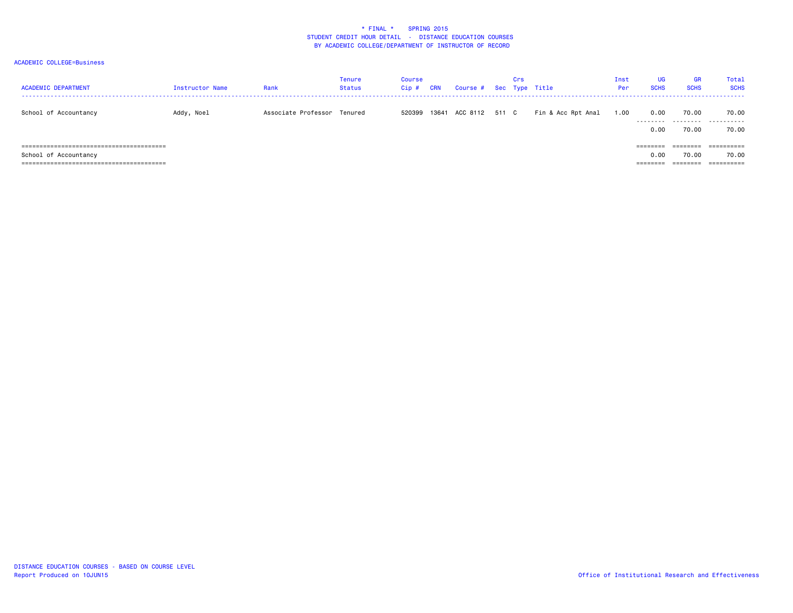| <b>ACADEMIC DEPARTMENT</b> | Instructor Name | Rank                        | <b>Tenure</b><br><b>Status</b> | <b>Course</b><br>Cip# | <b>CRN</b> | Course # Sec Type Title | Crs |                    | Inst<br>Per | <b>UG</b><br><b>SCHS</b> | <b>GR</b><br><b>SCHS</b> | Total<br><b>SCHS</b> |
|----------------------------|-----------------|-----------------------------|--------------------------------|-----------------------|------------|-------------------------|-----|--------------------|-------------|--------------------------|--------------------------|----------------------|
| School of Accountancy      | Addy, Noel      | Associate Professor Tenured |                                | 520399                | 13641      | ACC 8112 511 C          |     | Fin & Acc Rpt Anal | 1.00        | 0.00<br>---------        | 70.00<br>.               | 70.00<br>.           |
|                            |                 |                             |                                |                       |            |                         |     |                    |             | 0.00                     | 70.00                    | 70.00                |
| =========================  |                 |                             |                                |                       |            |                         |     |                    |             | $=$ = = = = = = =        |                          | ==========           |
| School of Accountancy      |                 |                             |                                |                       |            |                         |     |                    |             | 0.00                     | 70.00                    | 70.00                |
|                            |                 |                             |                                |                       |            |                         |     |                    |             | --------                 | ========                 | -----------          |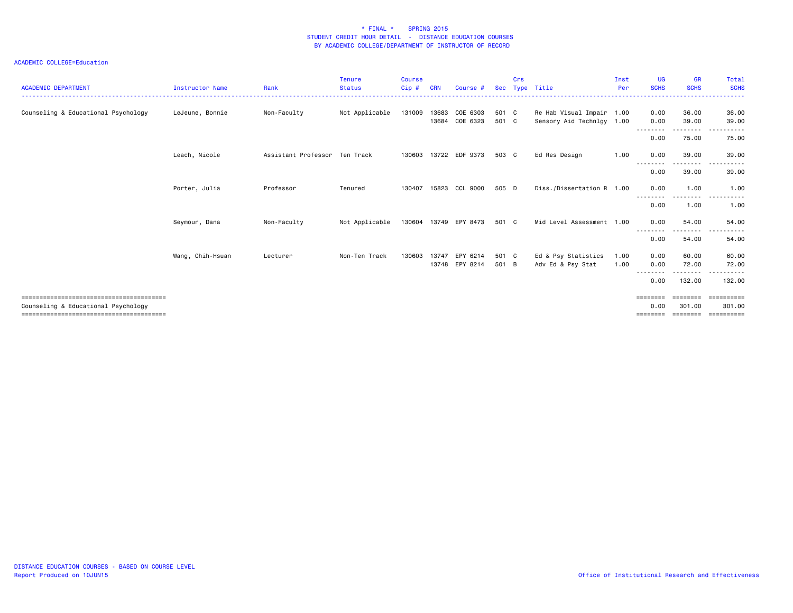| <b>ACADEMIC DEPARTMENT</b>          | <b>Instructor Name</b> | Rank                          | <b>Tenure</b><br><b>Status</b> | <b>Course</b><br>Cip# | <b>CRN</b>     | Course #             | Sec            | Crs | Type Title                                             | Inst<br>Per  | <b>UG</b><br><b>SCHS</b>              | <b>GR</b><br><b>SCHS</b>                | Total<br><b>SCHS</b>                                                                                                                                          |
|-------------------------------------|------------------------|-------------------------------|--------------------------------|-----------------------|----------------|----------------------|----------------|-----|--------------------------------------------------------|--------------|---------------------------------------|-----------------------------------------|---------------------------------------------------------------------------------------------------------------------------------------------------------------|
| Counseling & Educational Psychology | LeJeune, Bonnie        | Non-Faculty                   | Not Applicable                 | 131009                | 13683<br>13684 | COE 6303<br>COE 6323 | 501 C<br>501 C |     | Re Hab Visual Impair 1.00<br>Sensory Aid Technlgy 1.00 |              | 0.00<br>0.00                          | 36.00<br>39.00                          | 36.00<br>39.00                                                                                                                                                |
|                                     |                        |                               |                                |                       |                |                      |                |     |                                                        |              | --------<br>0.00                      | 75.00                                   | 75.00                                                                                                                                                         |
|                                     | Leach, Nicole          | Assistant Professor Ten Track |                                | 130603                |                | 13722 EDF 9373       | 503 C          |     | Ed Res Design                                          | 1.00         | 0.00<br>$  -$                         | 39.00                                   | 39.00<br>- - - - -                                                                                                                                            |
|                                     |                        |                               |                                |                       |                |                      |                |     |                                                        |              | 0.00                                  | 39.00                                   | 39.00                                                                                                                                                         |
|                                     | Porter, Julia          | Professor                     | Tenured                        | 130407                | 15823          | CCL 9000             | 505 D          |     | Diss./Dissertation R 1.00                              |              | 0.00<br>$\frac{1}{2}$                 | 1.00                                    | 1.00                                                                                                                                                          |
|                                     |                        |                               |                                |                       |                |                      |                |     |                                                        |              | 0.00                                  | 1.00                                    | 1.00                                                                                                                                                          |
|                                     | Seymour, Dana          | Non-Faculty                   | Not Applicable                 | 130604                | 13749          | EPY 8473             | 501 C          |     | Mid Level Assessment 1.00                              |              | 0.00<br>--------                      | 54.00<br>.                              | 54.00<br>$\frac{1}{2} \left( \frac{1}{2} \right) \left( \frac{1}{2} \right) \left( \frac{1}{2} \right) \left( \frac{1}{2} \right) \left( \frac{1}{2} \right)$ |
|                                     |                        |                               |                                |                       |                |                      |                |     |                                                        |              | 0.00                                  | 54.00                                   | 54.00                                                                                                                                                         |
|                                     | Wang, Chih-Hsuan       | Lecturer                      | Non-Ten Track                  | 130603                | 13747<br>13748 | EPY 6214<br>EPY 8214 | 501 C<br>501 B |     | Ed & Psy Statistics<br>Adv Ed & Psy Stat               | 1.00<br>1.00 | 0.00<br>0.00                          | 60.00<br>72.00                          | 60.00<br>72.00                                                                                                                                                |
|                                     |                        |                               |                                |                       |                |                      |                |     |                                                        |              | --------<br>0.00                      | ---------<br>132.00                     | .<br>132.00                                                                                                                                                   |
| Counseling & Educational Psychology |                        |                               |                                |                       |                |                      |                |     |                                                        |              | $=$ = = = = = = =<br>0.00<br>======== | $=$ = = = = = = =<br>301.00<br>======== | ==========<br>301.00<br>-----------                                                                                                                           |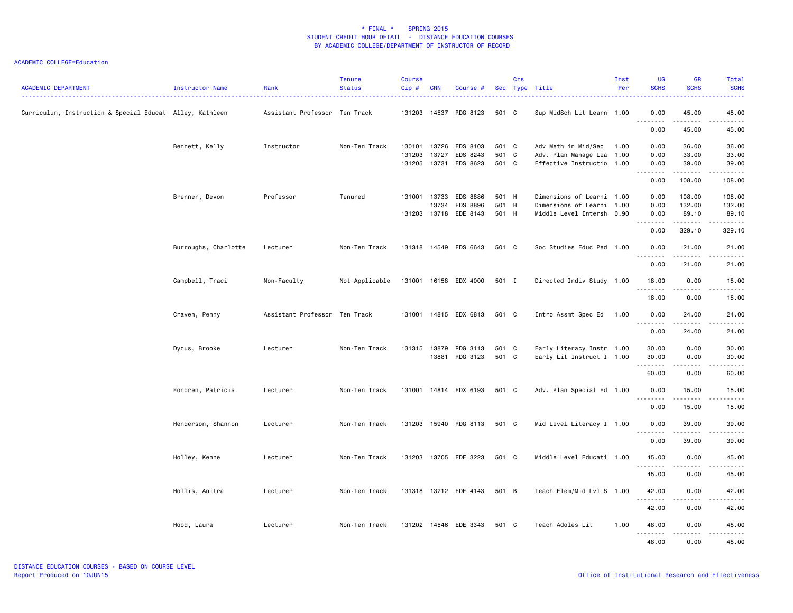| <b>ACADEMIC DEPARTMENT</b>                               | Instructor Name      | Rank                          | <b>Tenure</b><br><b>Status</b> | <b>Course</b><br>Cip#      | <b>CRN</b>              | Course #                               |                         | Crs | Sec Type Title                                                                      | Inst<br>Per | <b>UG</b><br><b>SCHS</b>                                                                                                                                                             | <b>GR</b><br><b>SCHS</b>                                                                                                                                      | Total<br><b>SCHS</b>                                                                                                                                          |
|----------------------------------------------------------|----------------------|-------------------------------|--------------------------------|----------------------------|-------------------------|----------------------------------------|-------------------------|-----|-------------------------------------------------------------------------------------|-------------|--------------------------------------------------------------------------------------------------------------------------------------------------------------------------------------|---------------------------------------------------------------------------------------------------------------------------------------------------------------|---------------------------------------------------------------------------------------------------------------------------------------------------------------|
| Curriculum, Instruction & Special Educat Alley, Kathleen |                      | Assistant Professor Ten Track |                                | 131203                     |                         | 14537 RDG 8123                         | 501 C                   |     | Sup MidSch Lit Learn 1.00                                                           |             | 0.00<br>$\frac{1}{2} \left( \frac{1}{2} \right) \left( \frac{1}{2} \right) \left( \frac{1}{2} \right) \left( \frac{1}{2} \right) \left( \frac{1}{2} \right)$<br>$\sim$ $\sim$ $\sim$ | 45.00<br>.                                                                                                                                                    | 45.00<br>$\frac{1}{2} \left( \frac{1}{2} \right) \left( \frac{1}{2} \right) \left( \frac{1}{2} \right) \left( \frac{1}{2} \right) \left( \frac{1}{2} \right)$ |
|                                                          |                      |                               |                                |                            |                         |                                        |                         |     |                                                                                     |             | 0.00                                                                                                                                                                                 | 45.00                                                                                                                                                         | 45.00                                                                                                                                                         |
|                                                          | Bennett, Kelly       | Instructor                    | Non-Ten Track                  | 130101<br>131203<br>131205 | 13726<br>13727<br>13731 | EDS 8103<br>EDS 8243<br>EDS 8623       | 501 C<br>501 C<br>501 C |     | Adv Meth in Mid/Sec<br>Adv. Plan Manage Lea 1.00<br>Effective Instructio 1.00       | 1.00        | 0.00<br>0.00<br>0.00                                                                                                                                                                 | 36.00<br>33.00<br>39.00                                                                                                                                       | 36.00<br>33.00<br>39.00                                                                                                                                       |
|                                                          |                      |                               |                                |                            |                         |                                        |                         |     |                                                                                     |             | .<br>0.00                                                                                                                                                                            | .<br>108.00                                                                                                                                                   | .<br>108.00                                                                                                                                                   |
|                                                          | Brenner, Devon       | Professor                     | Tenured                        | 131001<br>131203           | 13733<br>13734          | EDS 8886<br>EDS 8896<br>13718 EDE 8143 | 501 H<br>501 H<br>501 H |     | Dimensions of Learni 1.00<br>Dimensions of Learni 1.00<br>Middle Level Intersh 0.90 |             | 0.00<br>0.00<br>0.00                                                                                                                                                                 | 108.00<br>132.00<br>89.10                                                                                                                                     | 108.00<br>132.00<br>89.10                                                                                                                                     |
|                                                          |                      |                               |                                |                            |                         |                                        |                         |     |                                                                                     |             | $\sim$ $\sim$ $\sim$<br>$\frac{1}{2} \left( \frac{1}{2} \right) \left( \frac{1}{2} \right) \left( \frac{1}{2} \right) \left( \frac{1}{2} \right) \left( \frac{1}{2} \right)$<br>0.00 | .<br>329.10                                                                                                                                                   | 329.10                                                                                                                                                        |
|                                                          | Burroughs, Charlotte | Lecturer                      | Non-Ten Track                  | 131318                     |                         | 14549 EDS 6643                         | 501 C                   |     | Soc Studies Educ Ped 1.00                                                           |             | 0.00                                                                                                                                                                                 | 21,00                                                                                                                                                         | 21.00                                                                                                                                                         |
|                                                          |                      |                               |                                |                            |                         |                                        |                         |     |                                                                                     |             | <u>.</u><br>0.00                                                                                                                                                                     | .<br>21.00                                                                                                                                                    | .<br>21.00                                                                                                                                                    |
|                                                          | Campbell, Traci      | Non-Faculty                   | Not Applicable                 |                            |                         | 131001 16158 EDX 4000                  | 501 I                   |     | Directed Indiv Study 1.00                                                           |             | 18.00                                                                                                                                                                                | 0.00                                                                                                                                                          | 18.00                                                                                                                                                         |
|                                                          |                      |                               |                                |                            |                         |                                        |                         |     |                                                                                     |             | $\sim$ $\sim$<br>.<br>18.00                                                                                                                                                          | 0.00                                                                                                                                                          | .<br>18.00                                                                                                                                                    |
|                                                          | Craven, Penny        | Assistant Professor Ten Track |                                |                            |                         | 131001 14815 EDX 6813                  | 501 C                   |     | Intro Assmt Spec Ed 1.00                                                            |             | 0.00                                                                                                                                                                                 | 24.00                                                                                                                                                         | 24.00                                                                                                                                                         |
|                                                          |                      |                               |                                |                            |                         |                                        |                         |     |                                                                                     |             | <u>.</u><br>0.00                                                                                                                                                                     | .<br>24.00                                                                                                                                                    | .<br>24.00                                                                                                                                                    |
|                                                          | Dycus, Brooke        | Lecturer                      | Non-Ten Track                  | 131315                     | 13879<br>13881          | RDG 3113<br>RDG 3123                   | 501 C<br>501 C          |     | Early Literacy Instr 1.00<br>Early Lit Instruct I 1.00                              |             | 30.00<br>30.00<br>.                                                                                                                                                                  | 0.00<br>0.00<br>22222                                                                                                                                         | 30.00<br>30.00<br>.                                                                                                                                           |
|                                                          |                      |                               |                                |                            |                         |                                        |                         |     |                                                                                     |             | 60.00                                                                                                                                                                                | 0.00                                                                                                                                                          | 60.00                                                                                                                                                         |
|                                                          | Fondren, Patricia    | Lecturer                      | Non-Ten Track                  | 131001                     |                         | 14814 EDX 6193                         | 501 C                   |     | Adv. Plan Special Ed 1.00                                                           |             | 0.00<br>.                                                                                                                                                                            | 15.00<br>$\omega$ is a set of                                                                                                                                 | 15.00<br>.                                                                                                                                                    |
|                                                          |                      |                               |                                |                            |                         |                                        |                         |     |                                                                                     |             | 0.00                                                                                                                                                                                 | 15.00                                                                                                                                                         | 15.00                                                                                                                                                         |
|                                                          | Henderson, Shannon   | Lecturer                      | Non-Ten Track                  | 131203                     |                         | 15940 RDG 8113                         | 501 C                   |     | Mid Level Literacy I 1.00                                                           |             | 0.00<br>. <b>.</b>                                                                                                                                                                   | 39.00<br>$\frac{1}{2} \left( \frac{1}{2} \right) \left( \frac{1}{2} \right) \left( \frac{1}{2} \right) \left( \frac{1}{2} \right) \left( \frac{1}{2} \right)$ | 39.00<br>.                                                                                                                                                    |
|                                                          |                      |                               |                                |                            |                         |                                        |                         |     |                                                                                     |             | 0.00                                                                                                                                                                                 | 39.00                                                                                                                                                         | 39.00                                                                                                                                                         |
|                                                          | Holley, Kenne        | Lecturer                      | Non-Ten Track                  | 131203                     |                         | 13705 EDE 3223                         | 501 C                   |     | Middle Level Educati 1.00                                                           |             | 45.00<br>.                                                                                                                                                                           | 0.00                                                                                                                                                          | 45.00<br>.                                                                                                                                                    |
|                                                          |                      |                               |                                |                            |                         |                                        |                         |     |                                                                                     |             | 45.00                                                                                                                                                                                | 0.00                                                                                                                                                          | 45.00                                                                                                                                                         |
|                                                          | Hollis, Anitra       | Lecturer                      | Non-Ten Track                  |                            |                         | 131318 13712 EDE 4143                  | 501 B                   |     | Teach Elem/Mid Lvl S 1.00                                                           |             | 42.00<br>.                                                                                                                                                                           | 0.00<br>.                                                                                                                                                     | 42.00<br>.                                                                                                                                                    |
|                                                          |                      |                               |                                |                            |                         |                                        |                         |     |                                                                                     |             | 42.00                                                                                                                                                                                | 0.00                                                                                                                                                          | 42.00                                                                                                                                                         |
|                                                          | Hood, Laura          | Lecturer                      | Non-Ten Track                  |                            |                         | 131202 14546 EDE 3343                  | 501 C                   |     | Teach Adoles Lit                                                                    | 1.00        | 48.00<br><u>.</u>                                                                                                                                                                    | 0.00<br>.                                                                                                                                                     | 48.00<br>.                                                                                                                                                    |
|                                                          |                      |                               |                                |                            |                         |                                        |                         |     |                                                                                     |             | 48.00                                                                                                                                                                                | 0.00                                                                                                                                                          | 48.00                                                                                                                                                         |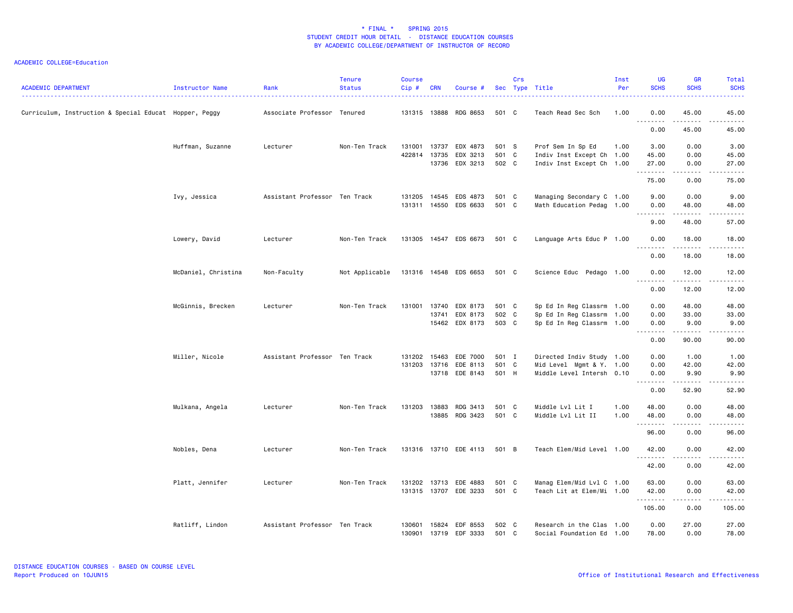| <b>ACADEMIC DEPARTMENT</b>                             | Instructor Name     | Rank                          | <b>Tenure</b><br><b>Status</b> | <b>Course</b><br>$Cip$ # | <b>CRN</b>   | Course #              |       | Crs | Sec Type Title            | Inst<br>Per | <b>UG</b><br><b>SCHS</b>                                                                                                                                          | <b>GR</b><br><b>SCHS</b>            | Total<br><b>SCHS</b><br>.                                                                                                                                     |
|--------------------------------------------------------|---------------------|-------------------------------|--------------------------------|--------------------------|--------------|-----------------------|-------|-----|---------------------------|-------------|-------------------------------------------------------------------------------------------------------------------------------------------------------------------|-------------------------------------|---------------------------------------------------------------------------------------------------------------------------------------------------------------|
| Curriculum, Instruction & Special Educat Hopper, Peggy |                     | Associate Professor Tenured   |                                |                          |              | 131315 13888 RDG 8653 | 501 C |     | Teach Read Sec Sch        | 1.00        | 0.00<br><u>.</u>                                                                                                                                                  | 45.00<br><u>.</u>                   | 45.00<br>$\frac{1}{2} \left( \frac{1}{2} \right) \left( \frac{1}{2} \right) \left( \frac{1}{2} \right) \left( \frac{1}{2} \right) \left( \frac{1}{2} \right)$ |
|                                                        |                     |                               |                                |                          |              |                       |       |     |                           |             | 0.00                                                                                                                                                              | 45.00                               | 45.00                                                                                                                                                         |
|                                                        | Huffman, Suzanne    | Lecturer                      | Non-Ten Track                  | 131001                   | 13737        | EDX 4873              | 501 S |     | Prof Sem In Sp Ed         | 1.00        | 3.00                                                                                                                                                              | 0.00                                | 3.00                                                                                                                                                          |
|                                                        |                     |                               |                                |                          | 422814 13735 | EDX 3213              | 501 C |     | Indiv Inst Except Ch 1.00 |             | 45.00                                                                                                                                                             | 0.00                                | 45.00                                                                                                                                                         |
|                                                        |                     |                               |                                |                          |              | 13736 EDX 3213        | 502 C |     | Indiv Inst Except Ch 1.00 |             | 27.00<br>.                                                                                                                                                        | 0.00<br>.                           | 27.00<br>.                                                                                                                                                    |
|                                                        |                     |                               |                                |                          |              |                       |       |     |                           |             | 75.00                                                                                                                                                             | 0.00                                | 75.00                                                                                                                                                         |
|                                                        | Ivy, Jessica        | Assistant Professor Ten Track |                                | 131205                   | 14545        | EDS 4873              | 501 C |     | Managing Secondary C 1.00 |             | 9.00                                                                                                                                                              | 0.00                                | 9.00                                                                                                                                                          |
|                                                        |                     |                               |                                |                          |              | 131311 14550 EDS 6633 | 501 C |     | Math Education Pedag 1.00 |             | 0.00                                                                                                                                                              | 48.00                               | 48.00                                                                                                                                                         |
|                                                        |                     |                               |                                |                          |              |                       |       |     |                           |             | $\frac{1}{2} \left( \frac{1}{2} \right) \left( \frac{1}{2} \right) \left( \frac{1}{2} \right) \left( \frac{1}{2} \right) \left( \frac{1}{2} \right)$<br>.<br>9.00 | .<br>48.00                          | $\frac{1}{2} \left( \frac{1}{2} \right) \left( \frac{1}{2} \right) \left( \frac{1}{2} \right) \left( \frac{1}{2} \right) \left( \frac{1}{2} \right)$<br>57.00 |
|                                                        | Lowery, David       | Lecturer                      | Non-Ten Track                  | 131305                   |              | 14547 EDS 6673        | 501 C |     | Language Arts Educ P 1.00 |             | 0.00                                                                                                                                                              | 18.00                               | 18.00                                                                                                                                                         |
|                                                        |                     |                               |                                |                          |              |                       |       |     |                           |             | .<br>0.00                                                                                                                                                         | 18.00                               | $\frac{1}{2} \left( \frac{1}{2} \right) \left( \frac{1}{2} \right) \left( \frac{1}{2} \right) \left( \frac{1}{2} \right) \left( \frac{1}{2} \right)$<br>18.00 |
|                                                        | McDaniel, Christina | Non-Faculty                   | Not Applicable                 |                          |              | 131316 14548 EDS 6653 | 501 C |     | Science Educ Pedago 1.00  |             | 0.00                                                                                                                                                              | 12.00                               | 12.00                                                                                                                                                         |
|                                                        |                     |                               |                                |                          |              |                       |       |     |                           |             | $\sim$ $\sim$<br>.<br>0.00                                                                                                                                        | 12.00                               | .<br>12.00                                                                                                                                                    |
|                                                        | McGinnis, Brecken   | Lecturer                      | Non-Ten Track                  | 131001                   | 13740        | EDX 8173              | 501 C |     | Sp Ed In Reg Classrm 1.00 |             | 0.00                                                                                                                                                              | 48.00                               | 48.00                                                                                                                                                         |
|                                                        |                     |                               |                                |                          | 13741        | EDX 8173              | 502 C |     | Sp Ed In Reg Classrm 1.00 |             | 0.00                                                                                                                                                              | 33.00                               | 33.00                                                                                                                                                         |
|                                                        |                     |                               |                                |                          |              | 15462 EDX 8173        | 503 C |     | Sp Ed In Reg Classrm 1.00 |             | 0.00                                                                                                                                                              | 9.00                                | 9.00                                                                                                                                                          |
|                                                        |                     |                               |                                |                          |              |                       |       |     |                           |             | $- - - - -$<br>$\sim$ $\sim$ $\sim$<br>0.00                                                                                                                       | $- - - - -$<br>90.00                | .<br>90.00                                                                                                                                                    |
|                                                        | Miller, Nicole      | Assistant Professor Ten Track |                                | 131202                   | 15463        | EDE 7000              | 501 I |     | Directed Indiv Study 1.00 |             | 0.00                                                                                                                                                              | 1.00                                | 1.00                                                                                                                                                          |
|                                                        |                     |                               |                                |                          | 131203 13716 | EDE 8113              | 501 C |     | Mid Level Mgmt & Y. 1.00  |             | 0.00                                                                                                                                                              | 42.00                               | 42.00                                                                                                                                                         |
|                                                        |                     |                               |                                |                          |              | 13718 EDE 8143        | 501 H |     | Middle Level Intersh 0.10 |             | 0.00<br>$\omega$ is $\omega$ in $\omega$<br>$\sim$ $\sim$ $\sim$                                                                                                  | 9.90<br><b>.</b>                    | 9.90<br>$\omega$ is $\omega$ in $\omega$                                                                                                                      |
|                                                        |                     |                               |                                |                          |              |                       |       |     |                           |             | 0.00                                                                                                                                                              | 52.90                               | 52.90                                                                                                                                                         |
|                                                        | Mulkana, Angela     | Lecturer                      | Non-Ten Track                  | 131203                   | 13883        | RDG 3413              | 501 C |     | Middle Lvl Lit I          | 1.00        | 48.00                                                                                                                                                             | 0.00                                | 48.00                                                                                                                                                         |
|                                                        |                     |                               |                                |                          | 13885        | RDG 3423              | 501 C |     | Middle Lvl Lit II         | 1.00        | 48.00                                                                                                                                                             | 0.00                                | 48.00                                                                                                                                                         |
|                                                        |                     |                               |                                |                          |              |                       |       |     |                           |             | .<br>96.00                                                                                                                                                        | $\sim$ $\sim$ $\sim$ $\sim$<br>0.00 | $\frac{1}{2} \left( \frac{1}{2} \right) \left( \frac{1}{2} \right) \left( \frac{1}{2} \right) \left( \frac{1}{2} \right) \left( \frac{1}{2} \right)$<br>96.00 |
|                                                        | Nobles, Dena        | Lecturer                      | Non-Ten Track                  |                          |              | 131316 13710 EDE 4113 | 501 B |     | Teach Elem/Mid Level 1.00 |             | 42.00                                                                                                                                                             | 0.00                                | 42.00                                                                                                                                                         |
|                                                        |                     |                               |                                |                          |              |                       |       |     |                           |             | $\frac{1}{2} \left( \frac{1}{2} \right) \left( \frac{1}{2} \right) \left( \frac{1}{2} \right) \left( \frac{1}{2} \right) \left( \frac{1}{2} \right)$              |                                     | .                                                                                                                                                             |
|                                                        |                     |                               |                                |                          |              |                       |       |     |                           |             | 42.00                                                                                                                                                             | 0.00                                | 42.00                                                                                                                                                         |
|                                                        | Platt, Jennifer     | Lecturer                      | Non-Ten Track                  | 131202                   | 13713        | EDE 4883              | 501 C |     | Manag Elem/Mid Lvl C 1.00 |             | 63.00                                                                                                                                                             | 0.00                                | 63.00                                                                                                                                                         |
|                                                        |                     |                               |                                | 131315                   |              | 13707 EDE 3233        | 501 C |     | Teach Lit at Elem/Mi 1.00 |             | 42.00<br>.                                                                                                                                                        | 0.00<br>.                           | 42.00<br><b>.</b>                                                                                                                                             |
|                                                        |                     |                               |                                |                          |              |                       |       |     |                           |             | 105.00                                                                                                                                                            | 0.00                                | 105.00                                                                                                                                                        |
|                                                        | Ratliff, Lindon     | Assistant Professor Ten Track |                                |                          |              | 130601 15824 EDF 8553 | 502 C |     | Research in the Clas 1.00 |             | 0.00                                                                                                                                                              | 27.00                               | 27.00                                                                                                                                                         |
|                                                        |                     |                               |                                | 130901                   | 13719        | EDF 3333              | 501 C |     | Social Foundation Ed 1.00 |             | 78.00                                                                                                                                                             | 0.00                                | 78.00                                                                                                                                                         |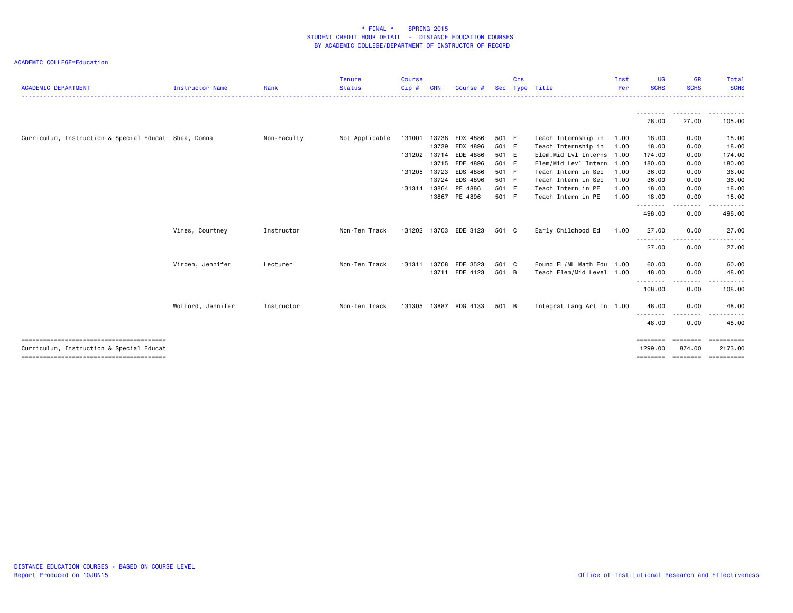| <b>ACADEMIC DEPARTMENT</b>                           | Instructor Name   | Rank        | <b>Tenure</b><br><b>Status</b> | <b>Course</b><br>Cip# | <b>CRN</b> | Course #              |       | Crs | Sec Type Title            | Inst<br>Per | <b>UG</b><br><b>SCHS</b>  | <b>GR</b><br><b>SCHS</b> | Total<br><b>SCHS</b> |
|------------------------------------------------------|-------------------|-------------|--------------------------------|-----------------------|------------|-----------------------|-------|-----|---------------------------|-------------|---------------------------|--------------------------|----------------------|
|                                                      |                   |             |                                |                       |            |                       |       |     |                           |             |                           |                          | .<br>.               |
|                                                      |                   |             |                                |                       |            |                       |       |     |                           |             | .<br>78.00                | .<br>27.00               | 105.00               |
| Curriculum, Instruction & Special Educat Shea, Donna |                   | Non-Faculty | Not Applicable                 | 131001                | 13738      | EDX 4886              | 501 F |     | Teach Internship in       | 1.00        | 18.00                     | 0.00                     | 18.00                |
|                                                      |                   |             |                                |                       | 13739      | EDX 4896              | 501 F |     | Teach Internship in       | 1.00        | 18.00                     | 0.00                     | 18.00                |
|                                                      |                   |             |                                | 131202 13714          |            | EDE 4886              | 501 E |     | Elem.Mid Lvl Interns 1.00 |             | 174.00                    | 0.00                     | 174.00               |
|                                                      |                   |             |                                |                       | 13715      | EDE 4896              | 501 E |     | Elem/Mid Levl Intern 1.00 |             | 180.00                    | 0.00                     | 180.00               |
|                                                      |                   |             |                                | 131205 13723          |            | EDS 4886              | 501 F |     | Teach Intern in Sec       | 1.00        | 36.00                     | 0.00                     | 36.00                |
|                                                      |                   |             |                                |                       | 13724      | EDS 4896              | 501 F |     | Teach Intern in Sec       | 1.00        | 36.00                     | 0.00                     | 36.00                |
|                                                      |                   |             |                                | 131314                | 13864      | PE 4886               | 501 F |     | Teach Intern in PE        | 1.00        | 18.00                     | 0.00                     | 18.00                |
|                                                      |                   |             |                                |                       | 13867      | PE 4896               | 501 F |     | Teach Intern in PE        | 1.00        | 18.00<br>.                | 0.00<br>.                | 18.00<br>- - - - - - |
|                                                      |                   |             |                                |                       |            |                       |       |     |                           |             | 498.00                    | 0.00                     | 498.00               |
|                                                      | Vines, Courtney   | Instructor  | Non-Ten Track                  |                       |            | 131202 13703 EDE 3123 | 501 C |     | Early Childhood Ed        | 1.00        | 27.00                     | 0.00                     | 27.00                |
|                                                      |                   |             |                                |                       |            |                       |       |     |                           |             | .<br>27.00                | .<br>0.00                | 27.00                |
|                                                      | Virden, Jennifer  | Lecturer    | Non-Ten Track                  | 131311 13708          |            | EDE 3523              | 501 C |     | Found EL/ML Math Edu 1.00 |             | 60.00                     | 0.00                     | 60.00                |
|                                                      |                   |             |                                |                       |            | 13711 EDE 4123        | 501 B |     | Teach Elem/Mid Level 1.00 |             | 48.00                     | 0.00                     | 48.00                |
|                                                      |                   |             |                                |                       |            |                       |       |     |                           |             | - - - - - - - -<br>108.00 | 0.00                     | 108.00               |
|                                                      | Wofford, Jennifer | Instructor  | Non-Ten Track                  | 131305 13887          |            | RDG 4133              | 501 B |     | Integrat Lang Art In 1.00 |             | 48.00                     | 0.00                     | 48.00                |
|                                                      |                   |             |                                |                       |            |                       |       |     |                           |             | 48.00                     | 0.00                     | 48.00                |
| Curriculum, Instruction & Special Educat             |                   |             |                                |                       |            |                       |       |     |                           |             | ========<br>1299.00       | eeeeeee<br>874.00        | EEEEEEEEE<br>2173.00 |
|                                                      |                   |             |                                |                       |            |                       |       |     |                           |             | ========                  | ===================      |                      |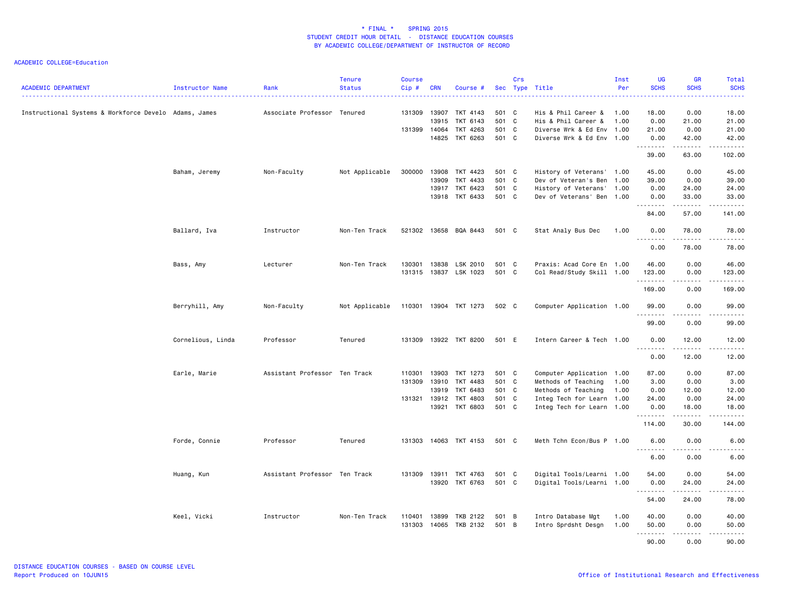| <b>ACADEMIC DEPARTMENT</b>                            | Instructor Name   | Rank                          | <b>Tenure</b><br><b>Status</b> | <b>Course</b><br>Cip# | <b>CRN</b>     | Course #              |                | Crs | Sec Type Title            | Inst<br>Per | <b>UG</b><br><b>SCHS</b>                                                                                                                                     | <b>GR</b><br><b>SCHS</b>                                                                                             | Total<br><b>SCHS</b><br><u>.</u>                                                                                                                              |
|-------------------------------------------------------|-------------------|-------------------------------|--------------------------------|-----------------------|----------------|-----------------------|----------------|-----|---------------------------|-------------|--------------------------------------------------------------------------------------------------------------------------------------------------------------|----------------------------------------------------------------------------------------------------------------------|---------------------------------------------------------------------------------------------------------------------------------------------------------------|
| Instructional Systems & Workforce Develo Adams, James |                   | Associate Professor Tenured   |                                | 131309                | 13907          | TKT 4143              | 501 C          |     | His & Phil Career &       | 1.00        | 18,00                                                                                                                                                        | 0.00                                                                                                                 | 18.00                                                                                                                                                         |
|                                                       |                   |                               |                                |                       | 13915          | TKT 6143              | 501 C          |     | His & Phil Career &       | 1.00        | 0.00                                                                                                                                                         | 21.00                                                                                                                | 21.00                                                                                                                                                         |
|                                                       |                   |                               |                                | 131399                | 14064<br>14825 | TKT 4263<br>TKT 6263  | 501 C<br>501 C |     | Diverse Wrk & Ed Env 1.00 |             | 21.00                                                                                                                                                        | 0.00                                                                                                                 | 21.00<br>42.00                                                                                                                                                |
|                                                       |                   |                               |                                |                       |                |                       |                |     | Diverse Wrk & Ed Env 1.00 |             | 0.00<br>$\frac{1}{2} \left( \frac{1}{2} \right) \left( \frac{1}{2} \right) \left( \frac{1}{2} \right) \left( \frac{1}{2} \right) \left( \frac{1}{2} \right)$ | 42.00<br>.                                                                                                           | .                                                                                                                                                             |
|                                                       |                   |                               |                                |                       |                |                       |                |     |                           |             | 39.00                                                                                                                                                        | 63.00                                                                                                                | 102.00                                                                                                                                                        |
|                                                       | Baham, Jeremy     | Non-Faculty                   | Not Applicable                 | 300000                | 13908          | TKT 4423              | 501 C          |     | History of Veterans' 1.00 |             | 45.00                                                                                                                                                        | 0.00                                                                                                                 | 45.00                                                                                                                                                         |
|                                                       |                   |                               |                                |                       | 13909          | TKT 4433              | 501 C          |     | Dev of Veteran's Ben 1.00 |             | 39.00                                                                                                                                                        | 0.00                                                                                                                 | 39.00                                                                                                                                                         |
|                                                       |                   |                               |                                |                       | 13917          | TKT 6423              | 501 C          |     | History of Veterans'      | 1.00        | 0.00                                                                                                                                                         | 24.00                                                                                                                | 24.00                                                                                                                                                         |
|                                                       |                   |                               |                                |                       | 13918          | TKT 6433              | 501 C          |     | Dev of Veterans' Ben 1.00 |             | 0.00<br><u>.</u>                                                                                                                                             | 33.00<br>$\begin{array}{cccccccccc} \bullet & \bullet & \bullet & \bullet & \bullet & \bullet & \bullet \end{array}$ | 33.00<br>.                                                                                                                                                    |
|                                                       |                   |                               |                                |                       |                |                       |                |     |                           |             | 84.00                                                                                                                                                        | 57.00                                                                                                                | 141.00                                                                                                                                                        |
|                                                       | Ballard, Iva      | Instructor                    | Non-Ten Track                  | 521302                |                | 13658 BQA 8443        | 501 C          |     | Stat Analy Bus Dec        | 1.00        | 0.00<br>.                                                                                                                                                    | 78.00<br>$   -$                                                                                                      | 78.00<br>.                                                                                                                                                    |
|                                                       |                   |                               |                                |                       |                |                       |                |     |                           |             | 0.00                                                                                                                                                         | 78.00                                                                                                                | 78.00                                                                                                                                                         |
|                                                       | Bass, Amy         | Lecturer                      | Non-Ten Track                  | 130301                | 13838          | LSK 2010              | 501 C          |     | Praxis: Acad Core En 1.00 |             | 46.00                                                                                                                                                        | 0.00                                                                                                                 | 46.00                                                                                                                                                         |
|                                                       |                   |                               |                                | 131315                | 13837          | LSK 1023              | 501 C          |     | Col Read/Study Skill 1.00 |             | 123.00                                                                                                                                                       | 0.00                                                                                                                 | 123.00                                                                                                                                                        |
|                                                       |                   |                               |                                |                       |                |                       |                |     |                           |             | .<br>169.00                                                                                                                                                  | .<br>0.00                                                                                                            | $\begin{array}{cccccccccc} \bullet & \bullet & \bullet & \bullet & \bullet & \bullet & \bullet & \bullet \end{array}$<br>169.00                               |
|                                                       |                   |                               |                                |                       |                |                       |                |     |                           |             |                                                                                                                                                              |                                                                                                                      |                                                                                                                                                               |
|                                                       | Berryhill, Amy    | Non-Faculty                   | Not Applicable                 |                       |                | 110301 13904 TKT 1273 | 502 C          |     | Computer Application 1.00 |             | 99.00<br>.                                                                                                                                                   | 0.00                                                                                                                 | 99.00<br>.                                                                                                                                                    |
|                                                       |                   |                               |                                |                       |                |                       |                |     |                           |             | 99.00                                                                                                                                                        | 0.00                                                                                                                 | 99.00                                                                                                                                                         |
|                                                       | Cornelious, Linda | Professor                     | Tenured                        | 131309                |                | 13922 TKT 8200        | 501 E          |     | Intern Career & Tech 1.00 |             | 0.00<br><u>.</u>                                                                                                                                             | 12.00<br>.                                                                                                           | 12.00<br>$   -$                                                                                                                                               |
|                                                       |                   |                               |                                |                       |                |                       |                |     |                           |             | 0.00                                                                                                                                                         | 12.00                                                                                                                | 12.00                                                                                                                                                         |
|                                                       | Earle, Marie      | Assistant Professor Ten Track |                                | 110301                | 13903          | TKT 1273              | 501 C          |     | Computer Application 1.00 |             | 87.00                                                                                                                                                        | 0.00                                                                                                                 | 87.00                                                                                                                                                         |
|                                                       |                   |                               |                                | 131309                | 13910          | TKT 4483              | 501 C          |     | Methods of Teaching       | 1.00        | 3.00                                                                                                                                                         | 0.00                                                                                                                 | 3.00                                                                                                                                                          |
|                                                       |                   |                               |                                |                       | 13919          | TKT 6483              | 501 C          |     | Methods of Teaching       | 1.00        | 0.00                                                                                                                                                         | 12.00                                                                                                                | 12.00                                                                                                                                                         |
|                                                       |                   |                               |                                |                       | 131321 13912   | TKT 4803              | 501 C          |     | Integ Tech for Learn 1.00 |             | 24.00                                                                                                                                                        | 0.00                                                                                                                 | 24.00                                                                                                                                                         |
|                                                       |                   |                               |                                |                       |                | 13921 TKT 6803        | 501 C          |     | Integ Tech for Learn 1.00 |             | 0.00<br>$\frac{1}{2} \left( \frac{1}{2} \right) \left( \frac{1}{2} \right) \left( \frac{1}{2} \right) \left( \frac{1}{2} \right) \left( \frac{1}{2} \right)$ | 18.00<br>.                                                                                                           | 18.00<br>$\omega$ is $\omega$ in .                                                                                                                            |
|                                                       |                   |                               |                                |                       |                |                       |                |     |                           |             | 114.00                                                                                                                                                       | 30.00                                                                                                                | 144.00                                                                                                                                                        |
|                                                       | Forde, Connie     | Professor                     | Tenured                        | 131303                |                | 14063 TKT 4153        | 501 C          |     | Meth Tchn Econ/Bus P 1.00 |             | 6.00<br>.                                                                                                                                                    | 0.00<br>.                                                                                                            | 6.00<br>-----                                                                                                                                                 |
|                                                       |                   |                               |                                |                       |                |                       |                |     |                           |             | 6.00                                                                                                                                                         | 0.00                                                                                                                 | 6.00                                                                                                                                                          |
|                                                       | Huang, Kun        | Assistant Professor Ten Track |                                |                       |                | 131309 13911 TKT 4763 | 501 C          |     | Digital Tools/Learni 1.00 |             | 54.00                                                                                                                                                        | 0.00                                                                                                                 | 54.00                                                                                                                                                         |
|                                                       |                   |                               |                                |                       | 13920          | TKT 6763              | 501 C          |     | Digital Tools/Learni 1.00 |             | 0.00<br>.                                                                                                                                                    | 24.00<br>.                                                                                                           | 24.00<br>$\frac{1}{2} \left( \frac{1}{2} \right) \left( \frac{1}{2} \right) \left( \frac{1}{2} \right) \left( \frac{1}{2} \right) \left( \frac{1}{2} \right)$ |
|                                                       |                   |                               |                                |                       |                |                       |                |     |                           |             | 54.00                                                                                                                                                        | 24,00                                                                                                                | 78.00                                                                                                                                                         |
|                                                       | Keel, Vicki       | Instructor                    | Non-Ten Track                  | 110401                | 13899          | TKB 2122              | 501 B          |     | Intro Database Mgt        | 1.00        | 40.00                                                                                                                                                        | 0.00                                                                                                                 | 40.00                                                                                                                                                         |
|                                                       |                   |                               |                                | 131303                |                | 14065 TKB 2132        | 501 B          |     | Intro Sprdsht Desgn       | 1.00        | 50.00                                                                                                                                                        | 0.00                                                                                                                 | 50.00                                                                                                                                                         |
|                                                       |                   |                               |                                |                       |                |                       |                |     |                           |             | .                                                                                                                                                            | .                                                                                                                    | .                                                                                                                                                             |
|                                                       |                   |                               |                                |                       |                |                       |                |     |                           |             | 90.00                                                                                                                                                        | 0.00                                                                                                                 | 90.00                                                                                                                                                         |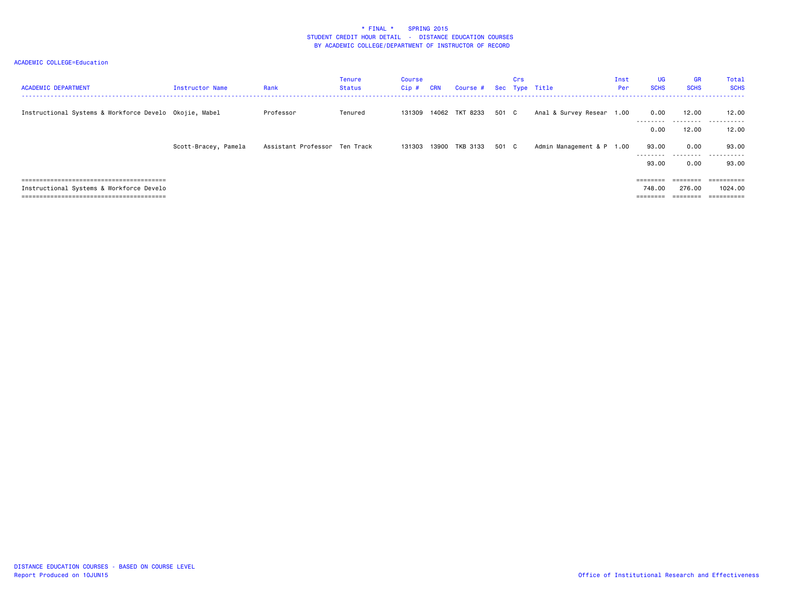| <b>ACADEMIC DEPARTMENT</b>                             | Instructor Name      | Rank                          | <b>Tenure</b><br><b>Status</b> | Course<br>$Cip$ # | <b>CRN</b> | Course #       |       | Crs | Sec Type Title            | Inst<br>Per | <b>UG</b><br><b>SCHS</b>    | <b>GR</b><br><b>SCHS</b>    | Total<br><b>SCHS</b>               |
|--------------------------------------------------------|----------------------|-------------------------------|--------------------------------|-------------------|------------|----------------|-------|-----|---------------------------|-------------|-----------------------------|-----------------------------|------------------------------------|
| Instructional Systems & Workforce Develo Okojie, Mabel |                      | Professor                     | Tenured                        | 131309            |            | 14062 TKT 8233 | 501 C |     | Anal & Survey Resear 1.00 |             | 0.00<br>---------<br>0.00   | 12.00<br>---------<br>12.00 | 12.00<br>.<br>12.00                |
|                                                        | Scott-Bracey, Pamela | Assistant Professor Ten Track |                                | 131303            |            | 13900 TKB 3133 | 501 C |     | Admin Management & P 1.00 |             | 93.00<br>---------<br>93.00 | 0.00<br>---------<br>0.00   | 93.00<br>.<br>93.00                |
| Instructional Systems & Workforce Develo               |                      |                               |                                |                   |            |                |       |     |                           |             | 748,00<br>========          | 276.00                      | =========<br>1024.00<br>========== |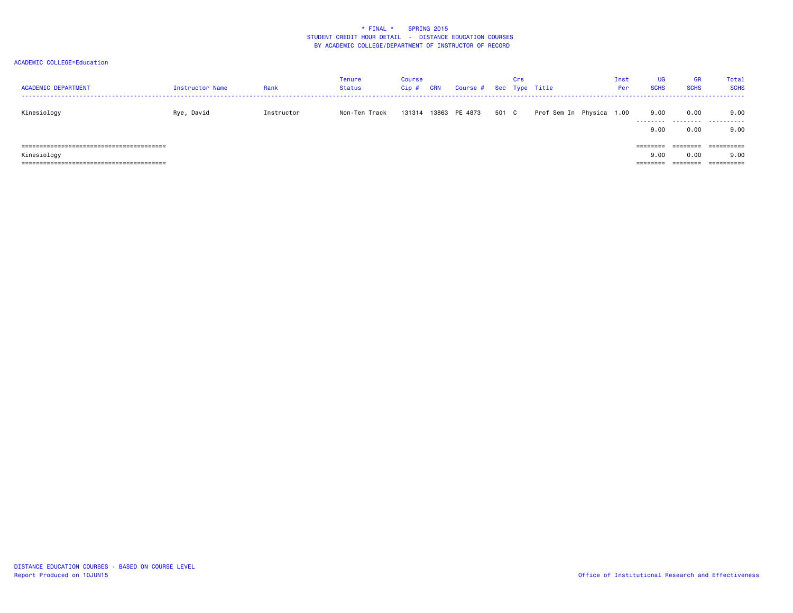| <b>ACADEMIC DEPARTMENT</b> | Instructor Name | Rank       | Tenure<br>Status | Course<br>Cip# | CRN | Course # Sec Type Title |       | Crs |                          | Inst<br>Per | <b>UG</b><br><b>SCHS</b>    | <b>GR</b><br><b>SCHS</b> | Total<br><b>SCHS</b> |
|----------------------------|-----------------|------------|------------------|----------------|-----|-------------------------|-------|-----|--------------------------|-------------|-----------------------------|--------------------------|----------------------|
| Kinesiology                | Rye, David      | Instructor | Non-Ten Track    | 131314         |     | 13863 PE 4873           | 501 C |     | Prof Sem In Physica 1.00 |             | 9.00<br>.                   | 0.00                     | 9.00<br>             |
|                            |                 |            |                  |                |     |                         |       |     |                          |             | 9.00                        | 0.00                     | 9.00                 |
|                            |                 |            |                  |                |     |                         |       |     |                          |             | $=$ $=$ $=$ $=$ $=$ $=$ $=$ | ========                 |                      |
| Kinesiology                |                 |            |                  |                |     |                         |       |     |                          |             | 9.00                        | 0.00                     | 9.00                 |
|                            |                 |            |                  |                |     |                         |       |     |                          |             | --------                    | --------                 |                      |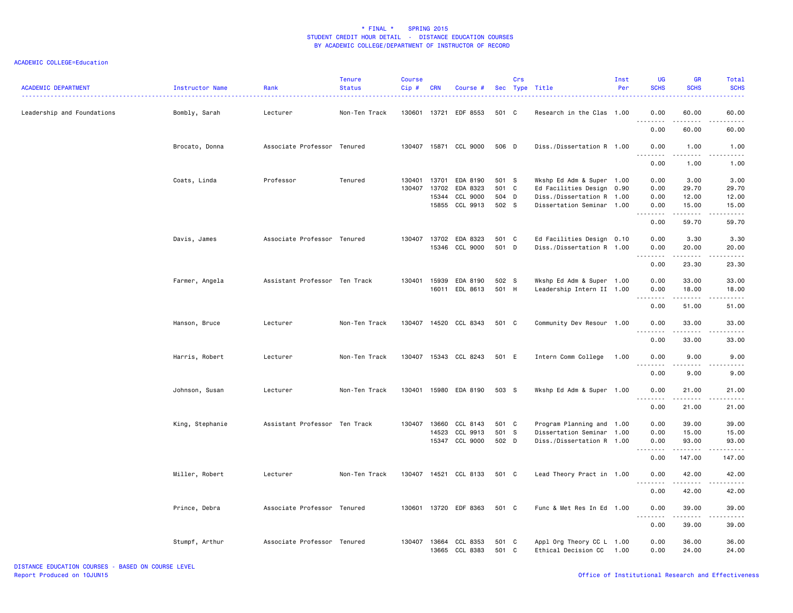| <b>ACADEMIC DEPARTMENT</b> | Instructor Name | Rank                          | <b>Tenure</b><br><b>Status</b> | <b>Course</b><br>Cip# | <b>CRN</b> | Course #                         |                | Crs | Sec Type Title                                        | Inst<br>Per | <b>UG</b><br><b>SCHS</b> | <b>GR</b><br><b>SCHS</b> | <b>Total</b><br><b>SCHS</b> |
|----------------------------|-----------------|-------------------------------|--------------------------------|-----------------------|------------|----------------------------------|----------------|-----|-------------------------------------------------------|-------------|--------------------------|--------------------------|-----------------------------|
| Leadership and Foundations | Bombly, Sarah   | Lecturer                      | Non-Ten Track                  | 130601                |            | 13721 EDF 8553                   | 501 C          |     | Research in the Clas 1.00                             |             | 0.00<br>.                | 60.00<br>.               | 60.00<br>$\frac{1}{2}$      |
|                            |                 |                               |                                |                       |            |                                  |                |     |                                                       |             | 0.00                     | 60.00                    | 60.00                       |
|                            | Brocato, Donna  | Associate Professor Tenured   |                                |                       |            | 130407 15871 CCL 9000            | 506 D          |     | Diss./Dissertation R 1.00                             |             | 0.00<br>.                | 1.00<br>.                | 1.00<br>$- - - -$           |
|                            |                 |                               |                                |                       |            |                                  |                |     |                                                       |             | 0.00                     | 1.00                     | 1.00                        |
|                            | Coats, Linda    | Professor                     | Tenured                        | 130401                | 13701      | EDA 8190                         | 501 S          |     | Wkshp Ed Adm & Super 1.00                             |             | 0.00                     | 3.00                     | 3.00                        |
|                            |                 |                               |                                | 130407                | 13702      | EDA 8323                         | 501 C          |     | Ed Facilities Design 0.90                             |             | 0.00                     | 29.70                    | 29.70                       |
|                            |                 |                               |                                |                       | 15344      | CCL 9000                         | 504 D          |     | Diss./Dissertation R 1.00                             |             | 0.00                     | 12.00                    | 12.00                       |
|                            |                 |                               |                                |                       |            | 15855 CCL 9913                   | 502 S          |     | Dissertation Seminar 1.00                             |             | 0.00<br>$\frac{1}{2}$    | 15.00<br>.               | 15.00<br>.                  |
|                            |                 |                               |                                |                       |            |                                  |                |     |                                                       |             | 0.00                     | 59.70                    | 59.70                       |
|                            | Davis, James    | Associate Professor Tenured   |                                | 130407                | 13702      | EDA 8323                         | 501 C          |     | Ed Facilities Design 0.10                             |             | 0.00                     | 3.30                     | 3.30                        |
|                            |                 |                               |                                |                       |            | 15346 CCL 9000                   | 501 D          |     | Diss./Dissertation R 1.00                             |             | 0.00<br>.                | 20.00<br>.               | 20.00                       |
|                            |                 |                               |                                |                       |            |                                  |                |     |                                                       |             | 0.00                     | 23.30                    | .<br>23.30                  |
|                            | Farmer, Angela  | Assistant Professor Ten Track |                                | 130401                | 15939      | EDA 8190                         | 502 S          |     | Wkshp Ed Adm & Super 1.00                             |             | 0.00                     | 33.00                    | 33.00                       |
|                            |                 |                               |                                |                       | 16011      | EDL 8613                         | 501 H          |     | Leadership Intern II 1.00                             |             | 0.00                     | 18.00                    | 18.00                       |
|                            |                 |                               |                                |                       |            |                                  |                |     |                                                       |             | 0.00                     | .<br>51.00               | .<br>51.00                  |
|                            | Hanson, Bruce   | Lecturer                      | Non-Ten Track                  | 130407                |            | 14520 CCL 8343                   | 501 C          |     | Community Dev Resour 1.00                             |             | 0.00<br>$   -$           | 33.00<br>.               | 33.00<br>$\frac{1}{2}$      |
|                            |                 |                               |                                |                       |            |                                  |                |     |                                                       |             | 0.00                     | 33.00                    | 33.00                       |
|                            | Harris, Robert  | Lecturer                      | Non-Ten Track                  |                       |            | 130407 15343 CCL 8243            | 501 E          |     | Intern Comm College                                   | 1.00        | 0.00                     | 9.00                     | 9.00                        |
|                            |                 |                               |                                |                       |            |                                  |                |     |                                                       |             | 0.00                     | 9.00                     | 9.00                        |
|                            | Johnson, Susan  | Lecturer                      | Non-Ten Track                  | 130401                |            | 15980 EDA 8190                   | 503 S          |     | Wkshp Ed Adm & Super 1.00                             |             | 0.00<br>$- - - - -$      | 21.00<br>$- - - - -$     | 21.00<br>.                  |
|                            |                 |                               |                                |                       |            |                                  |                |     |                                                       |             | 0.00                     | 21.00                    | 21.00                       |
|                            | King, Stephanie | Assistant Professor Ten Track |                                | 130407                | 13660      | CCL 8143                         | 501 C          |     | Program Planning and 1.00                             |             | 0.00                     | 39.00                    | 39.00                       |
|                            |                 |                               |                                |                       | 14523      | CCL 9913                         | 501 S          |     | Dissertation Seminar 1.00                             |             | 0.00                     | 15.00                    | 15.00                       |
|                            |                 |                               |                                |                       |            | 15347 CCL 9000                   | 502 D          |     | Diss./Dissertation R 1.00                             |             | 0.00<br>.                | 93.00<br>.               | 93.00<br>------             |
|                            |                 |                               |                                |                       |            |                                  |                |     |                                                       |             | 0.00                     | 147.00                   | 147.00                      |
|                            | Miller, Robert  | Lecturer                      | Non-Ten Track                  |                       |            | 130407 14521 CCL 8133            | 501 C          |     | Lead Theory Pract in 1.00                             |             | 0.00<br><u>.</u>         | 42.00<br>.               | 42.00<br>.                  |
|                            |                 |                               |                                |                       |            |                                  |                |     |                                                       |             | 0.00                     | 42.00                    | 42.00                       |
|                            | Prince, Debra   | Associate Professor Tenured   |                                | 130601                |            | 13720 EDF 8363                   | 501 C          |     | Func & Met Res In Ed 1.00                             |             | 0.00<br><u>.</u>         | 39.00<br>$- - - - -$     | 39.00<br>.                  |
|                            |                 |                               |                                |                       |            |                                  |                |     |                                                       |             | 0.00                     | 39.00                    | 39.00                       |
|                            | Stumpf, Arthur  | Associate Professor Tenured   |                                | 130407                |            | 13664 CCL 8353<br>13665 CCL 8383 | 501 C<br>501 C |     | Appl Org Theory CC L 1.00<br>Ethical Decision CC 1.00 |             | 0.00<br>0.00             | 36.00<br>24.00           | 36.00<br>24.00              |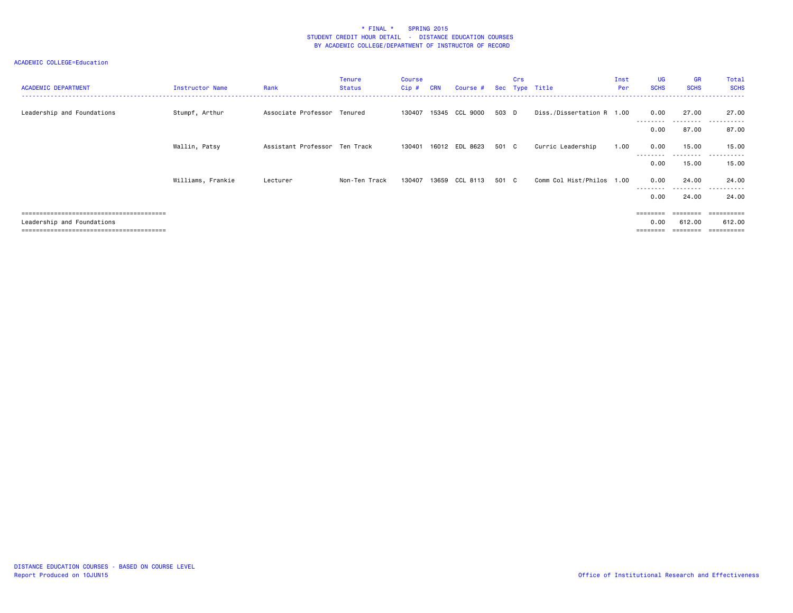| <b>ACADEMIC DEPARTMENT</b> | Instructor Name   | Rank                          | Tenure<br><b>Status</b> | <b>Course</b><br>Cip# | <b>CRN</b> | Course #       |       | Crs | Sec Type Title            | Inst<br>Per | <b>UG</b><br><b>SCHS</b> | <b>GR</b><br><b>SCHS</b>   | Total<br><b>SCHS</b>     |
|----------------------------|-------------------|-------------------------------|-------------------------|-----------------------|------------|----------------|-------|-----|---------------------------|-------------|--------------------------|----------------------------|--------------------------|
| Leadership and Foundations | Stumpf, Arthur    | Associate Professor Tenured   |                         | 130407                |            | 15345 CCL 9000 | 503 D |     | Diss./Dissertation R 1.00 |             | 0.00<br>---------        | 27.00<br>---------         | 27.00<br>----<br>------- |
|                            |                   |                               |                         |                       |            |                |       |     |                           |             | 0.00                     | 87.00                      | 87.00                    |
|                            | Wallin, Patsy     | Assistant Professor Ten Track |                         | 130401                |            | 16012 EDL 8623 | 501 C |     | Curric Leadership         | 1.00        | 0.00                     | 15.00<br>- - - - - - - - - | 15.00<br>------<br>.     |
|                            |                   |                               |                         |                       |            |                |       |     |                           |             | 0.00                     | 15.00                      | 15.00                    |
|                            | Williams, Frankie | Lecturer                      | Non-Ten Track           | 130407                | 13659      | CCL 8113       | 501 C |     | Comm Col Hist/Philos 1.00 |             | 0.00<br>---------        | 24.00<br>.                 | 24.00<br>.               |
|                            |                   |                               |                         |                       |            |                |       |     |                           |             | 0.00                     | 24.00                      | 24.00                    |
|                            |                   |                               |                         |                       |            |                |       |     |                           |             | ========                 | $=$ = = = = = = =          | ==========               |
| Leadership and Foundations |                   |                               |                         |                       |            |                |       |     |                           |             | 0.00                     | 612.00                     | 612.00<br>:=========     |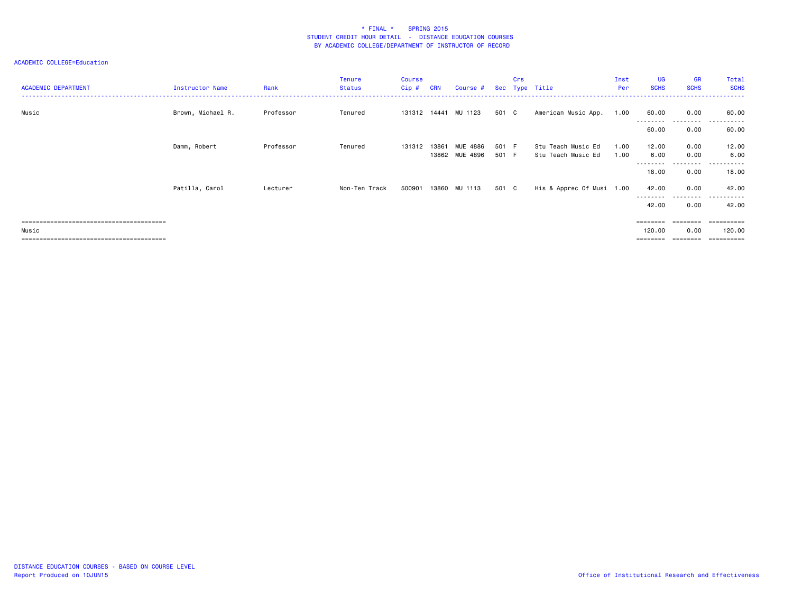### ACADEMIC COLLEGE=Education

| <b>ACADEMIC DEPARTMENT</b> | Instructor Name   | Rank      | Tenure<br><b>Status</b> | <b>Course</b><br>Cip# | <b>CRN</b> | Course #        |       | Crs | Sec Type Title            | Inst<br>Per | <b>UG</b><br><b>SCHS</b> | <b>GR</b><br><b>SCHS</b> | Total<br><b>SCHS</b><br>.   |
|----------------------------|-------------------|-----------|-------------------------|-----------------------|------------|-----------------|-------|-----|---------------------------|-------------|--------------------------|--------------------------|-----------------------------|
| Music                      | Brown, Michael R. | Professor | Tenured                 | 131312 14441          |            | MU 1123         | 501 C |     | American Music App.       | 1.00        | 60.00                    | 0.00                     | 60.00                       |
|                            |                   |           |                         |                       |            |                 |       |     |                           |             | --------<br>60.00        | . <b>.</b> .<br>0.00     | ------<br>.<br>60.00        |
|                            | Damm, Robert      | Professor | Tenured                 | 131312                | 13861      | <b>MUE 4886</b> | 501 F |     | Stu Teach Music Ed        | 1.00        | 12.00                    | 0.00                     | 12.00                       |
|                            |                   |           |                         |                       |            | 13862 MUE 4896  | 501 F |     | Stu Teach Music Ed        | 1.00        | 6.00<br>---------        | 0.00<br>---------        | 6.00<br>------<br>.         |
|                            |                   |           |                         |                       |            |                 |       |     |                           |             | 18.00                    | 0.00                     | 18.00                       |
|                            | Patilla, Carol    | Lecturer  | Non-Ten Track           | 500901                |            | 13860 MU 1113   | 501 C |     | His & Apprec Of Musi 1.00 |             | 42.00<br>---------       | 0.00<br>---------        | 42.00<br>. <u>.</u><br>$ -$ |
|                            |                   |           |                         |                       |            |                 |       |     |                           |             | 42.00                    | 0.00                     | 42.00                       |
|                            |                   |           |                         |                       |            |                 |       |     |                           |             | ======                   |                          | .=======                    |
| Music                      |                   |           |                         |                       |            |                 |       |     |                           |             | 120.00                   | 0.00                     | 120.00                      |
|                            |                   |           |                         |                       |            |                 |       |     |                           |             | ========                 | ========                 | ==========                  |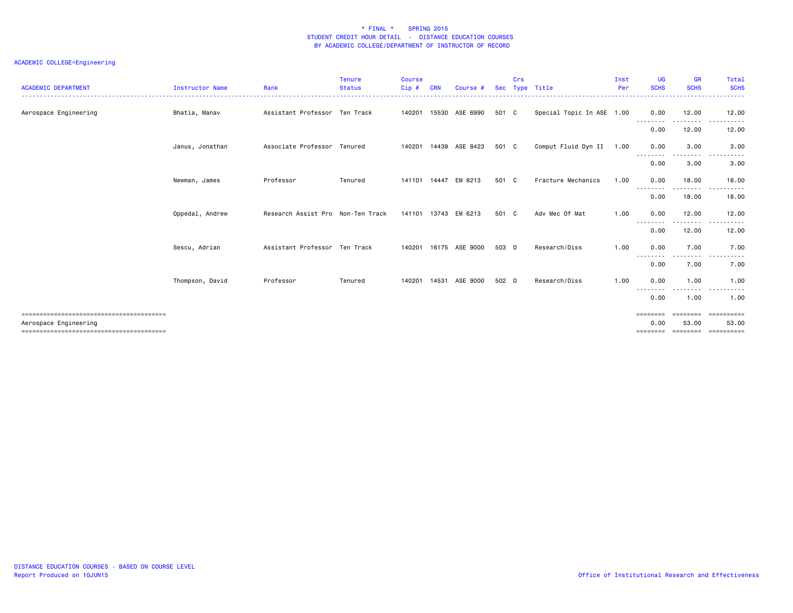| <b>ACADEMIC DEPARTMENT</b> | <b>Instructor Name</b> | Rank                              | <b>Tenure</b><br><b>Status</b> | Course<br>Cip# | CRN | Course #                 | <b>Sec</b> | Crs | Type Title                | Inst<br>Per | <b>UG</b><br><b>SCHS</b>     | <b>GR</b><br><b>SCHS</b>      | Total<br><b>SCHS</b>                                                                                        |
|----------------------------|------------------------|-----------------------------------|--------------------------------|----------------|-----|--------------------------|------------|-----|---------------------------|-------------|------------------------------|-------------------------------|-------------------------------------------------------------------------------------------------------------|
| Aerospace Engineering      | Bhatia, Manav          | Assistant Professor Ten Track     |                                | 140201         |     | 15530 ASE 6990           | 501 C      |     | Special Topic In ASE 1.00 |             | 0.00<br>--------             | 12.00<br>.                    | 12.00<br>.                                                                                                  |
|                            |                        |                                   |                                |                |     |                          |            |     |                           |             | 0.00                         | 12.00                         | 12.00                                                                                                       |
|                            | Janus, Jonathan        | Associate Professor Tenured       |                                |                |     | 140201  14439  ASE  8423 | 501 C      |     | Comput Fluid Dyn II 1.00  |             | 0.00<br>---------            | 3.00<br>--------              | 3.00<br>$\frac{1}{2} \left( \frac{1}{2} \right) \left( \frac{1}{2} \right) \left( \frac{1}{2} \right)$<br>. |
|                            |                        |                                   |                                |                |     |                          |            |     |                           |             | 0.00                         | 3.00                          | 3.00                                                                                                        |
|                            | Newman, James          | Professor                         | Tenured                        |                |     | 141101 14447 EM 8213     | 501 C      |     | Fracture Mechanics        | 1.00        | 0.00<br>--------             | 18.00<br>----                 | 18.00                                                                                                       |
|                            |                        |                                   |                                |                |     |                          |            |     |                           |             | 0.00                         | 18.00                         | 18.00                                                                                                       |
|                            | Oppedal, Andrew        | Research Assist Pro Non-Ten Track |                                |                |     | 141101 13743 EM 6213     | 501 C      |     | Adv Mec Of Mat            | 1.00        | 0.00<br>--------             | 12.00<br>.                    | 12.00<br>.<br>$\sim$ $\sim$ $\sim$                                                                          |
|                            |                        |                                   |                                |                |     |                          |            |     |                           |             | 0.00                         | 12.00                         | 12.00                                                                                                       |
|                            | Sescu, Adrian          | Assistant Professor Ten Track     |                                |                |     | 140201 16175 ASE 9000    | 503 D      |     | Research/Diss             | 1.00        | 0.00<br>- - - - -            | 7.00<br>. <b>.</b> .          | 7.00                                                                                                        |
|                            |                        |                                   |                                |                |     |                          |            |     |                           |             | 0.00                         | 7.00                          | 7.00                                                                                                        |
|                            | Thompson, David        | Professor                         | Tenured                        | 140201         |     | 14531 ASE 9000           | 502 D      |     | Research/Diss             | 1.00        | 0.00                         | 1.00                          | 1.00                                                                                                        |
|                            |                        |                                   |                                |                |     |                          |            |     |                           |             | 0.00                         | 1.00                          | 1.00                                                                                                        |
| Aerospace Engineering      |                        |                                   |                                |                |     |                          |            |     |                           |             | ========<br>0.00<br>======== | ========<br>53.00<br>======== | ==========<br>53.00<br>==========                                                                           |
|                            |                        |                                   |                                |                |     |                          |            |     |                           |             |                              |                               |                                                                                                             |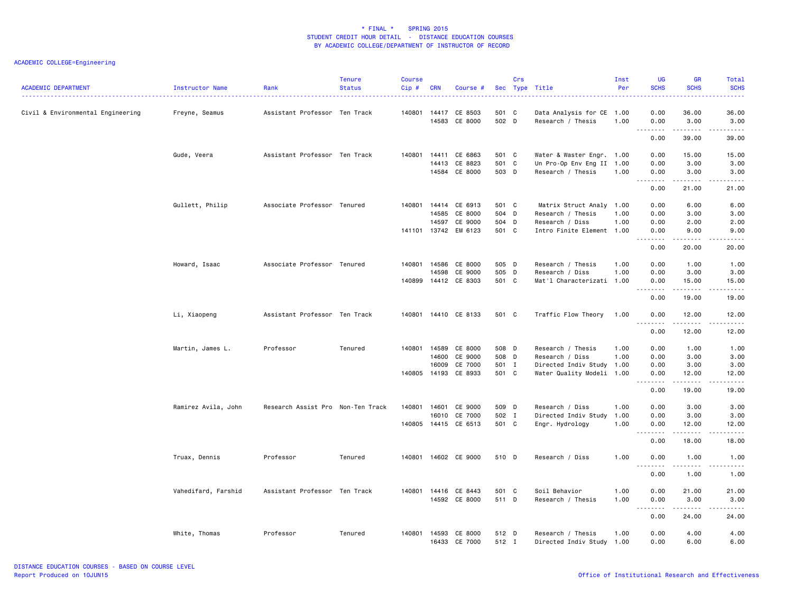| <b>ACADEMIC DEPARTMENT</b>        | Instructor Name     | Rank                              | <b>Tenure</b><br><b>Status</b> | <b>Course</b><br>Cip # | <b>CRN</b>     | Course #                              |                | Crs | Sec Type Title                                         | Inst<br>Per | <b>UG</b><br><b>SCHS</b>               | <b>GR</b><br><b>SCHS</b>                                                                                                                                     | Total<br><b>SCHS</b>                                                                                                                                         |
|-----------------------------------|---------------------|-----------------------------------|--------------------------------|------------------------|----------------|---------------------------------------|----------------|-----|--------------------------------------------------------|-------------|----------------------------------------|--------------------------------------------------------------------------------------------------------------------------------------------------------------|--------------------------------------------------------------------------------------------------------------------------------------------------------------|
| Civil & Environmental Engineering | Freyne, Seamus      | Assistant Professor Ten Track     |                                | 140801                 | 14417<br>14583 | CE 8503<br>CE 8000                    | 501 C<br>502 D |     | Data Analysis for CE 1.00<br>Research / Thesis         | 1.00        | 0.00<br>0.00                           | 36.00<br>3.00                                                                                                                                                | 36.00<br>3.00                                                                                                                                                |
|                                   |                     |                                   |                                |                        |                |                                       |                |     |                                                        |             | .<br>0.00                              | .<br>39.00                                                                                                                                                   | $\sim$ $\sim$ $\sim$ $\sim$ $\sim$<br>39.00                                                                                                                  |
|                                   | Gude, Veera         | Assistant Professor Ten Track     |                                | 140801                 | 14413          | 14411 CE 6863<br>CE 8823              | 501 C<br>501 C |     | Water & Waster Engr. 1.00<br>Un Pro-Op Env Eng II 1.00 |             | 0.00<br>0.00                           | 15.00<br>3.00                                                                                                                                                | 15.00<br>3.00                                                                                                                                                |
|                                   |                     |                                   |                                |                        | 14584          | CE 8000                               | 503 D          |     | Research / Thesis                                      | 1.00        | 0.00<br>.<br>$ -$                      | 3.00<br>.                                                                                                                                                    | 3.00<br>$\frac{1}{2}$                                                                                                                                        |
|                                   |                     |                                   |                                |                        |                |                                       |                |     |                                                        |             | 0.00                                   | 21.00                                                                                                                                                        | 21.00                                                                                                                                                        |
|                                   | Gullett, Philip     | Associate Professor Tenured       |                                | 140801 14414           |                | CE 6913                               | 501 C          |     | Matrix Struct Analy 1.00                               |             | 0.00                                   | 6.00                                                                                                                                                         | 6.00                                                                                                                                                         |
|                                   |                     |                                   |                                |                        | 14585          | CE 8000                               | 504 D          |     | Research / Thesis                                      | 1.00        | 0.00                                   | 3.00                                                                                                                                                         | 3.00                                                                                                                                                         |
|                                   |                     |                                   |                                |                        | 14597          | CE 9000                               | 504 D          |     | Research / Diss                                        | 1.00        | 0.00                                   | 2.00                                                                                                                                                         | 2.00                                                                                                                                                         |
|                                   |                     |                                   |                                |                        |                | 141101 13742 EM 6123                  | 501 C          |     | Intro Finite Element 1.00                              |             | 0.00<br>$\sim$ $\sim$ $\sim$<br>-----  | 9.00<br>$\frac{1}{2} \left( \frac{1}{2} \right) \left( \frac{1}{2} \right) \left( \frac{1}{2} \right) \left( \frac{1}{2} \right) \left( \frac{1}{2} \right)$ | 9.00<br>$\frac{1}{2} \left( \frac{1}{2} \right) \left( \frac{1}{2} \right) \left( \frac{1}{2} \right) \left( \frac{1}{2} \right) \left( \frac{1}{2} \right)$ |
|                                   |                     |                                   |                                |                        |                |                                       |                |     |                                                        |             | 0.00                                   | 20.00                                                                                                                                                        | 20.00                                                                                                                                                        |
|                                   | Howard, Isaac       | Associate Professor Tenured       |                                |                        | 140801 14586   | CE 8000                               | 505 D          |     | Research / Thesis                                      | 1.00        | 0.00                                   | 1.00                                                                                                                                                         | 1.00                                                                                                                                                         |
|                                   |                     |                                   |                                |                        | 14598          | CE 9000                               | 505 D          |     | Research / Diss                                        | 1.00        | 0.00                                   | 3.00                                                                                                                                                         | 3.00                                                                                                                                                         |
|                                   |                     |                                   |                                |                        |                | 140899 14412 CE 8303                  | 501 C          |     | Mat'l Characterizati 1.00                              |             | 0.00                                   | 15.00                                                                                                                                                        | 15.00                                                                                                                                                        |
|                                   |                     |                                   |                                |                        |                |                                       |                |     |                                                        |             | .<br>$ -$<br>0.00                      | .<br>19.00                                                                                                                                                   | <u>.</u><br>19.00                                                                                                                                            |
|                                   | Li, Xiaopeng        | Assistant Professor Ten Track     |                                |                        |                | 140801 14410 CE 8133                  | 501 C          |     | Traffic Flow Theory                                    | 1.00        | 0.00                                   | 12.00<br>.                                                                                                                                                   | 12.00<br>.                                                                                                                                                   |
|                                   |                     |                                   |                                |                        |                |                                       |                |     |                                                        |             | $\sim$ $\sim$ $\sim$<br>.<br>0.00      | 12.00                                                                                                                                                        | 12.00                                                                                                                                                        |
|                                   | Martin, James L.    | Professor                         | Tenured                        |                        |                | 140801 14589 CE 8000                  | 508 D          |     | Research / Thesis                                      | 1.00        | 0.00                                   | 1.00                                                                                                                                                         | 1.00                                                                                                                                                         |
|                                   |                     |                                   |                                |                        | 14600          | CE 9000                               | 508 D          |     | Research / Diss                                        | 1.00        | 0.00                                   | 3.00                                                                                                                                                         | 3.00                                                                                                                                                         |
|                                   |                     |                                   |                                |                        | 16009          | CE 7000                               | 501 I          |     | Directed Indiv Study 1.00                              |             | 0.00                                   | 3.00                                                                                                                                                         | 3.00                                                                                                                                                         |
|                                   |                     |                                   |                                |                        |                | 140805 14193 CE 8933                  | 501 C          |     | Water Quality Modeli 1.00                              |             | 0.00                                   | 12.00                                                                                                                                                        | 12.00                                                                                                                                                        |
|                                   |                     |                                   |                                |                        |                |                                       |                |     |                                                        |             | <u>.</u><br>$ -$<br>0.00               | .<br>19.00                                                                                                                                                   | .<br>19.00                                                                                                                                                   |
|                                   | Ramirez Avila, John | Research Assist Pro Non-Ten Track |                                | 140801                 | 14601          | CE 9000                               | 509 D          |     | Research / Diss                                        | 1.00        | 0.00                                   | 3.00                                                                                                                                                         | 3.00                                                                                                                                                         |
|                                   |                     |                                   |                                |                        | 16010          | CE 7000                               | 502 I          |     | Directed Indiv Study                                   | 1.00        | 0.00                                   | 3.00                                                                                                                                                         | 3.00                                                                                                                                                         |
|                                   |                     |                                   |                                |                        |                | 140805 14415 CE 6513                  | 501 C          |     | Engr. Hydrology                                        | 1.00        | 0.00                                   | 12.00                                                                                                                                                        | 12.00                                                                                                                                                        |
|                                   |                     |                                   |                                |                        |                |                                       |                |     |                                                        |             | $\sim$ $\sim$ .<br>$- - - - -$<br>0.00 | $- - - - - -$<br>18.00                                                                                                                                       | .<br>18.00                                                                                                                                                   |
|                                   | Truax, Dennis       | Professor                         | Tenured                        |                        |                | 140801 14602 CE 9000                  | 510 D          |     | Research / Diss                                        | 1.00        | 0.00                                   | 1.00                                                                                                                                                         | 1.00                                                                                                                                                         |
|                                   |                     |                                   |                                |                        |                |                                       |                |     |                                                        |             | .<br>$\sim$ $\sim$ $\sim$<br>0.00      | .<br>1.00                                                                                                                                                    | $- - - - -$<br>1.00                                                                                                                                          |
|                                   |                     |                                   |                                |                        |                |                                       |                |     |                                                        |             |                                        |                                                                                                                                                              |                                                                                                                                                              |
|                                   | Vahedifard, Farshid | Assistant Professor Ten Track     |                                | 140801                 | 14416          | CE 8443                               | 501 C          |     | Soil Behavior                                          | 1.00        | 0.00                                   | 21.00                                                                                                                                                        | 21.00                                                                                                                                                        |
|                                   |                     |                                   |                                |                        |                | 14592 CE 8000                         | 511 D          |     | Research / Thesis                                      | 1.00        | 0.00<br>.<br>$  -$                     | 3.00<br>$\cdots$                                                                                                                                             | 3,00<br>.                                                                                                                                                    |
|                                   |                     |                                   |                                |                        |                |                                       |                |     |                                                        |             | 0.00                                   | 24.00                                                                                                                                                        | 24.00                                                                                                                                                        |
|                                   | White, Thomas       | Professor                         | Tenured                        |                        |                | 140801 14593 CE 8000<br>16433 CE 7000 | 512 D<br>512 I |     | Research / Thesis<br>Directed Indiv Study 1.00         | 1.00        | 0.00<br>0.00                           | 4.00<br>6.00                                                                                                                                                 | 4.00<br>6.00                                                                                                                                                 |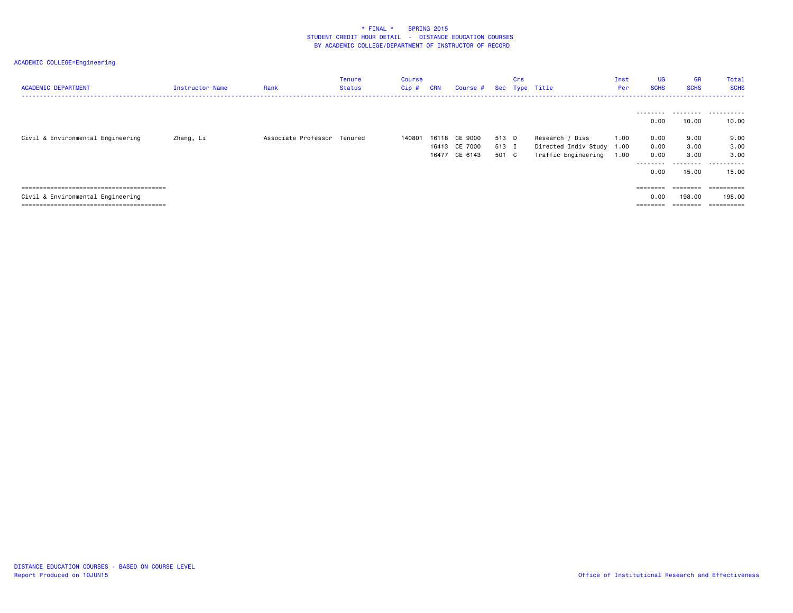| <b>ACADEMIC DEPARTMENT</b>        | Instructor Name | Rank                        | Tenure<br>Status | Course<br>Cip # | <b>CRN</b> | Course #                 |                | Crs | Sec Type Title                                   | Inst<br>Per | <b>UG</b><br><b>SCHS</b>              | <b>GR</b><br><b>SCHS</b>                | Total<br><b>SCHS</b>               |
|-----------------------------------|-----------------|-----------------------------|------------------|-----------------|------------|--------------------------|----------------|-----|--------------------------------------------------|-------------|---------------------------------------|-----------------------------------------|------------------------------------|
| Civil & Environmental Engineering | Zhang, Li       | Associate Professor Tenured |                  | 140801          |            | 16118 CE 9000            | 513 D          |     | Research / Diss                                  | 1.00        | ---------<br>0.00<br>0.00             | 10.00<br>9.00                           | 10.00<br>9.00                      |
|                                   |                 |                             |                  |                 | 16413      | CE 7000<br>16477 CE 6143 | 513 I<br>501 C |     | Directed Indiv Study 1.00<br>Traffic Engineering | 1.00        | 0.00<br>0.00<br>--------              | 3.00<br>3.00<br>.                       | 3.00<br>3,00<br>.                  |
|                                   |                 |                             |                  |                 |            |                          |                |     |                                                  |             | 0.00                                  | 15.00                                   | 15.00                              |
| Civil & Environmental Engineering |                 |                             |                  |                 |            |                          |                |     |                                                  |             | $=$ = = = = = = =<br>0.00<br>======== | $=$ = = = = = = =<br>198,00<br>======== | ==========<br>198.00<br>========== |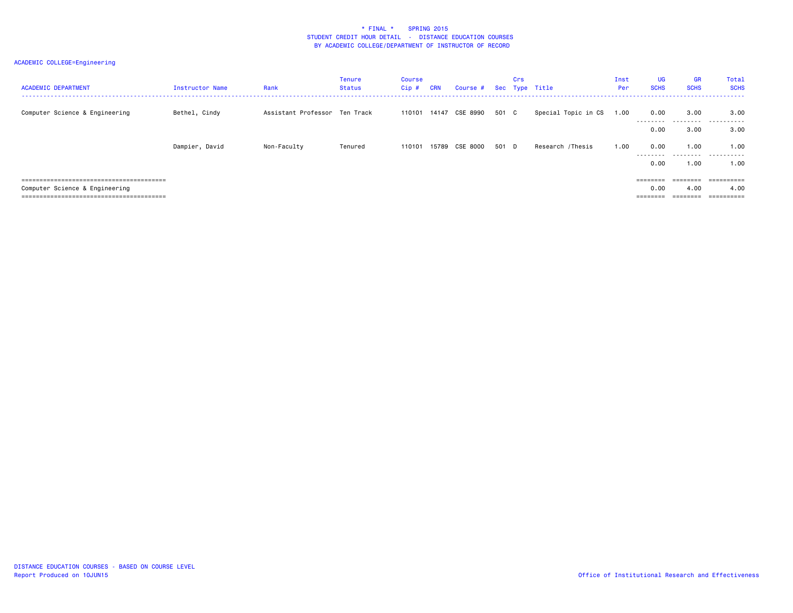| <b>ACADEMIC DEPARTMENT</b>     | Instructor Name | Rank                          | <b>Tenure</b><br>Status | Course<br>Cip# | <b>CRN</b> | Course # Sec Type Title |       | Crs |                     | Inst<br>Per | <b>UG</b><br><b>SCHS</b> | <b>GR</b><br><b>SCHS</b> | Total<br><b>SCHS</b> |
|--------------------------------|-----------------|-------------------------------|-------------------------|----------------|------------|-------------------------|-------|-----|---------------------|-------------|--------------------------|--------------------------|----------------------|
| Computer Science & Engineering | Bethel, Cindy   | Assistant Professor Ten Track |                         | 110101         | 14147      | CSE 8990                | 501 C |     | Special Topic in CS | 1.00        | 0.00<br>---------        | 3.00<br>.                | 3.00<br>.            |
|                                |                 |                               |                         |                |            |                         |       |     |                     |             | 0.00                     | 3.00                     | 3,00                 |
|                                | Dampier, David  | Non-Faculty                   | Tenured                 | 110101         | 15789      | CSE 8000                | 501 D |     | Research /Thesis    | 1.00        | 0.00<br>---------        | 1.00<br>.                | 1.00<br>.            |
|                                |                 |                               |                         |                |            |                         |       |     |                     |             | 0.00                     | 1.00                     | 1.00                 |
|                                |                 |                               |                         |                |            |                         |       |     |                     |             | ========                 | $=$ = = = = = = =        | ==========           |
| Computer Science & Engineering |                 |                               |                         |                |            |                         |       |     |                     |             | 0.00                     | 4.00                     | 4.00                 |
|                                |                 |                               |                         |                |            |                         |       |     |                     |             |                          | ---------                | ==========           |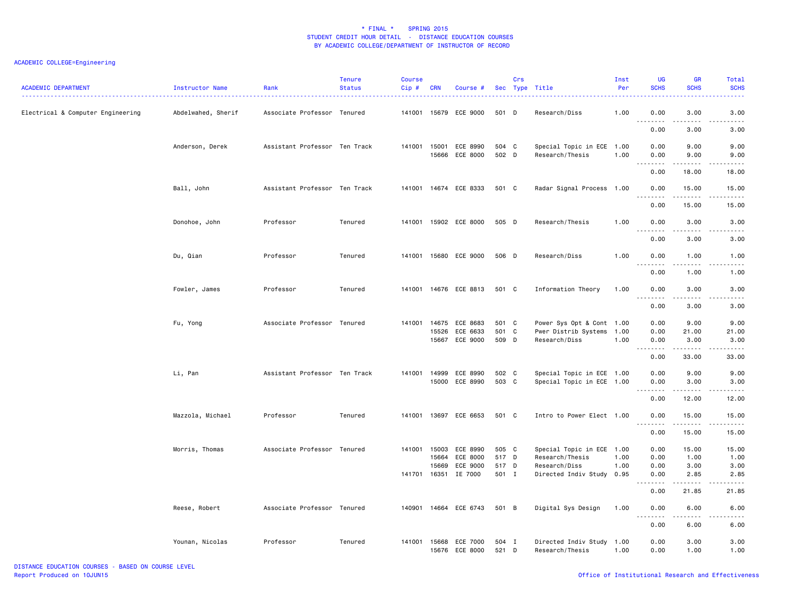| <b>ACADEMIC DEPARTMENT</b>        | Instructor Name    | Rank                          | <b>Tenure</b><br><b>Status</b> | <b>Course</b><br>Cip# | <b>CRN</b>     | Course #                   |                | Crs | Sec Type Title                               | Inst<br>Per  | <b>UG</b><br><b>SCHS</b>                                                                                                                                                      | <b>GR</b><br><b>SCHS</b>            | <b>Total</b><br><b>SCHS</b>                                                                                                                                   |
|-----------------------------------|--------------------|-------------------------------|--------------------------------|-----------------------|----------------|----------------------------|----------------|-----|----------------------------------------------|--------------|-------------------------------------------------------------------------------------------------------------------------------------------------------------------------------|-------------------------------------|---------------------------------------------------------------------------------------------------------------------------------------------------------------|
| Electrical & Computer Engineering | Abdelwahed, Sherif | Associate Professor Tenured   |                                |                       |                | 141001 15679 ECE 9000      | 501 D          |     | Research/Diss                                | 1.00         | 0.00<br>د د د د<br>$\sim$ $\sim$                                                                                                                                              | 3.00<br>----                        | 3.00<br>.                                                                                                                                                     |
|                                   |                    |                               |                                |                       |                |                            |                |     |                                              |              | 0.00                                                                                                                                                                          | 3.00                                | 3.00                                                                                                                                                          |
|                                   | Anderson, Derek    | Assistant Professor Ten Track |                                | 141001 15001          | 15666          | ECE 8990<br>ECE 8000       | 504 C<br>502 D |     | Special Topic in ECE 1.00<br>Research/Thesis | 1.00         | 0.00<br>0.00                                                                                                                                                                  | 9.00<br>9.00                        | 9.00<br>9.00                                                                                                                                                  |
|                                   |                    |                               |                                |                       |                |                            |                |     |                                              |              | $\frac{1}{2} \left( \frac{1}{2} \right) \left( \frac{1}{2} \right) \left( \frac{1}{2} \right) \left( \frac{1}{2} \right) \left( \frac{1}{2} \right)$<br>$\sim$ $\sim$<br>0.00 | .<br>18.00                          | $\frac{1}{2} \left( \frac{1}{2} \right) \left( \frac{1}{2} \right) \left( \frac{1}{2} \right) \left( \frac{1}{2} \right) \left( \frac{1}{2} \right)$<br>18.00 |
|                                   | Ball, John         | Assistant Professor Ten Track |                                |                       |                | 141001 14674 ECE 8333      | 501 C          |     | Radar Signal Process 1.00                    |              | 0.00<br>.                                                                                                                                                                     | 15.00<br>$- - - - -$                | 15.00<br>.                                                                                                                                                    |
|                                   |                    |                               |                                |                       |                |                            |                |     |                                              |              | 0.00                                                                                                                                                                          | 15.00                               | 15.00                                                                                                                                                         |
|                                   | Donohoe, John      | Professor                     | Tenured                        |                       |                | 141001 15902 ECE 8000      | 505 D          |     | Research/Thesis                              | 1.00         | 0.00<br>د د د د<br>$\sim$ $\sim$                                                                                                                                              | 3.00<br>.                           | 3.00<br>.                                                                                                                                                     |
|                                   |                    |                               |                                |                       |                |                            |                |     |                                              |              | 0.00                                                                                                                                                                          | 3.00                                | 3.00                                                                                                                                                          |
|                                   | Du, Qian           | Professor                     | Tenured                        | 141001                |                | 15680 ECE 9000             | 506 D          |     | Research/Diss                                | 1.00         | 0.00<br>.                                                                                                                                                                     | 1.00<br>.                           | 1.00<br>$- - - - -$                                                                                                                                           |
|                                   |                    |                               |                                |                       |                |                            |                |     |                                              |              | 0.00                                                                                                                                                                          | 1.00                                | 1.00                                                                                                                                                          |
|                                   | Fowler, James      | Professor                     | Tenured                        | 141001                |                | 14676 ECE 8813             | 501 C          |     | Information Theory                           | 1.00         | 0.00                                                                                                                                                                          | 3.00                                | 3.00                                                                                                                                                          |
|                                   |                    |                               |                                |                       |                |                            |                |     |                                              |              | $\frac{1}{2}$<br>0.00                                                                                                                                                         | $\sim$ $\sim$ $\sim$ $\sim$<br>3.00 | .<br>3.00                                                                                                                                                     |
|                                   | Fu, Yong           | Associate Professor Tenured   |                                | 141001                | 14675          | ECE 8683                   | 501 C          |     | Power Sys Opt & Cont 1.00                    |              | 0.00                                                                                                                                                                          | 9.00                                | 9.00                                                                                                                                                          |
|                                   |                    |                               |                                |                       | 15526<br>15667 | ECE 6633<br>ECE 9000       | 501 C<br>509 D |     | Pwer Distrib Systems 1.00<br>Research/Diss   | 1.00         | 0.00<br>0.00                                                                                                                                                                  | 21.00<br>3,00                       | 21.00<br>3.00                                                                                                                                                 |
|                                   |                    |                               |                                |                       |                |                            |                |     |                                              |              | $\sim$ $\sim$<br>.<br>0.00                                                                                                                                                    | .<br>33.00                          | .<br>33.00                                                                                                                                                    |
|                                   | Li, Pan            | Assistant Professor Ten Track |                                | 141001                | 14999          | ECE 8990                   | 502 C          |     | Special Topic in ECE 1.00                    |              | 0.00                                                                                                                                                                          | 9.00                                | 9.00                                                                                                                                                          |
|                                   |                    |                               |                                |                       | 15000          | ECE 8990                   | 503 C          |     | Special Topic in ECE 1.00                    |              | 0.00<br>$\sim$ $\sim$ $\sim$<br>$- - - - -$                                                                                                                                   | 3.00<br>.                           | 3.00<br>$- - - - -$                                                                                                                                           |
|                                   |                    |                               |                                |                       |                |                            |                |     |                                              |              | 0.00                                                                                                                                                                          | 12.00                               | 12.00                                                                                                                                                         |
|                                   | Mazzola, Michael   | Professor                     | Tenured                        | 141001                |                | 13697 ECE 6653             | 501 C          |     | Intro to Power Elect 1.00                    |              | 0.00<br>.<br>$\sim$ $\sim$                                                                                                                                                    | 15.00<br>$- - - - -$                | 15.00<br>.                                                                                                                                                    |
|                                   |                    |                               |                                |                       |                |                            |                |     |                                              |              | 0.00                                                                                                                                                                          | 15.00                               | 15.00                                                                                                                                                         |
|                                   | Morris, Thomas     | Associate Professor Tenured   |                                | 141001                | 15003          | ECE 8990                   | 505 C          |     | Special Topic in ECE 1.00                    |              | 0.00                                                                                                                                                                          | 15.00                               | 15.00                                                                                                                                                         |
|                                   |                    |                               |                                |                       | 15664          | ECE 8000                   | 517 D          |     | Research/Thesis                              | 1.00         | 0.00                                                                                                                                                                          | 1.00                                | 1.00                                                                                                                                                          |
|                                   |                    |                               |                                | 141701                | 15669<br>16351 | ECE 9000<br>IE 7000        | 517 D<br>501 I |     | Research/Diss<br>Directed Indiv Study        | 1.00<br>0.95 | 0.00<br>0.00                                                                                                                                                                  | 3.00<br>2.85                        | 3.00<br>2.85                                                                                                                                                  |
|                                   |                    |                               |                                |                       |                |                            |                |     |                                              |              | 0.00                                                                                                                                                                          | 21.85                               | .<br>21.85                                                                                                                                                    |
|                                   | Reese, Robert      | Associate Professor Tenured   |                                |                       |                | 140901 14664 ECE 6743      | 501 B          |     | Digital Sys Design                           | 1.00         | 0.00                                                                                                                                                                          | 6.00                                | 6.00                                                                                                                                                          |
|                                   |                    |                               |                                |                       |                |                            |                |     |                                              |              | .<br>0.00                                                                                                                                                                     | .<br>6.00                           | $- - - -$<br>6.00                                                                                                                                             |
|                                   |                    |                               |                                |                       |                |                            |                |     |                                              |              |                                                                                                                                                                               |                                     |                                                                                                                                                               |
|                                   | Younan, Nicolas    | Professor                     | Tenured                        | 141001                | 15668          | ECE 7000<br>15676 ECE 8000 | 504 I<br>521 D |     | Directed Indiv Study 1.00<br>Research/Thesis | 1.00         | 0.00<br>0.00                                                                                                                                                                  | 3.00<br>1.00                        | 3.00<br>1.00                                                                                                                                                  |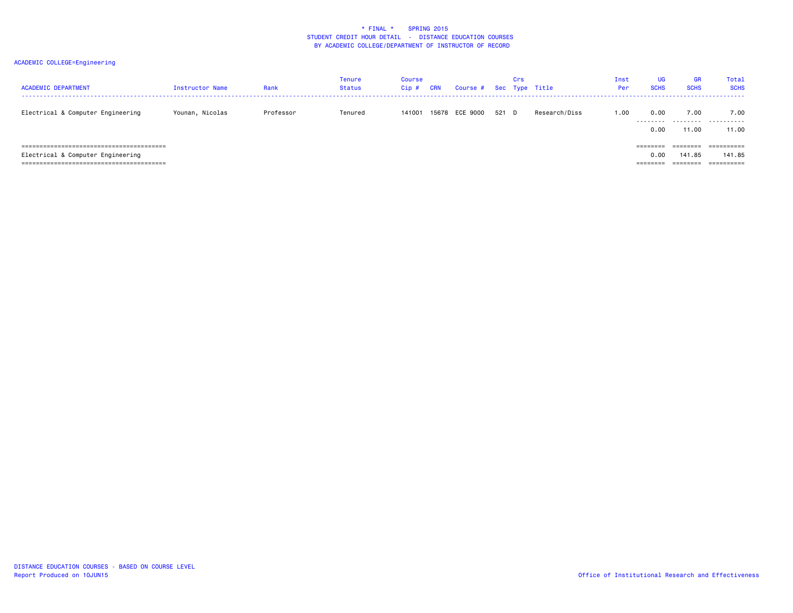| <b>ACADEMIC DEPARTMENT</b>          | Instructor Name | Rank      | <b>Tenure</b><br><b>Status</b> | Course<br>Cip# | <b>CRN</b> | Course # Sec Type Title |       | Crs |               | Inst<br>Per: | <b>UG</b><br><b>SCHS</b> | GR<br><b>SCHS</b> | Total<br><b>SCHS</b> |
|-------------------------------------|-----------------|-----------|--------------------------------|----------------|------------|-------------------------|-------|-----|---------------|--------------|--------------------------|-------------------|----------------------|
| Electrical & Computer Engineering   | Younan, Nicolas | Professor | Tenured                        | 141001         |            | 15678 ECE 9000          | 521 D |     | Research/Diss | 1.00         | 0.00<br>.                | 7.00<br>.         | 7.00<br>.            |
|                                     |                 |           |                                |                |            |                         |       |     |               |              | 0.00                     | 11.00             | 11.00                |
| =================================== |                 |           |                                |                |            |                         |       |     |               |              | ========                 |                   | ==========           |
| Electrical & Computer Engineering   |                 |           |                                |                |            |                         |       |     |               |              | 0.00                     | 141.85            | 141.85               |
|                                     |                 |           |                                |                |            |                         |       |     |               |              | ---------<br>========    | ========          | ==========           |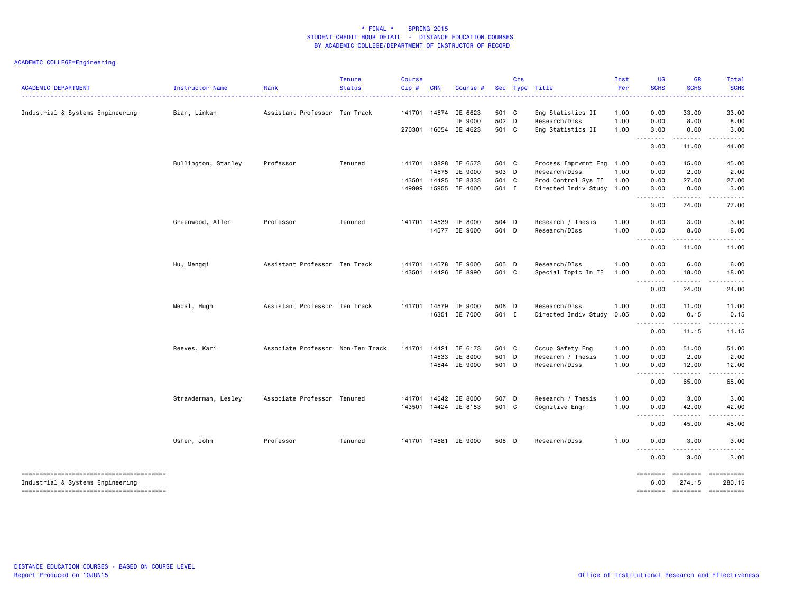| <b>ACADEMIC DEPARTMENT</b>       | Instructor Name     | Rank                              | <b>Tenure</b><br><b>Status</b> | <b>Course</b><br>Cip# | <b>CRN</b> | Course #                 |                | Crs | Sec Type Title                     | Inst<br>Per  | <b>UG</b><br><b>SCHS</b> | <b>GR</b><br><b>SCHS</b>                                                                                                                             | Total<br><b>SCHS</b>         |
|----------------------------------|---------------------|-----------------------------------|--------------------------------|-----------------------|------------|--------------------------|----------------|-----|------------------------------------|--------------|--------------------------|------------------------------------------------------------------------------------------------------------------------------------------------------|------------------------------|
|                                  |                     |                                   |                                |                       |            |                          |                |     |                                    |              |                          |                                                                                                                                                      |                              |
| Industrial & Systems Engineering | Bian, Linkan        | Assistant Professor Ten Track     |                                |                       |            | 141701 14574 IE 6623     | 501 C          |     | Eng Statistics II                  | 1.00         | 0.00                     | 33.00                                                                                                                                                | 33.00                        |
|                                  |                     |                                   |                                | 270301                |            | IE 9000<br>16054 IE 4623 | 502 D<br>501 C |     | Research/DIss<br>Eng Statistics II | 1.00<br>1.00 | 0.00<br>3.00             | 8.00<br>0.00                                                                                                                                         | 8.00<br>3.00                 |
|                                  |                     |                                   |                                |                       |            |                          |                |     |                                    |              | .                        |                                                                                                                                                      |                              |
|                                  |                     |                                   |                                |                       |            |                          |                |     |                                    |              | 3.00                     | 41.00                                                                                                                                                | 44.00                        |
|                                  | Bullington, Stanley | Professor                         | Tenured                        | 141701                |            | 13828 IE 6573            | 501 C          |     | Process Imprvmnt Eng 1.00          |              | 0.00                     | 45.00                                                                                                                                                | 45.00                        |
|                                  |                     |                                   |                                |                       |            | 14575 IE 9000            | 503 D          |     | Research/DIss                      | 1.00         | 0.00                     | 2.00                                                                                                                                                 | 2.00                         |
|                                  |                     |                                   |                                | 143501                | 14425      | IE 8333                  | 501 C          |     | Prod Control Sys II                | 1.00         | 0.00                     | 27.00                                                                                                                                                | 27.00                        |
|                                  |                     |                                   |                                | 149999                |            | 15955 IE 4000            | 501 I          |     | Directed Indiv Study 1.00          |              | 3.00<br>.                | 0.00                                                                                                                                                 | 3.00                         |
|                                  |                     |                                   |                                |                       |            |                          |                |     |                                    |              | 3.00                     | 74.00                                                                                                                                                | 77.00                        |
|                                  | Greenwood, Allen    | Professor                         | Tenured                        | 141701                |            | 14539 IE 8000            | 504 D          |     | Research / Thesis                  | 1.00         | 0.00                     | 3.00                                                                                                                                                 | 3.00                         |
|                                  |                     |                                   |                                |                       |            | 14577 IE 9000            | 504 D          |     | Research/DIss                      | 1.00         | 0.00                     | 8.00                                                                                                                                                 | 8.00                         |
|                                  |                     |                                   |                                |                       |            |                          |                |     |                                    |              | . <b>.</b><br>0.00       | 11.00                                                                                                                                                | 11.00                        |
|                                  | Hu, Mengqi          | Assistant Professor Ten Track     |                                |                       |            | 141701 14578 IE 9000     | 505 D          |     | Research/DIss                      | 1.00         | 0.00                     | 6.00                                                                                                                                                 | 6.00                         |
|                                  |                     |                                   |                                |                       |            | 143501 14426 IE 8990     | 501 C          |     | Special Topic In IE                | 1.00         | 0.00                     | 18.00                                                                                                                                                | 18.00                        |
|                                  |                     |                                   |                                |                       |            |                          |                |     |                                    |              | .                        | .                                                                                                                                                    | .                            |
|                                  |                     |                                   |                                |                       |            |                          |                |     |                                    |              | 0.00                     | 24.00                                                                                                                                                | 24.00                        |
|                                  | Medal, Hugh         | Assistant Professor Ten Track     |                                |                       |            | 141701 14579 IE 9000     | 506 D          |     | Research/DIss                      | 1.00         | 0.00                     | 11.00                                                                                                                                                | 11.00                        |
|                                  |                     |                                   |                                |                       |            | 16351 IE 7000            | 501 I          |     | Directed Indiv Study               | 0.05         | 0.00                     | 0.15                                                                                                                                                 | 0.15                         |
|                                  |                     |                                   |                                |                       |            |                          |                |     |                                    |              | <u> - - - - - - - -</u>  | -------                                                                                                                                              | .                            |
|                                  |                     |                                   |                                |                       |            |                          |                |     |                                    |              | 0.00                     | 11.15                                                                                                                                                | 11.15                        |
|                                  | Reeves, Kari        | Associate Professor Non-Ten Track |                                |                       |            | 141701 14421 IE 6173     | 501 C          |     | Occup Safety Eng                   | 1.00         | 0.00                     | 51.00                                                                                                                                                | 51.00                        |
|                                  |                     |                                   |                                |                       |            | 14533 IE 8000            | 501 D          |     | Research / Thesis                  | 1.00         | 0.00                     | 2.00                                                                                                                                                 | 2.00                         |
|                                  |                     |                                   |                                |                       |            | 14544 IE 9000            | 501 D          |     | Research/DIss                      | 1.00         | 0.00<br>--------         | 12.00                                                                                                                                                | 12.00                        |
|                                  |                     |                                   |                                |                       |            |                          |                |     |                                    |              | 0.00                     | 65.00                                                                                                                                                | 65.00                        |
|                                  | Strawderman, Lesley | Associate Professor Tenured       |                                | 141701                |            | 14542 IE 8000            | 507 D          |     | Research / Thesis                  | 1.00         | 0.00                     | 3.00                                                                                                                                                 | 3.00                         |
|                                  |                     |                                   |                                |                       |            | 143501 14424 IE 8153     | 501 C          |     | Cognitive Engr                     | 1.00         | 0.00                     | 42.00                                                                                                                                                | 42.00                        |
|                                  |                     |                                   |                                |                       |            |                          |                |     |                                    |              | --------                 | $\frac{1}{2} \left( \frac{1}{2} \right) \left( \frac{1}{2} \right) \left( \frac{1}{2} \right) \left( \frac{1}{2} \right) \left( \frac{1}{2} \right)$ |                              |
|                                  |                     |                                   |                                |                       |            |                          |                |     |                                    |              | 0.00                     | 45.00                                                                                                                                                | 45.00                        |
|                                  | Usher, John         | Professor                         | Tenured                        |                       |            | 141701 14581 IE 9000     | 508 D          |     | Research/DIss                      | 1.00         | 0.00<br>---------        | 3.00<br>.                                                                                                                                            | 3.00<br>$\frac{1}{2}$        |
|                                  |                     |                                   |                                |                       |            |                          |                |     |                                    |              | 0.00                     | 3.00                                                                                                                                                 | 3.00                         |
|                                  |                     |                                   |                                |                       |            |                          |                |     |                                    |              | ========                 |                                                                                                                                                      | ======== =========           |
| Industrial & Systems Engineering |                     |                                   |                                |                       |            |                          |                |     |                                    |              | 6.00<br>========         | 274.15                                                                                                                                               | 280.15<br>======== ========= |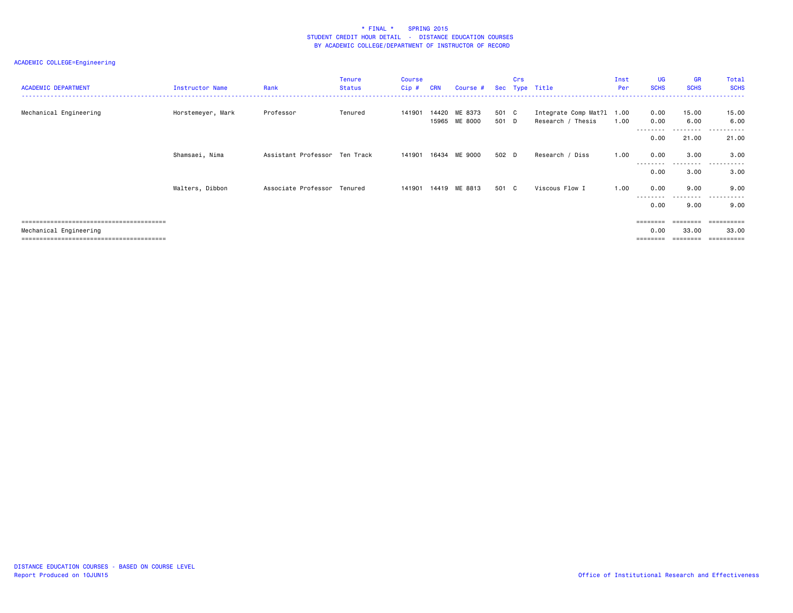# ACADEMIC COLLEGE=Engineering

| <b>ACADEMIC DEPARTMENT</b> | Instructor Name   | Rank                          | <b>Tenure</b><br><b>Status</b> | <b>Course</b><br>Cip# | <b>CRN</b> | Course #                 |                | Crs | Sec Type Title                                 | Inst<br>Per | UG<br><b>SCHS</b> | <b>GR</b><br><b>SCHS</b> | Total<br><b>SCHS</b>    |
|----------------------------|-------------------|-------------------------------|--------------------------------|-----------------------|------------|--------------------------|----------------|-----|------------------------------------------------|-------------|-------------------|--------------------------|-------------------------|
| Mechanical Engineering     | Horstemeyer, Mark | Professor                     | Tenured                        | 141901                | 14420      | ME 8373<br>15965 ME 8000 | 501 C<br>501 D |     | Integrate Comp Mat?1 1.00<br>Research / Thesis | 1.00        | 0.00<br>0.00      | 15.00<br>6.00            | 15.00<br>6.00           |
|                            |                   |                               |                                |                       |            |                          |                |     |                                                |             | --------<br>0.00  | .<br>21.00               | .<br>$ -$<br>21.00      |
|                            | Shamsaei, Nima    | Assistant Professor Ten Track |                                | 141901                | 16434      | ME 9000                  | 502 D          |     | Research / Diss                                | 1.00        | 0.00              | 3.00                     | 3.00                    |
|                            |                   |                               |                                |                       |            |                          |                |     |                                                |             | --------<br>0.00  | .<br>3.00                | ------<br>-----<br>3.00 |
|                            | Walters, Dibbon   | Associate Professor Tenured   |                                | 141901                |            | 14419 ME 8813            | 501 C          |     | Viscous Flow I                                 | 1.00        | 0.00              | 9.00                     | 9.00                    |
|                            |                   |                               |                                |                       |            |                          |                |     |                                                |             | 0.00              | .<br>9.00                | .<br>------<br>9.00     |
|                            |                   |                               |                                |                       |            |                          |                |     |                                                |             |                   | ========                 | ==========              |
| Mechanical Engineering     |                   |                               |                                |                       |            |                          |                |     |                                                |             | 0.00              | 33.00                    | 33.00                   |

======================================== ======== ======== ==========